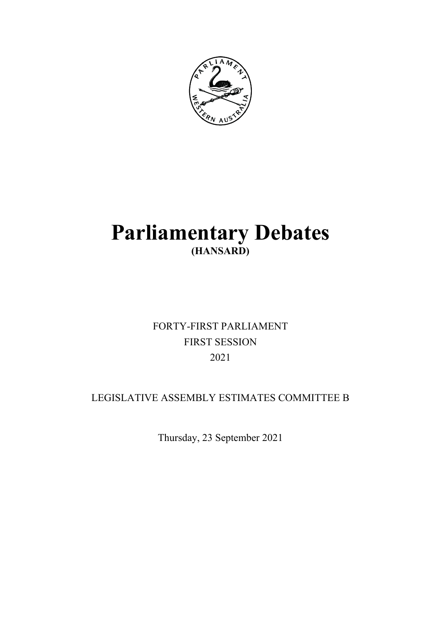

# **Parliamentary Debates (HANSARD)**

# FORTY-FIRST PARLIAMENT FIRST SESSION 2021

# LEGISLATIVE ASSEMBLY ESTIMATES COMMITTEE B

Thursday, 23 September 2021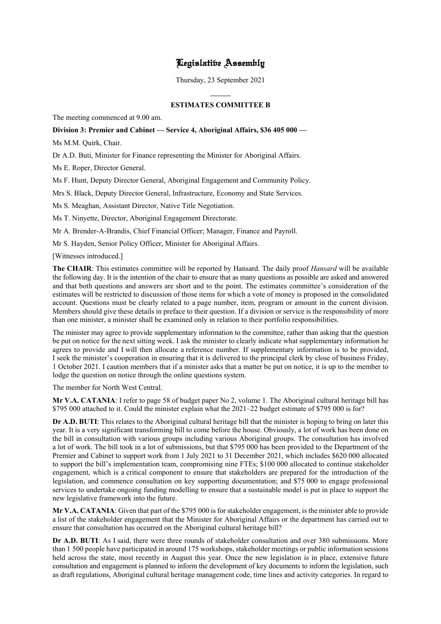# Legislative Assembly

Thursday, 23 September 2021

 $\overline{a}$ 

# **ESTIMATES COMMITTEE B**

The meeting commenced at 9.00 am.

# **Division 3: Premier and Cabinet — Service 4, Aboriginal Affairs, \$36 405 000 —**

Ms M.M. Quirk, Chair.

Dr A.D. Buti, Minister for Finance representing the Minister for Aboriginal Affairs.

Ms E. Roper, Director General.

Ms F. Hunt, Deputy Director General, Aboriginal Engagement and Community Policy.

Mrs S. Black, Deputy Director General, Infrastructure, Economy and State Services.

Ms S. Meaghan, Assistant Director, Native Title Negotiation.

Ms T. Ninyette, Director, Aboriginal Engagement Directorate.

Mr A. Brender-A-Brandis, Chief Financial Officer; Manager, Finance and Payroll.

Mr S. Hayden, Senior Policy Officer, Minister for Aboriginal Affairs.

[Witnesses introduced.]

**The CHAIR**: This estimates committee will be reported by Hansard. The daily proof *Hansard* will be available the following day. It is the intention of the chair to ensure that as many questions as possible are asked and answered and that both questions and answers are short and to the point. The estimates committee's consideration of the estimates will be restricted to discussion of those items for which a vote of money is proposed in the consolidated account. Questions must be clearly related to a page number, item, program or amount in the current division. Members should give these details in preface to their question. If a division or service is the responsibility of more than one minister, a minister shall be examined only in relation to their portfolio responsibilities.

The minister may agree to provide supplementary information to the committee, rather than asking that the question be put on notice for the next sitting week. I ask the minister to clearly indicate what supplementary information he agrees to provide and I will then allocate a reference number. If supplementary information is to be provided, I seek the minister's cooperation in ensuring that it is delivered to the principal clerk by close of business Friday, 1 October 2021. I caution members that if a minister asks that a matter be put on notice, it is up to the member to lodge the question on notice through the online questions system.

The member for North West Central.

**Mr V.A. CATANIA**: I refer to page 58 of budget paper No 2, volume 1. The Aboriginal cultural heritage bill has \$795 000 attached to it. Could the minister explain what the 2021–22 budget estimate of \$795 000 is for?

**Dr A.D. BUTI**: This relates to the Aboriginal cultural heritage bill that the minister is hoping to bring on later this year. It is a very significant transforming bill to come before the house. Obviously, a lot of work has been done on the bill in consultation with various groups including various Aboriginal groups. The consultation has involved a lot of work. The bill took in a lot of submissions, but that \$795 000 has been provided to the Department of the Premier and Cabinet to support work from 1 July 2021 to 31 December 2021, which includes \$620 000 allocated to support the bill's implementation team, compromising nine FTEs; \$100 000 allocated to continue stakeholder engagement, which is a critical component to ensure that stakeholders are prepared for the introduction of the legislation, and commence consultation on key supporting documentation; and \$75 000 to engage professional services to undertake ongoing funding modelling to ensure that a sustainable model is put in place to support the new legislative framework into the future.

**Mr V.A. CATANIA**: Given that part of the \$795 000 is for stakeholder engagement, is the minister able to provide a list of the stakeholder engagement that the Minister for Aboriginal Affairs or the department has carried out to ensure that consultation has occurred on the Aboriginal cultural heritage bill?

**Dr A.D. BUTI**: As I said, there were three rounds of stakeholder consultation and over 380 submissions. More than 1 500 people have participated in around 175 workshops, stakeholder meetings or public information sessions held across the state, most recently in August this year. Once the new legislation is in place, extensive future consultation and engagement is planned to inform the development of key documents to inform the legislation, such as draft regulations, Aboriginal cultural heritage management code, time lines and activity categories. In regard to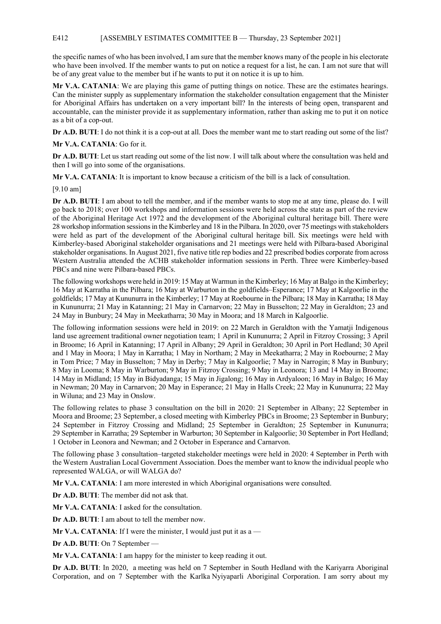# E412 [ASSEMBLY ESTIMATES COMMITTEE B — Thursday, 23 September 2021]

the specific names of who has been involved, I am sure that the member knows many of the people in his electorate who have been involved. If the member wants to put on notice a request for a list, he can. I am not sure that will be of any great value to the member but if he wants to put it on notice it is up to him.

**Mr V.A. CATANIA**: We are playing this game of putting things on notice. These are the estimates hearings. Can the minister supply as supplementary information the stakeholder consultation engagement that the Minister for Aboriginal Affairs has undertaken on a very important bill? In the interests of being open, transparent and accountable, can the minister provide it as supplementary information, rather than asking me to put it on notice as a bit of a cop-out.

**Dr A.D. BUTI**: I do not think it is a cop-out at all. Does the member want me to start reading out some of the list?

**Mr V.A. CATANIA**: Go for it.

**Dr A.D. BUTI**: Let us start reading out some of the list now. I will talk about where the consultation was held and then I will go into some of the organisations.

**Mr V.A. CATANIA**: It is important to know because a criticism of the bill is a lack of consultation.

[9.10 am]

**Dr A.D. BUTI**: I am about to tell the member, and if the member wants to stop me at any time, please do. I will go back to 2018; over 100 workshops and information sessions were held across the state as part of the review of the Aboriginal Heritage Act 1972 and the development of the Aboriginal cultural heritage bill. There were 28 workshop information sessions in the Kimberley and 18 in the Pilbara. In 2020, over 75 meetings with stakeholders were held as part of the development of the Aboriginal cultural heritage bill. Six meetings were held with Kimberley-based Aboriginal stakeholder organisations and 21 meetings were held with Pilbara-based Aboriginal stakeholder organisations. In August 2021, five native title rep bodies and 22 prescribed bodies corporate from across Western Australia attended the ACHB stakeholder information sessions in Perth. Three were Kimberley-based PBCs and nine were Pilbara-based PBCs.

The following workshops were held in 2019: 15 May at Warmun in the Kimberley; 16 May at Balgo in the Kimberley; 16 May at Karratha in the Pilbara; 16 May at Warburton in the goldfields–Esperance; 17 May at Kalgoorlie in the goldfields; 17 May at Kununurra in the Kimberley; 17 May at Roebourne in the Pilbara; 18 May in Karratha; 18 May in Kununurra; 21 May in Katanning; 21 May in Carnarvon; 22 May in Busselton; 22 May in Geraldton; 23 and 24 May in Bunbury; 24 May in Meekatharra; 30 May in Moora; and 18 March in Kalgoorlie.

The following information sessions were held in 2019: on 22 March in Geraldton with the Yamatji Indigenous land use agreement traditional owner negotiation team; 1 April in Kununurra; 2 April in Fitzroy Crossing; 3 April in Broome; 16 April in Katanning; 17 April in Albany; 29 April in Geraldton; 30 April in Port Hedland; 30 April and 1 May in Moora; 1 May in Karratha; 1 May in Northam; 2 May in Meekatharra; 2 May in Roebourne; 2 May in Tom Price; 7 May in Busselton; 7 May in Derby; 7 May in Kalgoorlie; 7 May in Narrogin; 8 May in Bunbury; 8 May in Looma; 8 May in Warburton; 9 May in Fitzroy Crossing; 9 May in Leonora; 13 and 14 May in Broome; 14 May in Midland; 15 May in Bidyadanga; 15 May in Jigalong; 16 May in Ardyaloon; 16 May in Balgo; 16 May in Newman; 20 May in Carnarvon; 20 May in Esperance; 21 May in Halls Creek; 22 May in Kununurra; 22 May in Wiluna; and 23 May in Onslow.

The following relates to phase 3 consultation on the bill in 2020: 21 September in Albany; 22 September in Moora and Broome; 23 September, a closed meeting with Kimberley PBCs in Broome; 23 September in Bunbury; 24 September in Fitzroy Crossing and Midland; 25 September in Geraldton; 25 September in Kununurra; 29 September in Karratha; 29 September in Warburton; 30 September in Kalgoorlie; 30 September in Port Hedland; 1 October in Leonora and Newman; and 2 October in Esperance and Carnarvon.

The following phase 3 consultation–targeted stakeholder meetings were held in 2020: 4 September in Perth with the Western Australian Local Government Association. Does the member want to know the individual people who represented WALGA, or will WALGA do?

**Mr V.A. CATANIA**: I am more interested in which Aboriginal organisations were consulted.

**Dr A.D. BUTI**: The member did not ask that.

**Mr V.A. CATANIA**: I asked for the consultation.

**Dr A.D. BUTI**: I am about to tell the member now.

**Mr V.A. CATANIA:** If I were the minister, I would just put it as  $a$  —

**Dr A.D. BUTI**: On 7 September —

**Mr V.A. CATANIA**: I am happy for the minister to keep reading it out.

**Dr A.D. BUTI**: In 2020, a meeting was held on 7 September in South Hedland with the Kariyarra Aboriginal Corporation, and on 7 September with the Karlka Nyiyaparli Aboriginal Corporation. I am sorry about my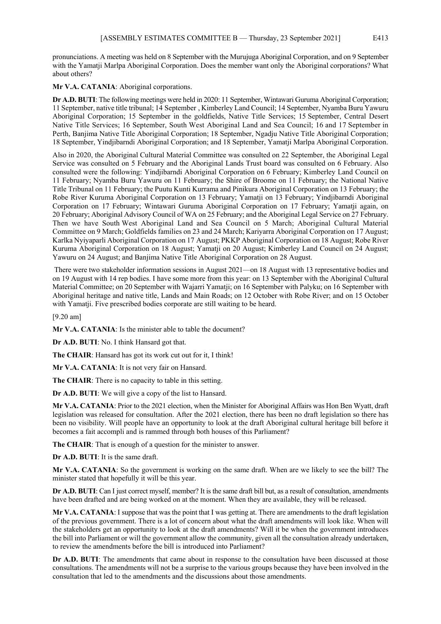pronunciations. A meeting was held on 8 September with the Murujuga Aboriginal Corporation, and on 9 September with the Yamatji Marlpa Aboriginal Corporation. Does the member want only the Aboriginal corporations? What about others?

**Mr V.A. CATANIA**: Aboriginal corporations.

**Dr A.D. BUTI**: The following meetings were held in 2020: 11 September, Wintawari Guruma Aboriginal Corporation; 11 September, native title tribunal; 14 September , Kimberley Land Council; 14 September, Nyamba Buru Yawuru Aboriginal Corporation; 15 September in the goldfields, Native Title Services; 15 September, Central Desert Native Title Services; 16 September, South West Aboriginal Land and Sea Council; 16 and 17 September in Perth, Banjima Native Title Aboriginal Corporation; 18 September, Ngadju Native Title Aboriginal Corporation; 18 September, Yindjibarndi Aboriginal Corporation; and 18 September, Yamatji Marlpa Aboriginal Corporation.

Also in 2020, the Aboriginal Cultural Material Committee was consulted on 22 September, the Aboriginal Legal Service was consulted on 5 February and the Aboriginal Lands Trust board was consulted on 6 February. Also consulted were the following: Yindjibarndi Aboriginal Corporation on 6 February; Kimberley Land Council on 11 February; Nyamba Buru Yawuru on 11 February; the Shire of Broome on 11 February; the National Native Title Tribunal on 11 February; the Puutu Kunti Kurrama and Pinikura Aboriginal Corporation on 13 February; the Robe River Kuruma Aboriginal Corporation on 13 February; Yamatji on 13 February; Yindjibarndi Aboriginal Corporation on 17 February; Wintawari Guruma Aboriginal Corporation on 17 February; Yamatji again, on 20 February; Aboriginal Advisory Council of WA on 25 February; and the Aboriginal Legal Service on 27 February. Then we have South West Aboriginal Land and Sea Council on 5 March; Aboriginal Cultural Material Committee on 9 March; Goldfields families on 23 and 24 March; Kariyarra Aboriginal Corporation on 17 August; Karlka Nyiyaparli Aboriginal Corporation on 17 August; PKKP Aboriginal Corporation on 18 August; Robe River Kuruma Aboriginal Corporation on 18 August; Yamatji on 20 August; Kimberley Land Council on 24 August; Yawuru on 24 August; and Banjima Native Title Aboriginal Corporation on 28 August.

There were two stakeholder information sessions in August 2021—on 18 August with 13 representative bodies and on 19 August with 14 rep bodies. I have some more from this year: on 13 September with the Aboriginal Cultural Material Committee; on 20 September with Wajarri Yamatji; on 16 September with Palyku; on 16 September with Aboriginal heritage and native title, Lands and Main Roads; on 12 October with Robe River; and on 15 October with Yamatji. Five prescribed bodies corporate are still waiting to be heard.

[9.20 am]

**Mr V.A. CATANIA:** Is the minister able to table the document?

**Dr A.D. BUTI**: No. I think Hansard got that.

**The CHAIR**: Hansard has got its work cut out for it, I think!

**Mr V.A. CATANIA**: It is not very fair on Hansard.

**The CHAIR**: There is no capacity to table in this setting.

**Dr A.D. BUTI**: We will give a copy of the list to Hansard.

**Mr V.A. CATANIA**: Prior to the 2021 election, when the Minister for Aboriginal Affairs was Hon Ben Wyatt, draft legislation was released for consultation. After the 2021 election, there has been no draft legislation so there has been no visibility. Will people have an opportunity to look at the draft Aboriginal cultural heritage bill before it becomes a fait accompli and is rammed through both houses of this Parliament?

**The CHAIR**: That is enough of a question for the minister to answer.

**Dr A.D. BUTI**: It is the same draft.

**Mr V.A. CATANIA**: So the government is working on the same draft. When are we likely to see the bill? The minister stated that hopefully it will be this year.

**Dr A.D. BUTI**: Can I just correct myself, member? It is the same draft bill but, as a result of consultation, amendments have been drafted and are being worked on at the moment. When they are available, they will be released.

**Mr V.A. CATANIA**: I suppose that was the point that I was getting at. There are amendments to the draft legislation of the previous government. There is a lot of concern about what the draft amendments will look like. When will the stakeholders get an opportunity to look at the draft amendments? Will it be when the government introduces the bill into Parliament or will the government allow the community, given all the consultation already undertaken, to review the amendments before the bill is introduced into Parliament?

**Dr A.D. BUTI**: The amendments that came about in response to the consultation have been discussed at those consultations. The amendments will not be a surprise to the various groups because they have been involved in the consultation that led to the amendments and the discussions about those amendments.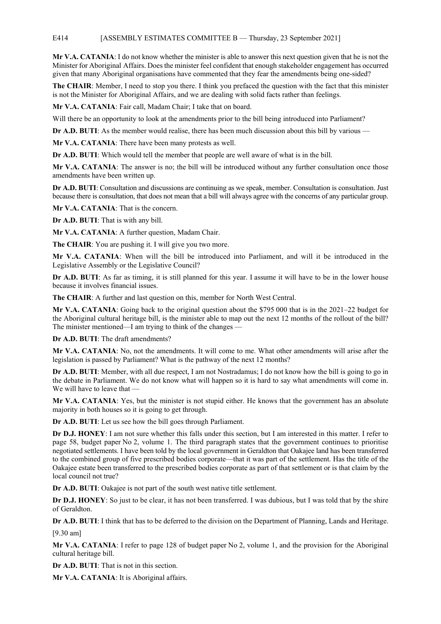# E414 [ASSEMBLY ESTIMATES COMMITTEE B — Thursday, 23 September 2021]

**Mr V.A. CATANIA**: I do not know whether the minister is able to answer this next question given that he is not the Minister for Aboriginal Affairs. Does the minister feel confident that enough stakeholder engagement has occurred given that many Aboriginal organisations have commented that they fear the amendments being one-sided?

**The CHAIR**: Member, I need to stop you there. I think you prefaced the question with the fact that this minister is not the Minister for Aboriginal Affairs, and we are dealing with solid facts rather than feelings.

**Mr V.A. CATANIA**: Fair call, Madam Chair; I take that on board.

Will there be an opportunity to look at the amendments prior to the bill being introduced into Parliament?

**Dr A.D. BUTI:** As the member would realise, there has been much discussion about this bill by various —

**Mr V.A. CATANIA**: There have been many protests as well.

**Dr A.D. BUTI**: Which would tell the member that people are well aware of what is in the bill.

**Mr V.A. CATANIA**: The answer is no; the bill will be introduced without any further consultation once those amendments have been written up.

**Dr A.D. BUTI**: Consultation and discussions are continuing as we speak, member. Consultation is consultation. Just because there is consultation, that does not mean that a bill will always agree with the concerns of any particular group.

**Mr V.A. CATANIA**: That is the concern.

**Dr A.D. BUTI**: That is with any bill.

**Mr V.A. CATANIA**: A further question, Madam Chair.

**The CHAIR**: You are pushing it. I will give you two more.

**Mr V.A. CATANIA**: When will the bill be introduced into Parliament, and will it be introduced in the Legislative Assembly or the Legislative Council?

**Dr A.D. BUTI**: As far as timing, it is still planned for this year. I assume it will have to be in the lower house because it involves financial issues.

**The CHAIR**: A further and last question on this, member for North West Central.

**Mr V.A. CATANIA**: Going back to the original question about the \$795 000 that is in the 2021–22 budget for the Aboriginal cultural heritage bill, is the minister able to map out the next 12 months of the rollout of the bill? The minister mentioned—I am trying to think of the changes —

**Dr A.D. BUTI**: The draft amendments?

**Mr V.A. CATANIA**: No, not the amendments. It will come to me. What other amendments will arise after the legislation is passed by Parliament? What is the pathway of the next 12 months?

**Dr A.D. BUTI**: Member, with all due respect, I am not Nostradamus; I do not know how the bill is going to go in the debate in Parliament. We do not know what will happen so it is hard to say what amendments will come in. We will have to leave that —

**Mr V.A. CATANIA**: Yes, but the minister is not stupid either. He knows that the government has an absolute majority in both houses so it is going to get through.

**Dr A.D. BUTI**: Let us see how the bill goes through Parliament.

**Dr D.J. HONEY**: I am not sure whether this falls under this section, but I am interested in this matter. I refer to page 58, budget paper No 2, volume 1. The third paragraph states that the government continues to prioritise negotiated settlements. I have been told by the local government in Geraldton that Oakajee land has been transferred to the combined group of five prescribed bodies corporate—that it was part of the settlement. Has the title of the Oakajee estate been transferred to the prescribed bodies corporate as part of that settlement or is that claim by the local council not true?

**Dr A.D. BUTI**: Oakajee is not part of the south west native title settlement.

**Dr D.J. HONEY**: So just to be clear, it has not been transferred. I was dubious, but I was told that by the shire of Geraldton.

**Dr A.D. BUTI**: I think that has to be deferred to the division on the Department of Planning, Lands and Heritage.

[9.30 am]

**Mr V.A. CATANIA**: I refer to page 128 of budget paper No 2, volume 1, and the provision for the Aboriginal cultural heritage bill.

**Dr A.D. BUTI**: That is not in this section.

**Mr V.A. CATANIA**: It is Aboriginal affairs.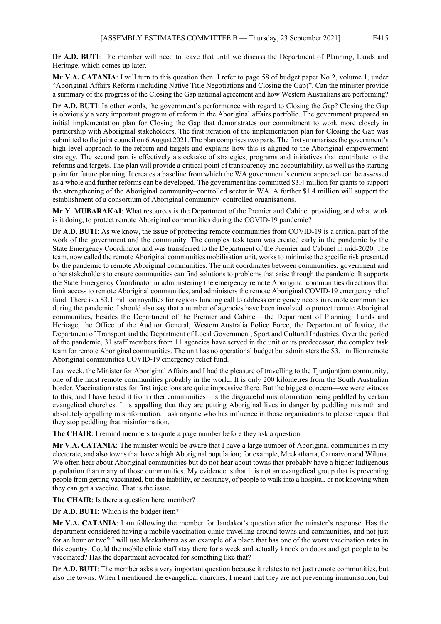**Dr A.D. BUTI**: The member will need to leave that until we discuss the Department of Planning, Lands and Heritage, which comes up later.

**Mr V.A. CATANIA**: I will turn to this question then: I refer to page 58 of budget paper No 2, volume 1, under "Aboriginal Affairs Reform (including Native Title Negotiations and Closing the Gap)". Can the minister provide a summary of the progress of the Closing the Gap national agreement and how Western Australians are performing?

**Dr A.D. BUTI**: In other words, the government's performance with regard to Closing the Gap? Closing the Gap is obviously a very important program of reform in the Aboriginal affairs portfolio. The government prepared an initial implementation plan for Closing the Gap that demonstrates our commitment to work more closely in partnership with Aboriginal stakeholders. The first iteration of the implementation plan for Closing the Gap was submitted to the joint council on 6 August 2021. The plan comprises two parts. The first summarises the government's high-level approach to the reform and targets and explains how this is aligned to the Aboriginal empowerment strategy. The second part is effectively a stocktake of strategies, programs and initiatives that contribute to the reforms and targets. The plan will provide a critical point of transparency and accountability, as well as the starting point for future planning. It creates a baseline from which the WA government's current approach can be assessed as a whole and further reforms can be developed. The government has committed \$3.4 million for grants to support the strengthening of the Aboriginal community–controlled sector in WA. A further \$1.4 million will support the establishment of a consortium of Aboriginal community–controlled organisations.

**Mr Y. MUBARAKAI**: What resources is the Department of the Premier and Cabinet providing, and what work is it doing, to protect remote Aboriginal communities during the COVID-19 pandemic?

**Dr A.D. BUTI**: As we know, the issue of protecting remote communities from COVID-19 is a critical part of the work of the government and the community. The complex task team was created early in the pandemic by the State Emergency Coordinator and was transferred to the Department of the Premier and Cabinet in mid-2020. The team, now called the remote Aboriginal communities mobilisation unit, works to minimise the specific risk presented by the pandemic to remote Aboriginal communities. The unit coordinates between communities, government and other stakeholders to ensure communities can find solutions to problems that arise through the pandemic. It supports the State Emergency Coordinator in administering the emergency remote Aboriginal communities directions that limit access to remote Aboriginal communities, and administers the remote Aboriginal COVID-19 emergency relief fund. There is a \$3.1 million royalties for regions funding call to address emergency needs in remote communities during the pandemic. I should also say that a number of agencies have been involved to protect remote Aboriginal communities, besides the Department of the Premier and Cabinet—the Department of Planning, Lands and Heritage, the Office of the Auditor General, Western Australia Police Force, the Department of Justice, the Department of Transport and the Department of Local Government, Sport and Cultural Industries. Over the period of the pandemic, 31 staff members from 11 agencies have served in the unit or its predecessor, the complex task team for remote Aboriginal communities. The unit has no operational budget but administers the \$3.1 million remote Aboriginal communities COVID-19 emergency relief fund.

Last week, the Minister for Aboriginal Affairs and I had the pleasure of travelling to the Tjuntjuntjara community, one of the most remote communities probably in the world. It is only 200 kilometres from the South Australian border. Vaccination rates for first injections are quite impressive there. But the biggest concern—we were witness to this, and I have heard it from other communities—is the disgraceful misinformation being peddled by certain evangelical churches. It is appalling that they are putting Aboriginal lives in danger by peddling mistruth and absolutely appalling misinformation. I ask anyone who has influence in those organisations to please request that they stop peddling that misinformation.

**The CHAIR**: I remind members to quote a page number before they ask a question.

**Mr V.A. CATANIA**: The minister would be aware that I have a large number of Aboriginal communities in my electorate, and also towns that have a high Aboriginal population; for example, Meekatharra, Carnarvon and Wiluna. We often hear about Aboriginal communities but do not hear about towns that probably have a higher Indigenous population than many of those communities. My evidence is that it is not an evangelical group that is preventing people from getting vaccinated, but the inability, or hesitancy, of people to walk into a hospital, or not knowing when they can get a vaccine. That is the issue.

**The CHAIR**: Is there a question here, member?

**Dr A.D. BUTI**: Which is the budget item?

**Mr V.A. CATANIA**: I am following the member for Jandakot's question after the minster's response. Has the department considered having a mobile vaccination clinic travelling around towns and communities, and not just for an hour or two? I will use Meekatharra as an example of a place that has one of the worst vaccination rates in this country. Could the mobile clinic staff stay there for a week and actually knock on doors and get people to be vaccinated? Has the department advocated for something like that?

**Dr A.D. BUTI**: The member asks a very important question because it relates to not just remote communities, but also the towns. When I mentioned the evangelical churches, I meant that they are not preventing immunisation, but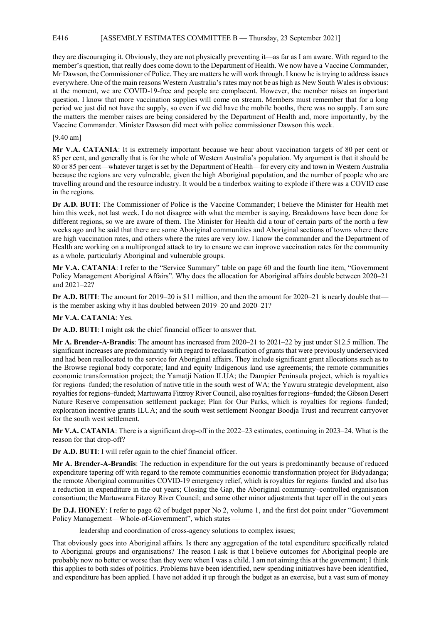# E416 [ASSEMBLY ESTIMATES COMMITTEE B — Thursday, 23 September 2021]

they are discouraging it. Obviously, they are not physically preventing it—as far as I am aware. With regard to the member's question, that really does come down to the Department of Health. We now have a Vaccine Commander, Mr Dawson, the Commissioner of Police. They are matters he will work through. I know he is trying to address issues everywhere. One of the main reasons Western Australia's rates may not be as high as New South Wales is obvious: at the moment, we are COVID-19-free and people are complacent. However, the member raises an important question. I know that more vaccination supplies will come on stream. Members must remember that for a long period we just did not have the supply, so even if we did have the mobile booths, there was no supply. I am sure the matters the member raises are being considered by the Department of Health and, more importantly, by the Vaccine Commander. Minister Dawson did meet with police commissioner Dawson this week.

# [9.40 am]

**Mr V.A. CATANIA**: It is extremely important because we hear about vaccination targets of 80 per cent or 85 per cent, and generally that is for the whole of Western Australia's population. My argument is that it should be 80 or 85 per cent—whatever target is set by the Department of Health—for every city and town in Western Australia because the regions are very vulnerable, given the high Aboriginal population, and the number of people who are travelling around and the resource industry. It would be a tinderbox waiting to explode if there was a COVID case in the regions.

**Dr A.D. BUTI**: The Commissioner of Police is the Vaccine Commander; I believe the Minister for Health met him this week, not last week. I do not disagree with what the member is saying. Breakdowns have been done for different regions, so we are aware of them. The Minister for Health did a tour of certain parts of the north a few weeks ago and he said that there are some Aboriginal communities and Aboriginal sections of towns where there are high vaccination rates, and others where the rates are very low. I know the commander and the Department of Health are working on a multipronged attack to try to ensure we can improve vaccination rates for the community as a whole, particularly Aboriginal and vulnerable groups.

**Mr V.A. CATANIA**: I refer to the "Service Summary" table on page 60 and the fourth line item, "Government Policy Management Aboriginal Affairs". Why does the allocation for Aboriginal affairs double between 2020–21 and 2021–22?

**Dr A.D. BUTI:** The amount for 2019–20 is \$11 million, and then the amount for 2020–21 is nearly double that is the member asking why it has doubled between 2019–20 and 2020–21?

### **Mr V.A. CATANIA**: Yes.

**Dr A.D. BUTI**: I might ask the chief financial officer to answer that.

**Mr A. Brender-A-Brandis**: The amount has increased from 2020–21 to 2021–22 by just under \$12.5 million. The significant increases are predominantly with regard to reclassification of grants that were previously underserviced and had been reallocated to the service for Aboriginal affairs. They include significant grant allocations such as to the Browse regional body corporate; land and equity Indigenous land use agreements; the remote communities economic transformation project; the Yamatji Nation ILUA; the Dampier Peninsula project, which is royalties for regions–funded; the resolution of native title in the south west of WA; the Yawuru strategic development, also royalties for regions–funded; Martuwarra Fitzroy River Council, also royalties for regions–funded; the Gibson Desert Nature Reserve compensation settlement package; Plan for Our Parks, which is royalties for regions–funded; exploration incentive grants ILUA; and the south west settlement Noongar Boodja Trust and recurrent carryover for the south west settlement.

**Mr V.A. CATANIA**: There is a significant drop-off in the 2022–23 estimates, continuing in 2023–24. What is the reason for that drop-off?

**Dr A.D. BUTI**: I will refer again to the chief financial officer.

**Mr A. Brender-A-Brandis**: The reduction in expenditure for the out years is predominantly because of reduced expenditure tapering off with regard to the remote communities economic transformation project for Bidyadanga; the remote Aboriginal communities COVID-19 emergency relief, which is royalties for regions–funded and also has a reduction in expenditure in the out years; Closing the Gap, the Aboriginal community–controlled organisation consortium; the Martuwarra Fitzroy River Council; and some other minor adjustments that taper off in the out years

**Dr D.J. HONEY**: I refer to page 62 of budget paper No 2, volume 1, and the first dot point under "Government Policy Management—Whole-of-Government", which states —

leadership and coordination of cross-agency solutions to complex issues;

That obviously goes into Aboriginal affairs. Is there any aggregation of the total expenditure specifically related to Aboriginal groups and organisations? The reason I ask is that I believe outcomes for Aboriginal people are probably now no better or worse than they were when I was a child. I am not aiming this at the government; I think this applies to both sides of politics. Problems have been identified, new spending initiatives have been identified, and expenditure has been applied. I have not added it up through the budget as an exercise, but a vast sum of money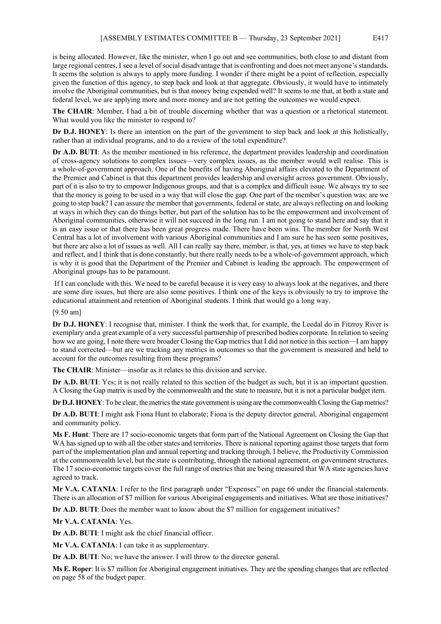is being allocated. However, like the minister, when I go out and see communities, both close to and distant from large regional centres, I see a level of social disadvantage that is confronting and does not meet anyone's standards. It seems the solution is always to apply more funding. I wonder if there might be a point of reflection, especially given the function of this agency, to step back and look at that aggregate. Obviously, it would have to intimately involve the Aboriginal communities, but is that money being expended well? It seems to me that, at both a state and federal level, we are applying more and more money and are not getting the outcomes we would expect.

**The CHAIR**: Member, I had a bit of trouble discerning whether that was a question or a rhetorical statement. What would you like the minister to respond to?

**Dr D.J. HONEY**: Is there an intention on the part of the government to step back and look at this holistically, rather than at individual programs, and to do a review of the total expenditure?

**Dr A.D. BUTI**: As the member mentioned in his reference, the department provides leadership and coordination of cross-agency solutions to complex issues—very complex issues, as the member would well realise. This is a whole-of-government approach. One of the benefits of having Aboriginal affairs elevated to the Department of the Premier and Cabinet is that this department provides leadership and oversight across government. Obviously, part of it is also to try to empower Indigenous groups, and that is a complex and difficult issue. We always try to see that the money is going to be used in a way that will close the gap. One part of the member's question was: are we going to step back? I can assure the member that governments, federal or state, are always reflecting on and looking at ways in which they can do things better, but part of the solution has to be the empowerment and involvement of Aboriginal communities, otherwise it will not succeed in the long run. I am not going to stand here and say that it is an easy issue or that there has been great progress made. There have been wins. The member for North West Central has a lot of involvement with various Aboriginal communities and I am sure he has seen some positives, but there are also a lot of issues as well. All I can really say there, member, is that, yes, at times we have to step back and reflect, and I think that is done constantly, but there really needs to be a whole-of-government approach, which is why it is good that the Department of the Premier and Cabinet is leading the approach. The empowerment of Aboriginal groups has to be paramount.

If I can conclude with this. We need to be careful because it is very easy to always look at the negatives, and there are some dire issues, but there are also some positives. I think one of the keys is obviously to try to improve the educational attainment and retention of Aboriginal students. I think that would go a long way.

[9.50 am]

**Dr D.J. HONEY**: I recognise that, minister. I think the work that, for example, the Leedal do in Fitzroy River is exemplary and a great example of a very successful partnership of prescribed bodies corporate. In relation to seeing how we are going, I note there were broader Closing the Gap metrics that I did not notice in this section—I am happy to stand corrected—but are we tracking any metrics in outcomes so that the government is measured and held to account for the outcomes resulting from these programs?

**The CHAIR**: Minister—insofar as it relates to this division and service.

**Dr A.D. BUTI**: Yes; it is not really related to this section of the budget as such, but it is an important question. A Closing the Gap matrix is used by the commonwealth and the state to measure, but it is not a particular budget item.

**Dr D.J. HONEY**: To be clear, the metrics the state government is using are the commonwealth Closing the Gap metrics?

**Dr A.D. BUTI**: I might ask Fiona Hunt to elaborate; Fiona is the deputy director general, Aboriginal engagement and community policy.

**Ms F. Hunt**: There are 17 socio-economic targets that form part of the National Agreement on Closing the Gap that WA has signed up to with all the other states and territories. There is national reporting against those targets that form part of the implementation plan and annual reporting and tracking through, I believe, the Productivity Commission at the commonwealth level, but the state is contributing, through the national agreement, on government structures. The 17 socio-economic targets cover the full range of metrics that are being measured that WA state agencies have agreed to track.

**Mr V.A. CATANIA**: I refer to the first paragraph under "Expenses" on page 66 under the financial statements. There is an allocation of \$7 million for various Aboriginal engagements and initiatives. What are those initiatives?

**Dr A.D. BUTI**: Does the member want to know about the \$7 million for engagement initiatives?

**Mr V.A. CATANIA**: Yes.

**Dr A.D. BUTI**: I might ask the chief financial officer.

**Mr V.A. CATANIA**: I can take it as supplementary.

**Dr A.D. BUTI**: No; we have the answer. I will throw to the director general.

**Ms E. Roper**: It is \$7 million for Aboriginal engagement initiatives. They are the spending changes that are reflected on page 58 of the budget paper.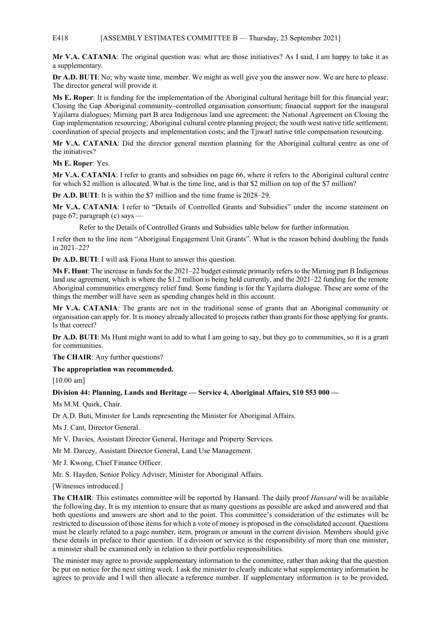# E418 [ASSEMBLY ESTIMATES COMMITTEE B — Thursday, 23 September 2021]

**Mr V.A. CATANIA**: The original question was: what are those initiatives? As I said, I am happy to take it as a supplementary.

**Dr A.D. BUTI**: No; why waste time, member. We might as well give you the answer now. We are here to please. The director general will provide it.

**Ms E. Roper**: It is funding for the implementation of the Aboriginal cultural heritage bill for this financial year; Closing the Gap Aboriginal community–controlled organisation consortium; financial support for the inaugural Yajilarra dialogues; Mirning part B area Indigenous land use agreement; the National Agreement on Closing the Gap implementation resourcing; Aboriginal cultural centre planning project; the south west native title settlement; coordination of special projects and implementation costs; and the Tjiwarl native title compensation resourcing.

**Mr V.A. CATANIA**: Did the director general mention planning for the Aboriginal cultural centre as one of the initiatives?

**Ms E. Roper**: Yes.

**Mr V.A. CATANIA**: I refer to grants and subsidies on page 66, where it refers to the Aboriginal cultural centre for which \$2 million is allocated. What is the time line, and is that \$2 million on top of the \$7 million?

**Dr A.D. BUTI**: It is within the \$7 million and the time frame is 2028–29.

**Mr V.A. CATANIA**: I refer to "Details of Controlled Grants and Subsidies" under the income statement on page 67; paragraph (c) says —

Refer to the Details of Controlled Grants and Subsidies table below for further information.

I refer then to the line item "Aboriginal Engagement Unit Grants". What is the reason behind doubling the funds in 2021–22?

**Dr A.D. BUTI**: I will ask Fiona Hunt to answer this question.

**Ms F. Hunt**: The increase in funds for the 2021–22 budget estimate primarily refers to the Mirning part B Indigenous land use agreement, which is where the \$1.2 million is being held currently, and the 2021–22 funding for the remote Aboriginal communities emergency relief fund. Some funding is for the Yajilarra dialogue. These are some of the things the member will have seen as spending changes held in this account.

**Mr V.A. CATANIA**: The grants are not in the traditional sense of grants that an Aboriginal community or organisation can apply for. It is money already allocated to projects rather than grants for those applying for grants. Is that correct?

**Dr A.D. BUTI**: Ms Hunt might want to add to what I am going to say, but they go to communities, so it is a grant for communities.

**The CHAIR**: Any further questions?

**The appropriation was recommended.**

[10.00 am]

**Division 44: Planning, Lands and Heritage — Service 4, Aboriginal Affairs, \$10 553 000 —**

Ms M.M. Quirk, Chair.

Dr A.D. Buti, Minister for Lands representing the Minister for Aboriginal Affairs.

Ms J. Cant, Director General.

Mr V. Davies, Assistant Director General, Heritage and Property Services.

Mr M. Darcey, Assistant Director General, Land Use Management.

Mr J. Kwong, Chief Finance Officer.

Mr. S. Hayden, Senior Policy Adviser, Minister for Aboriginal Affairs.

[Witnesses introduced.]

**The CHAIR**: This estimates committee will be reported by Hansard. The daily proof *Hansard* will be available the following day. It is my intention to ensure that as many questions as possible are asked and answered and that both questions and answers are short and to the point. This committee's consideration of the estimates will be restricted to discussion of those items for which a vote of money is proposed in the consolidated account. Questions must be clearly related to a page number, item, program or amount in the current division. Members should give these details in preface to their question. If a division or service is the responsibility of more than one minister, a minister shall be examined only in relation to their portfolio responsibilities.

The minister may agree to provide supplementary information to the committee, rather than asking that the question be put on notice for the next sitting week. I ask the minister to clearly indicate what supplementary information he agrees to provide and I will then allocate a reference number. If supplementary information is to be provided,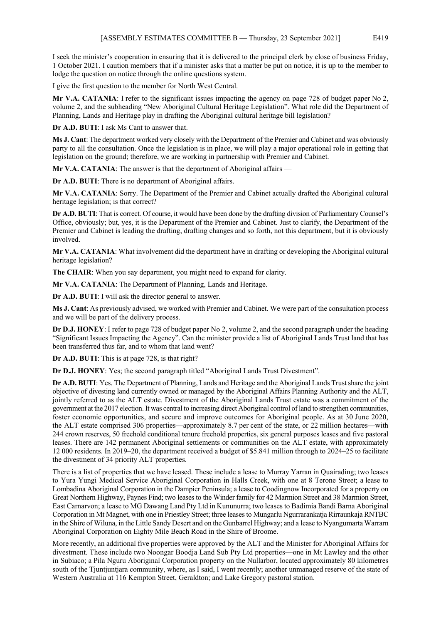I seek the minister's cooperation in ensuring that it is delivered to the principal clerk by close of business Friday, 1 October 2021. I caution members that if a minister asks that a matter be put on notice, it is up to the member to lodge the question on notice through the online questions system.

I give the first question to the member for North West Central.

**Mr V.A. CATANIA**: I refer to the significant issues impacting the agency on page 728 of budget paper No 2, volume 2, and the subheading "New Aboriginal Cultural Heritage Legislation". What role did the Department of Planning, Lands and Heritage play in drafting the Aboriginal cultural heritage bill legislation?

**Dr A.D. BUTI**: I ask Ms Cant to answer that.

**Ms J. Cant**: The department worked very closely with the Department of the Premier and Cabinet and was obviously party to all the consultation. Once the legislation is in place, we will play a major operational role in getting that legislation on the ground; therefore, we are working in partnership with Premier and Cabinet.

**Mr V.A. CATANIA**: The answer is that the department of Aboriginal affairs —

**Dr A.D. BUTI**: There is no department of Aboriginal affairs.

**Mr V.A. CATANIA**: Sorry. The Department of the Premier and Cabinet actually drafted the Aboriginal cultural heritage legislation; is that correct?

**Dr A.D. BUTI**: That is correct. Of course, it would have been done by the drafting division of Parliamentary Counsel's Office, obviously; but, yes, it is the Department of the Premier and Cabinet. Just to clarify, the Department of the Premier and Cabinet is leading the drafting, drafting changes and so forth, not this department, but it is obviously involved.

**Mr V.A. CATANIA**: What involvement did the department have in drafting or developing the Aboriginal cultural heritage legislation?

**The CHAIR:** When you say department, you might need to expand for clarity.

**Mr V.A. CATANIA**: The Department of Planning, Lands and Heritage.

**Dr A.D. BUTI**: I will ask the director general to answer.

**Ms J. Cant**: As previously advised, we worked with Premier and Cabinet. We were part of the consultation process and we will be part of the delivery process.

**Dr D.J. HONEY**: I refer to page 728 of budget paper No 2, volume 2, and the second paragraph under the heading "Significant Issues Impacting the Agency". Can the minister provide a list of Aboriginal Lands Trust land that has been transferred thus far, and to whom that land went?

**Dr A.D. BUTI**: This is at page 728, is that right?

**Dr D.J. HONEY**: Yes; the second paragraph titled "Aboriginal Lands Trust Divestment".

**Dr A.D. BUTI**: Yes. The Department of Planning, Lands and Heritage and the Aboriginal Lands Trust share the joint objective of divesting land currently owned or managed by the Aboriginal Affairs Planning Authority and the ALT, jointly referred to as the ALT estate. Divestment of the Aboriginal Lands Trust estate was a commitment of the government at the 2017 election. It was central to increasing direct Aboriginal control of land to strengthen communities, foster economic opportunities, and secure and improve outcomes for Aboriginal people. As at 30 June 2020, the ALT estate comprised 306 properties—approximately 8.7 per cent of the state, or 22 million hectares—with 244 crown reserves, 50 freehold conditional tenure freehold properties, six general purposes leases and five pastoral leases. There are 142 permanent Aboriginal settlements or communities on the ALT estate, with approximately 12 000 residents. In 2019–20, the department received a budget of \$5.841 million through to 2024–25 to facilitate the divestment of 34 priority ALT properties.

There is a list of properties that we have leased. These include a lease to Murray Yarran in Quairading; two leases to Yura Yungi Medical Service Aboriginal Corporation in Halls Creek, with one at 8 Terone Street; a lease to Lombadina Aboriginal Corporation in the Dampier Peninsula; a lease to Coodingnow Incorporated for a property on Great Northern Highway, Paynes Find; two leases to the Winder family for 42 Marmion Street and 38 Marmion Street, East Carnarvon; a lease to MG Dawang Land Pty Ltd in Kununurra; two leases to Badimia Bandi Barna Aboriginal Corporation in Mt Magnet, with one in Priestley Street; three leases to Mungarlu Ngurrarankatja Rirraunkaja RNTBC in the Shire of Wiluna, in the Little Sandy Desert and on the Gunbarrel Highway; and a lease to Nyangumarta Warrarn Aboriginal Corporation on Eighty Mile Beach Road in the Shire of Broome.

More recently, an additional five properties were approved by the ALT and the Minister for Aboriginal Affairs for divestment. These include two Noongar Boodja Land Sub Pty Ltd properties—one in Mt Lawley and the other in Subiaco; a Pila Nguru Aboriginal Corporation property on the Nullarbor, located approximately 80 kilometres south of the Tjuntjuntjara community, where, as I said, I went recently; another unmanaged reserve of the state of Western Australia at 116 Kempton Street, Geraldton; and Lake Gregory pastoral station.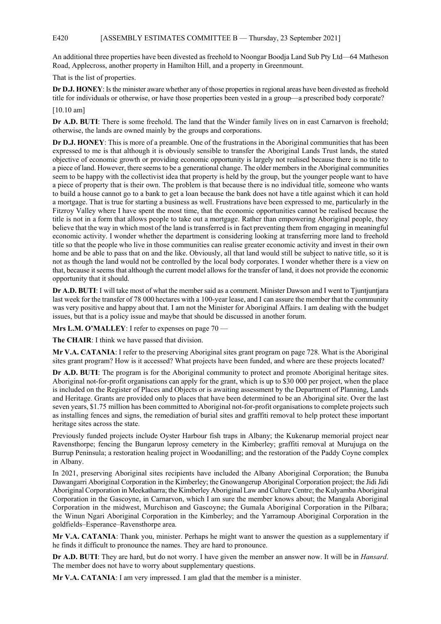An additional three properties have been divested as freehold to Noongar Boodja Land Sub Pty Ltd—64 Matheson Road, Applecross, another property in Hamilton Hill, and a property in Greenmount.

That is the list of properties.

**Dr D.J. HONEY**: Is the minister aware whether any of those properties in regional areas have been divested as freehold title for individuals or otherwise, or have those properties been vested in a group—a prescribed body corporate?

[10.10 am]

**Dr A.D. BUTI**: There is some freehold. The land that the Winder family lives on in east Carnarvon is freehold; otherwise, the lands are owned mainly by the groups and corporations.

**Dr D.J. HONEY**: This is more of a preamble. One of the frustrations in the Aboriginal communities that has been expressed to me is that although it is obviously sensible to transfer the Aboriginal Lands Trust lands, the stated objective of economic growth or providing economic opportunity is largely not realised because there is no title to a piece of land. However, there seems to be a generational change. The older members in the Aboriginal communities seem to be happy with the collectivist idea that property is held by the group, but the younger people want to have a piece of property that is their own. The problem is that because there is no individual title, someone who wants to build a house cannot go to a bank to get a loan because the bank does not have a title against which it can hold a mortgage. That is true for starting a business as well. Frustrations have been expressed to me, particularly in the Fitzroy Valley where I have spent the most time, that the economic opportunities cannot be realised because the title is not in a form that allows people to take out a mortgage. Rather than empowering Aboriginal people, they believe that the way in which most of the land is transferred is in fact preventing them from engaging in meaningful economic activity. I wonder whether the department is considering looking at transferring more land to freehold title so that the people who live in those communities can realise greater economic activity and invest in their own home and be able to pass that on and the like. Obviously, all that land would still be subject to native title, so it is not as though the land would not be controlled by the local body corporates. I wonder whether there is a view on that, because it seems that although the current model allows for the transfer of land, it does not provide the economic opportunity that it should.

**Dr A.D. BUTI**: I will take most of what the member said as a comment. Minister Dawson and I went to Tjuntjuntjara last week for the transfer of 78 000 hectares with a 100-year lease, and I can assure the member that the community was very positive and happy about that. I am not the Minister for Aboriginal Affairs. I am dealing with the budget issues, but that is a policy issue and maybe that should be discussed in another forum.

**Mrs L.M. O'MALLEY**: I refer to expenses on page 70 —

**The CHAIR**: I think we have passed that division.

**Mr V.A. CATANIA**: I refer to the preserving Aboriginal sites grant program on page 728. What is the Aboriginal sites grant program? How is it accessed? What projects have been funded, and where are these projects located?

**Dr A.D. BUTI**: The program is for the Aboriginal community to protect and promote Aboriginal heritage sites. Aboriginal not-for-profit organisations can apply for the grant, which is up to \$30 000 per project, when the place is included on the Register of Places and Objects or is awaiting assessment by the Department of Planning, Lands and Heritage. Grants are provided only to places that have been determined to be an Aboriginal site. Over the last seven years, \$1.75 million has been committed to Aboriginal not-for-profit organisations to complete projects such as installing fences and signs, the remediation of burial sites and graffiti removal to help protect these important heritage sites across the state.

Previously funded projects include Oyster Harbour fish traps in Albany; the Kukenarup memorial project near Ravensthorpe; fencing the Bungarun leprosy cemetery in the Kimberley; graffiti removal at Murujuga on the Burrup Peninsula; a restoration healing project in Woodanilling; and the restoration of the Paddy Coyne complex in Albany.

In 2021, preserving Aboriginal sites recipients have included the Albany Aboriginal Corporation; the Bunuba Dawangarri Aboriginal Corporation in the Kimberley; the Gnowangerup Aboriginal Corporation project; the Jidi Jidi Aboriginal Corporation in Meekatharra; the Kimberley Aboriginal Law and Culture Centre; the Kulyamba Aboriginal Corporation in the Gascoyne, in Carnarvon, which I am sure the member knows about; the Mangala Aboriginal Corporation in the midwest, Murchison and Gascoyne; the Gumala Aboriginal Corporation in the Pilbara; the Winun Ngari Aboriginal Corporation in the Kimberley; and the Yarramoup Aboriginal Corporation in the goldfields–Esperance–Ravensthorpe area.

**Mr V.A. CATANIA**: Thank you, minister. Perhaps he might want to answer the question as a supplementary if he finds it difficult to pronounce the names. They are hard to pronounce.

**Dr A.D. BUTI**: They are hard, but do not worry. I have given the member an answer now. It will be in *Hansard*. The member does not have to worry about supplementary questions.

**Mr V.A. CATANIA**: I am very impressed. I am glad that the member is a minister.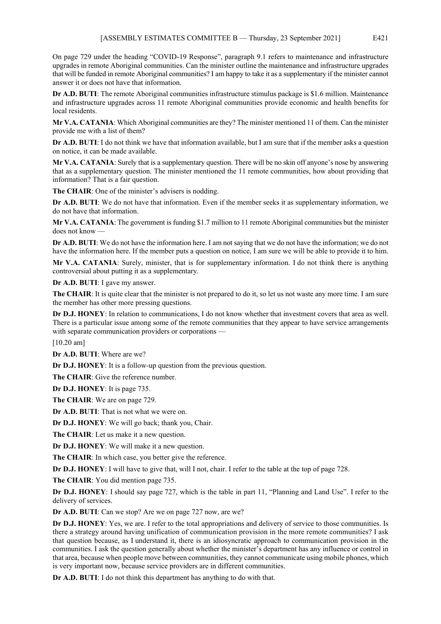On page 729 under the heading "COVID-19 Response", paragraph 9.1 refers to maintenance and infrastructure upgrades in remote Aboriginal communities. Can the minister outline the maintenance and infrastructure upgrades that will be funded in remote Aboriginal communities? I am happy to take it as a supplementary if the minister cannot answer it or does not have that information.

**Dr A.D. BUTI**: The remote Aboriginal communities infrastructure stimulus package is \$1.6 million. Maintenance and infrastructure upgrades across 11 remote Aboriginal communities provide economic and health benefits for local residents.

**Mr V.A. CATANIA**: Which Aboriginal communities are they? The minister mentioned 11 of them. Can the minister provide me with a list of them?

**Dr A.D. BUTI**: I do not think we have that information available, but I am sure that if the member asks a question on notice, it can be made available.

**Mr V.A. CATANIA**: Surely that is a supplementary question. There will be no skin off anyone's nose by answering that as a supplementary question. The minister mentioned the 11 remote communities, how about providing that information? That is a fair question.

**The CHAIR**: One of the minister's advisers is nodding.

**Dr A.D. BUTI**: We do not have that information. Even if the member seeks it as supplementary information, we do not have that information.

**Mr V.A. CATANIA**: The government is funding \$1.7 million to 11 remote Aboriginal communities but the minister does not know —

**Dr A.D. BUTI**: We do not have the information here. I am not saying that we do not have the information; we do not have the information here. If the member puts a question on notice, I am sure we will be able to provide it to him.

**Mr V.A. CATANIA**: Surely, minister, that is for supplementary information. I do not think there is anything controversial about putting it as a supplementary.

**Dr A.D. BUTI**: I gave my answer.

**The CHAIR:** It is quite clear that the minister is not prepared to do it, so let us not waste any more time. I am sure the member has other more pressing questions.

**Dr D.J. HONEY**: In relation to communications, I do not know whether that investment covers that area as well. There is a particular issue among some of the remote communities that they appear to have service arrangements with separate communication providers or corporations -

[10.20 am]

**Dr A.D. BUTI**: Where are we?

**Dr D.J. HONEY**: It is a follow-up question from the previous question.

**The CHAIR**: Give the reference number.

**Dr D.J. HONEY**: It is page 735.

**The CHAIR**: We are on page 729.

**Dr A.D. BUTI**: That is not what we were on.

**Dr D.J. HONEY**: We will go back; thank you, Chair.

The CHAIR: Let us make it a new question.

**Dr D.J. HONEY**: We will make it a new question.

**The CHAIR**: In which case, you better give the reference.

**Dr D.J. HONEY**: I will have to give that, will I not, chair. I refer to the table at the top of page 728.

**The CHAIR**: You did mention page 735.

**Dr D.J. HONEY**: I should say page 727, which is the table in part 11, "Planning and Land Use". I refer to the delivery of services.

**Dr A.D. BUTI**: Can we stop? Are we on page 727 now, are we?

**Dr D.J. HONEY**: Yes, we are. I refer to the total appropriations and delivery of service to those communities. Is there a strategy around having unification of communication provision in the more remote communities? I ask that question because, as I understand it, there is an idiosyncratic approach to communication provision in the communities. I ask the question generally about whether the minister's department has any influence or control in that area, because when people move between communities, they cannot communicate using mobile phones, which is very important now, because service providers are in different communities.

**Dr A.D. BUTI**: I do not think this department has anything to do with that.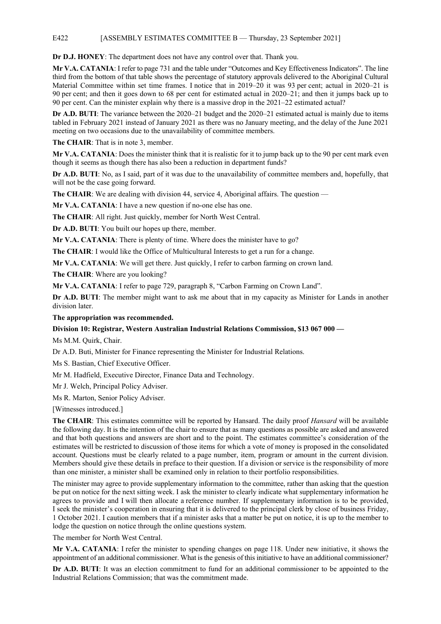# E422 [ASSEMBLY ESTIMATES COMMITTEE B — Thursday, 23 September 2021]

**Dr D.J. HONEY**: The department does not have any control over that. Thank you.

**Mr V.A. CATANIA**: I refer to page 731 and the table under "Outcomes and Key Effectiveness Indicators". The line third from the bottom of that table shows the percentage of statutory approvals delivered to the Aboriginal Cultural Material Committee within set time frames. I notice that in 2019–20 it was 93 per cent; actual in 2020–21 is 90 per cent; and then it goes down to 68 per cent for estimated actual in 2020–21; and then it jumps back up to 90 per cent. Can the minister explain why there is a massive drop in the 2021–22 estimated actual?

**Dr A.D. BUTI**: The variance between the 2020–21 budget and the 2020–21 estimated actual is mainly due to items tabled in February 2021 instead of January 2021 as there was no January meeting, and the delay of the June 2021 meeting on two occasions due to the unavailability of committee members.

**The CHAIR**: That is in note 3, member.

**Mr V.A. CATANIA**: Does the minister think that it is realistic for it to jump back up to the 90 per cent mark even though it seems as though there has also been a reduction in department funds?

**Dr A.D. BUTI**: No, as I said, part of it was due to the unavailability of committee members and, hopefully, that will not be the case going forward.

**The CHAIR:** We are dealing with division 44, service 4, Aboriginal affairs. The question —

**Mr V.A. CATANIA**: I have a new question if no-one else has one.

**The CHAIR**: All right. Just quickly, member for North West Central.

**Dr A.D. BUTI**: You built our hopes up there, member.

**Mr V.A. CATANIA**: There is plenty of time. Where does the minister have to go?

**The CHAIR**: I would like the Office of Multicultural Interests to get a run for a change.

**Mr V.A. CATANIA**: We will get there. Just quickly, I refer to carbon farming on crown land.

**The CHAIR**: Where are you looking?

**Mr V.A. CATANIA**: I refer to page 729, paragraph 8, "Carbon Farming on Crown Land".

**Dr A.D. BUTI**: The member might want to ask me about that in my capacity as Minister for Lands in another division later.

**The appropriation was recommended.**

# **Division 10: Registrar, Western Australian Industrial Relations Commission, \$13 067 000 —**

Ms M.M. Quirk, Chair.

Dr A.D. Buti, Minister for Finance representing the Minister for Industrial Relations.

Ms S. Bastian, Chief Executive Officer.

Mr M. Hadfield, Executive Director, Finance Data and Technology.

Mr J. Welch, Principal Policy Adviser.

Ms R. Marton, Senior Policy Adviser.

[Witnesses introduced.]

**The CHAIR**: This estimates committee will be reported by Hansard. The daily proof *Hansard* will be available the following day. It is the intention of the chair to ensure that as many questions as possible are asked and answered and that both questions and answers are short and to the point. The estimates committee's consideration of the estimates will be restricted to discussion of those items for which a vote of money is proposed in the consolidated account. Questions must be clearly related to a page number, item, program or amount in the current division. Members should give these details in preface to their question. If a division or service is the responsibility of more than one minister, a minister shall be examined only in relation to their portfolio responsibilities.

The minister may agree to provide supplementary information to the committee, rather than asking that the question be put on notice for the next sitting week. I ask the minister to clearly indicate what supplementary information he agrees to provide and I will then allocate a reference number. If supplementary information is to be provided, I seek the minister's cooperation in ensuring that it is delivered to the principal clerk by close of business Friday, 1 October 2021. I caution members that if a minister asks that a matter be put on notice, it is up to the member to lodge the question on notice through the online questions system.

The member for North West Central.

**Mr V.A. CATANIA**: I refer the minister to spending changes on page 118. Under new initiative, it shows the appointment of an additional commissioner. What is the genesis of this initiative to have an additional commissioner?

**Dr A.D. BUTI**: It was an election commitment to fund for an additional commissioner to be appointed to the Industrial Relations Commission; that was the commitment made.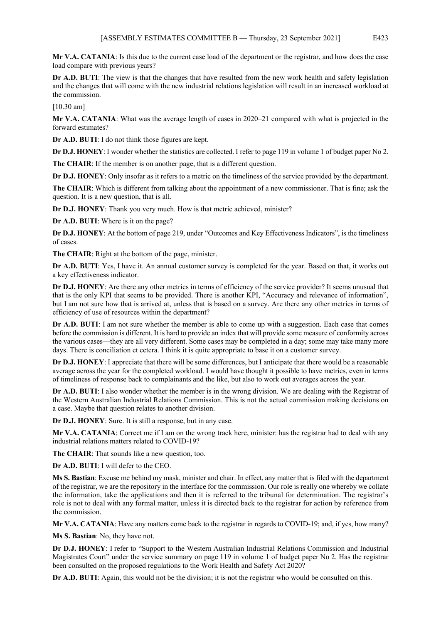**Mr V.A. CATANIA**: Is this due to the current case load of the department or the registrar, and how does the case load compare with previous years?

**Dr A.D. BUTI:** The view is that the changes that have resulted from the new work health and safety legislation and the changes that will come with the new industrial relations legislation will result in an increased workload at the commission.

[10.30 am]

**Mr V.A. CATANIA**: What was the average length of cases in 2020–21 compared with what is projected in the forward estimates?

**Dr A.D. BUTI**: I do not think those figures are kept.

**Dr D.J. HONEY**: I wonder whether the statistics are collected. I refer to page 119 in volume 1 of budget paper No 2.

**The CHAIR**: If the member is on another page, that is a different question.

**Dr D.J. HONEY:** Only insofar as it refers to a metric on the timeliness of the service provided by the department.

**The CHAIR**: Which is different from talking about the appointment of a new commissioner. That is fine; ask the question. It is a new question, that is all.

**Dr D.J. HONEY**: Thank you very much. How is that metric achieved, minister?

**Dr A.D. BUTI**: Where is it on the page?

**Dr D.J. HONEY**: At the bottom of page 219, under "Outcomes and Key Effectiveness Indicators", is the timeliness of cases.

**The CHAIR**: Right at the bottom of the page, minister.

**Dr A.D. BUTI**: Yes, I have it. An annual customer survey is completed for the year. Based on that, it works out a key effectiveness indicator.

**Dr D.J. HONEY**: Are there any other metrics in terms of efficiency of the service provider? It seems unusual that that is the only KPI that seems to be provided. There is another KPI, "Accuracy and relevance of information", but I am not sure how that is arrived at, unless that is based on a survey. Are there any other metrics in terms of efficiency of use of resources within the department?

**Dr A.D. BUTI**: I am not sure whether the member is able to come up with a suggestion. Each case that comes before the commission is different. It is hard to provide an index that will provide some measure of conformity across the various cases—they are all very different. Some cases may be completed in a day; some may take many more days. There is conciliation et cetera. I think it is quite appropriate to base it on a customer survey.

**Dr D.J. HONEY**: I appreciate that there will be some differences, but I anticipate that there would be a reasonable average across the year for the completed workload. I would have thought it possible to have metrics, even in terms of timeliness of response back to complainants and the like, but also to work out averages across the year.

**Dr A.D. BUTI**: I also wonder whether the member is in the wrong division. We are dealing with the Registrar of the Western Australian Industrial Relations Commission. This is not the actual commission making decisions on a case. Maybe that question relates to another division.

**Dr D.J. HONEY**: Sure. It is still a response, but in any case.

**Mr V.A. CATANIA**: Correct me if I am on the wrong track here, minister: has the registrar had to deal with any industrial relations matters related to COVID-19?

**The CHAIR**: That sounds like a new question, too.

**Dr A.D. BUTI**: I will defer to the CEO.

**Ms S. Bastian**: Excuse me behind my mask, minister and chair. In effect, any matter that is filed with the department of the registrar, we are the repository in the interface for the commission. Our role is really one whereby we collate the information, take the applications and then it is referred to the tribunal for determination. The registrar's role is not to deal with any formal matter, unless it is directed back to the registrar for action by reference from the commission.

**Mr V.A. CATANIA**: Have any matters come back to the registrar in regards to COVID-19; and, if yes, how many?

**Ms S. Bastian**: No, they have not.

**Dr D.J. HONEY**: I refer to "Support to the Western Australian Industrial Relations Commission and Industrial Magistrates Court" under the service summary on page 119 in volume 1 of budget paper No 2. Has the registrar been consulted on the proposed regulations to the Work Health and Safety Act 2020?

**Dr A.D. BUTI**: Again, this would not be the division; it is not the registrar who would be consulted on this.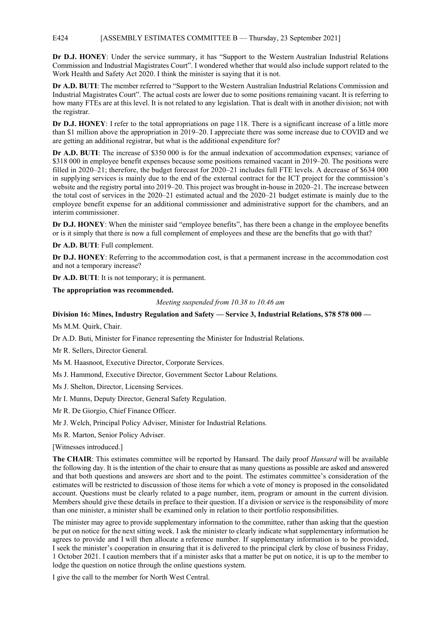# E424 [ASSEMBLY ESTIMATES COMMITTEE B — Thursday, 23 September 2021]

**Dr D.J. HONEY**: Under the service summary, it has "Support to the Western Australian Industrial Relations Commission and Industrial Magistrates Court". I wondered whether that would also include support related to the Work Health and Safety Act 2020. I think the minister is saying that it is not.

**Dr A.D. BUTI**: The member referred to "Support to the Western Australian Industrial Relations Commission and Industrial Magistrates Court". The actual costs are lower due to some positions remaining vacant. It is referring to how many FTEs are at this level. It is not related to any legislation. That is dealt with in another division; not with the registrar.

**Dr D.J. HONEY**: I refer to the total appropriations on page 118. There is a significant increase of a little more than \$1 million above the appropriation in 2019–20. I appreciate there was some increase due to COVID and we are getting an additional registrar, but what is the additional expenditure for?

**Dr A.D. BUTI**: The increase of \$350 000 is for the annual indexation of accommodation expenses; variance of \$318 000 in employee benefit expenses because some positions remained vacant in 2019–20. The positions were filled in 2020–21; therefore, the budget forecast for 2020–21 includes full FTE levels. A decrease of \$634 000 in supplying services is mainly due to the end of the external contract for the ICT project for the commission's website and the registry portal into 2019–20. This project was brought in-house in 2020–21. The increase between the total cost of services in the 2020–21 estimated actual and the 2020–21 budget estimate is mainly due to the employee benefit expense for an additional commissioner and administrative support for the chambers, and an interim commissioner.

**Dr D.J. HONEY**: When the minister said "employee benefits", has there been a change in the employee benefits or is it simply that there is now a full complement of employees and these are the benefits that go with that?

**Dr A.D. BUTI**: Full complement.

**Dr D.J. HONEY**: Referring to the accommodation cost, is that a permanent increase in the accommodation cost and not a temporary increase?

**Dr A.D. BUTI**: It is not temporary; it is permanent.

**The appropriation was recommended.** 

*Meeting suspended from 10.38 to 10.46 am*

# **Division 16: Mines, Industry Regulation and Safety — Service 3, Industrial Relations, \$78 578 000 —**

Ms M.M. Quirk, Chair.

Dr A.D. Buti, Minister for Finance representing the Minister for Industrial Relations.

Mr R. Sellers, Director General.

Ms M. Haasnoot, Executive Director, Corporate Services.

Ms J. Hammond, Executive Director, Government Sector Labour Relations.

Ms J. Shelton, Director, Licensing Services.

Mr I. Munns, Deputy Director, General Safety Regulation.

Mr R. De Giorgio, Chief Finance Officer.

Mr J. Welch, Principal Policy Adviser, Minister for Industrial Relations.

Ms R. Marton, Senior Policy Adviser.

[Witnesses introduced.]

**The CHAIR**: This estimates committee will be reported by Hansard. The daily proof *Hansard* will be available the following day. It is the intention of the chair to ensure that as many questions as possible are asked and answered and that both questions and answers are short and to the point. The estimates committee's consideration of the estimates will be restricted to discussion of those items for which a vote of money is proposed in the consolidated account. Questions must be clearly related to a page number, item, program or amount in the current division. Members should give these details in preface to their question. If a division or service is the responsibility of more than one minister, a minister shall be examined only in relation to their portfolio responsibilities.

The minister may agree to provide supplementary information to the committee, rather than asking that the question be put on notice for the next sitting week. I ask the minister to clearly indicate what supplementary information he agrees to provide and I will then allocate a reference number. If supplementary information is to be provided, I seek the minister's cooperation in ensuring that it is delivered to the principal clerk by close of business Friday, 1 October 2021. I caution members that if a minister asks that a matter be put on notice, it is up to the member to lodge the question on notice through the online questions system.

I give the call to the member for North West Central.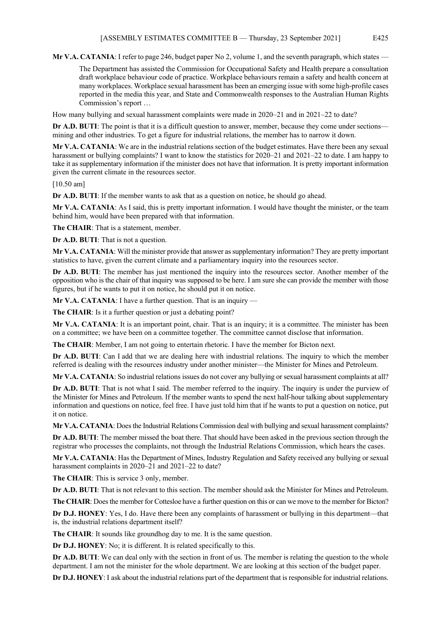**Mr V.A. CATANIA**: I refer to page 246, budget paper No 2, volume 1, and the seventh paragraph, which states —

The Department has assisted the Commission for Occupational Safety and Health prepare a consultation draft workplace behaviour code of practice. Workplace behaviours remain a safety and health concern at many workplaces. Workplace sexual harassment has been an emerging issue with some high-profile cases reported in the media this year, and State and Commonwealth responses to the Australian Human Rights Commission's report …

How many bullying and sexual harassment complaints were made in 2020–21 and in 2021–22 to date?

**Dr A.D. BUTI:** The point is that it is a difficult question to answer, member, because they come under sections mining and other industries. To get a figure for industrial relations, the member has to narrow it down.

**Mr V.A. CATANIA**: We are in the industrial relations section of the budget estimates. Have there been any sexual harassment or bullying complaints? I want to know the statistics for 2020–21 and 2021–22 to date. I am happy to take it as supplementary information if the minister does not have that information. It is pretty important information given the current climate in the resources sector.

[10.50 am]

**Dr A.D. BUTI:** If the member wants to ask that as a question on notice, he should go ahead.

**Mr V.A. CATANIA**: As I said, this is pretty important information. I would have thought the minister, or the team behind him, would have been prepared with that information.

**The CHAIR**: That is a statement, member.

**Dr A.D. BUTI**: That is not a question.

**Mr V.A. CATANIA**: Will the minister provide that answer as supplementary information? They are pretty important statistics to have, given the current climate and a parliamentary inquiry into the resources sector.

**Dr A.D. BUTI**: The member has just mentioned the inquiry into the resources sector. Another member of the opposition who is the chair of that inquiry was supposed to be here. I am sure she can provide the member with those figures, but if he wants to put it on notice, he should put it on notice.

**Mr V.A. CATANIA**: I have a further question. That is an inquiry —

**The CHAIR**: Is it a further question or just a debating point?

**Mr V.A. CATANIA**: It is an important point, chair. That is an inquiry; it is a committee. The minister has been on a committee; we have been on a committee together. The committee cannot disclose that information.

**The CHAIR**: Member, I am not going to entertain rhetoric. I have the member for Bicton next.

**Dr A.D. BUTI**: Can I add that we are dealing here with industrial relations. The inquiry to which the member referred is dealing with the resources industry under another minister—the Minister for Mines and Petroleum.

**Mr V.A. CATANIA**: So industrial relations issues do not cover any bullying or sexual harassment complaints at all?

**Dr A.D. BUTI**: That is not what I said. The member referred to the inquiry. The inquiry is under the purview of the Minister for Mines and Petroleum. If the member wants to spend the next half-hour talking about supplementary information and questions on notice, feel free. I have just told him that if he wants to put a question on notice, put it on notice.

**Mr V.A. CATANIA**: Does the Industrial Relations Commission deal with bullying and sexual harassment complaints?

**Dr A.D. BUTI**: The member missed the boat there. That should have been asked in the previous section through the registrar who processes the complaints, not through the Industrial Relations Commission, which hears the cases.

**Mr V.A. CATANIA**: Has the Department of Mines, Industry Regulation and Safety received any bullying or sexual harassment complaints in 2020–21 and 2021–22 to date?

**The CHAIR**: This is service 3 only, member.

**Dr A.D. BUTI**: That is not relevant to this section. The member should ask the Minister for Mines and Petroleum.

**The CHAIR**: Does the member for Cottesloe have a further question on this or can we move to the member for Bicton?

**Dr D.J. HONEY**: Yes, I do. Have there been any complaints of harassment or bullying in this department—that is, the industrial relations department itself?

**The CHAIR**: It sounds like groundhog day to me. It is the same question.

**Dr D.J. HONEY**: No; it is different. It is related specifically to this.

**Dr A.D. BUTI:** We can deal only with the section in front of us. The member is relating the question to the whole department. I am not the minister for the whole department. We are looking at this section of the budget paper.

**Dr D.J. HONEY**: I ask about the industrial relations part of the department that is responsible for industrial relations.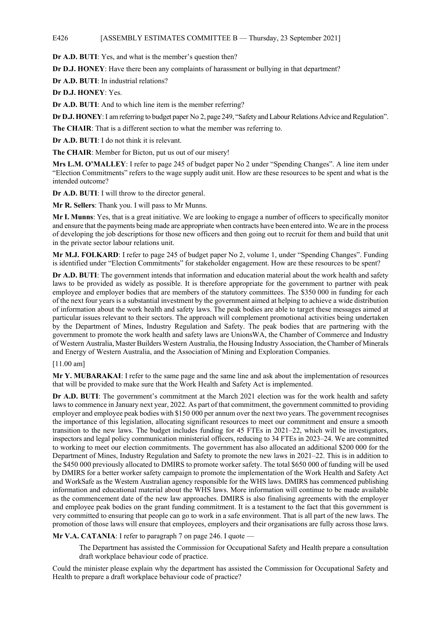**Dr A.D. BUTI**: Yes, and what is the member's question then?

**Dr D.J. HONEY**: Have there been any complaints of harassment or bullying in that department?

**Dr A.D. BUTI**: In industrial relations?

**Dr D.J. HONEY**: Yes.

**Dr A.D. BUTI**: And to which line item is the member referring?

**Dr D.J. HONEY**:I am referring to budget paper No 2, page 249, "Safety and Labour Relations Advice and Regulation".

**The CHAIR**: That is a different section to what the member was referring to.

**Dr A.D. BUTI**: I do not think it is relevant.

**The CHAIR**: Member for Bicton, put us out of our misery!

**Mrs L.M. O'MALLEY**: I refer to page 245 of budget paper No 2 under "Spending Changes". A line item under "Election Commitments" refers to the wage supply audit unit. How are these resources to be spent and what is the intended outcome?

**Dr A.D. BUTI**: I will throw to the director general.

**Mr R. Sellers**: Thank you. I will pass to Mr Munns.

**Mr I. Munns**: Yes, that is a great initiative. We are looking to engage a number of officers to specifically monitor and ensure that the payments being made are appropriate when contracts have been entered into. We are in the process of developing the job descriptions for those new officers and then going out to recruit for them and build that unit in the private sector labour relations unit.

**Mr M.J. FOLKARD**: I refer to page 245 of budget paper No 2, volume 1, under "Spending Changes". Funding is identified under "Election Commitments" for stakeholder engagement. How are these resources to be spent?

**Dr A.D. BUTI**: The government intends that information and education material about the work health and safety laws to be provided as widely as possible. It is therefore appropriate for the government to partner with peak employee and employer bodies that are members of the statutory committees. The \$350 000 in funding for each of the next four years is a substantial investment by the government aimed at helping to achieve a wide distribution of information about the work health and safety laws. The peak bodies are able to target these messages aimed at particular issues relevant to their sectors. The approach will complement promotional activities being undertaken by the Department of Mines, Industry Regulation and Safety. The peak bodies that are partnering with the government to promote the work health and safety laws are UnionsWA, the Chamber of Commerce and Industry of Western Australia, Master Builders Western Australia, the Housing Industry Association, the Chamber of Minerals and Energy of Western Australia, and the Association of Mining and Exploration Companies.

[11.00 am]

**Mr Y. MUBARAKAI**: I refer to the same page and the same line and ask about the implementation of resources that will be provided to make sure that the Work Health and Safety Act is implemented.

**Dr A.D. BUTI**: The government's commitment at the March 2021 election was for the work health and safety laws to commence in January next year, 2022. As part of that commitment, the government committed to providing employer and employee peak bodies with \$150 000 per annum over the next two years. The government recognises the importance of this legislation, allocating significant resources to meet our commitment and ensure a smooth transition to the new laws. The budget includes funding for 45 FTEs in 2021–22, which will be investigators, inspectors and legal policy communication ministerial officers, reducing to 34 FTEs in 2023–24. We are committed to working to meet our election commitments. The government has also allocated an additional \$200 000 for the Department of Mines, Industry Regulation and Safety to promote the new laws in 2021–22. This is in addition to the \$450 000 previously allocated to DMIRS to promote worker safety. The total \$650 000 of funding will be used by DMIRS for a better worker safety campaign to promote the implementation of the Work Health and Safety Act and WorkSafe as the Western Australian agency responsible for the WHS laws. DMIRS has commenced publishing information and educational material about the WHS laws. More information will continue to be made available as the commencement date of the new law approaches. DMIRS is also finalising agreements with the employer and employee peak bodies on the grant funding commitment. It is a testament to the fact that this government is very committed to ensuring that people can go to work in a safe environment. That is all part of the new laws. The promotion of those laws will ensure that employees, employers and their organisations are fully across those laws.

**Mr V.A. CATANIA**: I refer to paragraph 7 on page 246. I quote —

The Department has assisted the Commission for Occupational Safety and Health prepare a consultation draft workplace behaviour code of practice.

Could the minister please explain why the department has assisted the Commission for Occupational Safety and Health to prepare a draft workplace behaviour code of practice?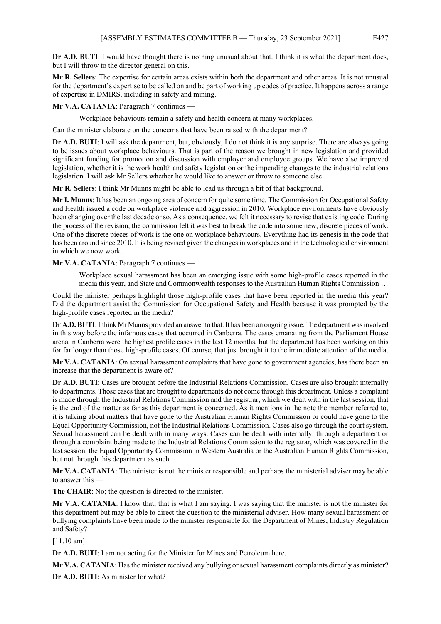**Dr A.D. BUTI**: I would have thought there is nothing unusual about that. I think it is what the department does, but I will throw to the director general on this.

**Mr R. Sellers**: The expertise for certain areas exists within both the department and other areas. It is not unusual for the department's expertise to be called on and be part of working up codes of practice. It happens across a range of expertise in DMIRS, including in safety and mining.

**Mr V.A. CATANIA: Paragraph 7 continues** 

Workplace behaviours remain a safety and health concern at many workplaces.

Can the minister elaborate on the concerns that have been raised with the department?

**Dr A.D. BUTI**: I will ask the department, but, obviously, I do not think it is any surprise. There are always going to be issues about workplace behaviours. That is part of the reason we brought in new legislation and provided significant funding for promotion and discussion with employer and employee groups. We have also improved legislation, whether it is the work health and safety legislation or the impending changes to the industrial relations legislation. I will ask Mr Sellers whether he would like to answer or throw to someone else.

**Mr R. Sellers**: I think Mr Munns might be able to lead us through a bit of that background.

**Mr I. Munns**: It has been an ongoing area of concern for quite some time. The Commission for Occupational Safety and Health issued a code on workplace violence and aggression in 2010. Workplace environments have obviously been changing over the last decade or so. As a consequence, we felt it necessary to revise that existing code. During the process of the revision, the commission felt it was best to break the code into some new, discrete pieces of work. One of the discrete pieces of work is the one on workplace behaviours. Everything had its genesis in the code that has been around since 2010. It is being revised given the changes in workplaces and in the technological environment in which we now work.

**Mr V.A. CATANIA**: Paragraph 7 continues —

Workplace sexual harassment has been an emerging issue with some high-profile cases reported in the media this year, and State and Commonwealth responses to the Australian Human Rights Commission …

Could the minister perhaps highlight those high-profile cases that have been reported in the media this year? Did the department assist the Commission for Occupational Safety and Health because it was prompted by the high-profile cases reported in the media?

**Dr A.D. BUTI**:I think Mr Munns provided an answer to that. It has been an ongoing issue. The department was involved in this way before the infamous cases that occurred in Canberra. The cases emanating from the Parliament House arena in Canberra were the highest profile cases in the last 12 months, but the department has been working on this for far longer than those high-profile cases. Of course, that just brought it to the immediate attention of the media.

**Mr V.A. CATANIA**: On sexual harassment complaints that have gone to government agencies, has there been an increase that the department is aware of?

**Dr A.D. BUTI**: Cases are brought before the Industrial Relations Commission. Cases are also brought internally to departments. Those cases that are brought to departments do not come through this department. Unless a complaint is made through the Industrial Relations Commission and the registrar, which we dealt with in the last session, that is the end of the matter as far as this department is concerned. As it mentions in the note the member referred to, it is talking about matters that have gone to the Australian Human Rights Commission or could have gone to the Equal Opportunity Commission, not the Industrial Relations Commission. Cases also go through the court system. Sexual harassment can be dealt with in many ways. Cases can be dealt with internally, through a department or through a complaint being made to the Industrial Relations Commission to the registrar, which was covered in the last session, the Equal Opportunity Commission in Western Australia or the Australian Human Rights Commission, but not through this department as such.

**Mr V.A. CATANIA**: The minister is not the minister responsible and perhaps the ministerial adviser may be able to answer this —

**The CHAIR**: No; the question is directed to the minister.

**Mr V.A. CATANIA**: I know that; that is what I am saying. I was saying that the minister is not the minister for this department but may be able to direct the question to the ministerial adviser. How many sexual harassment or bullying complaints have been made to the minister responsible for the Department of Mines, Industry Regulation and Safety?

[11.10 am]

**Dr A.D. BUTI**: I am not acting for the Minister for Mines and Petroleum here.

**Mr V.A. CATANIA**: Has the minister received any bullying or sexual harassment complaints directly as minister?

**Dr A.D. BUTI**: As minister for what?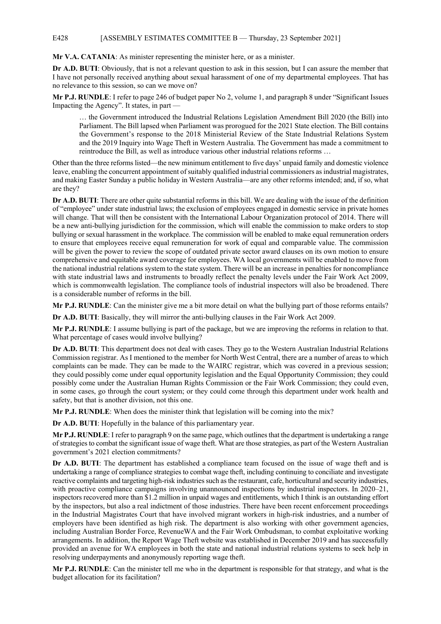# E428 [ASSEMBLY ESTIMATES COMMITTEE B — Thursday, 23 September 2021]

**Mr V.A. CATANIA**: As minister representing the minister here, or as a minister.

**Dr A.D. BUTI**: Obviously, that is not a relevant question to ask in this session, but I can assure the member that I have not personally received anything about sexual harassment of one of my departmental employees. That has no relevance to this session, so can we move on?

**Mr P.J. RUNDLE**: I refer to page 246 of budget paper No 2, volume 1, and paragraph 8 under "Significant Issues Impacting the Agency". It states, in part —

… the Government introduced the Industrial Relations Legislation Amendment Bill 2020 (the Bill) into Parliament. The Bill lapsed when Parliament was prorogued for the 2021 State election. The Bill contains the Government's response to the 2018 Ministerial Review of the State Industrial Relations System and the 2019 Inquiry into Wage Theft in Western Australia. The Government has made a commitment to reintroduce the Bill, as well as introduce various other industrial relations reforms …

Other than the three reforms listed—the new minimum entitlement to five days' unpaid family and domestic violence leave, enabling the concurrent appointment of suitably qualified industrial commissioners as industrial magistrates, and making Easter Sunday a public holiday in Western Australia—are any other reforms intended; and, if so, what are they?

**Dr A.D. BUTI**: There are other quite substantial reforms in this bill. We are dealing with the issue of the definition of "employee" under state industrial laws; the exclusion of employees engaged in domestic service in private homes will change. That will then be consistent with the International Labour Organization protocol of 2014. There will be a new anti-bullying jurisdiction for the commission, which will enable the commission to make orders to stop bullying or sexual harassment in the workplace. The commission will be enabled to make equal remuneration orders to ensure that employees receive equal remuneration for work of equal and comparable value. The commission will be given the power to review the scope of outdated private sector award clauses on its own motion to ensure comprehensive and equitable award coverage for employees. WA local governments will be enabled to move from the national industrial relations system to the state system. There will be an increase in penalties for noncompliance with state industrial laws and instruments to broadly reflect the penalty levels under the Fair Work Act 2009, which is commonwealth legislation. The compliance tools of industrial inspectors will also be broadened. There is a considerable number of reforms in the bill.

**Mr P.J. RUNDLE**: Can the minister give me a bit more detail on what the bullying part of those reforms entails?

**Dr A.D. BUTI**: Basically, they will mirror the anti-bullying clauses in the Fair Work Act 2009.

**Mr P.J. RUNDLE**: I assume bullying is part of the package, but we are improving the reforms in relation to that. What percentage of cases would involve bullying?

**Dr A.D. BUTI**: This department does not deal with cases. They go to the Western Australian Industrial Relations Commission registrar. As I mentioned to the member for North West Central, there are a number of areas to which complaints can be made. They can be made to the WAIRC registrar, which was covered in a previous session; they could possibly come under equal opportunity legislation and the Equal Opportunity Commission; they could possibly come under the Australian Human Rights Commission or the Fair Work Commission; they could even, in some cases, go through the court system; or they could come through this department under work health and safety, but that is another division, not this one.

**Mr P.J. RUNDLE**: When does the minister think that legislation will be coming into the mix?

**Dr A.D. BUTI**: Hopefully in the balance of this parliamentary year.

**Mr P.J. RUNDLE**: I refer to paragraph 9 on the same page, which outlines that the department is undertaking a range of strategies to combat the significant issue of wage theft. What are those strategies, as part of the Western Australian government's 2021 election commitments?

**Dr A.D. BUTI**: The department has established a compliance team focused on the issue of wage theft and is undertaking a range of compliance strategies to combat wage theft, including continuing to conciliate and investigate reactive complaints and targeting high-risk industries such as the restaurant, cafe, horticultural and security industries, with proactive compliance campaigns involving unannounced inspections by industrial inspectors. In 2020–21, inspectors recovered more than \$1.2 million in unpaid wages and entitlements, which I think is an outstanding effort by the inspectors, but also a real indictment of those industries. There have been recent enforcement proceedings in the Industrial Magistrates Court that have involved migrant workers in high-risk industries, and a number of employers have been identified as high risk. The department is also working with other government agencies, including Australian Border Force, RevenueWA and the Fair Work Ombudsman, to combat exploitative working arrangements. In addition, the Report Wage Theft website was established in December 2019 and has successfully provided an avenue for WA employees in both the state and national industrial relations systems to seek help in resolving underpayments and anonymously reporting wage theft.

**Mr P.J. RUNDLE**: Can the minister tell me who in the department is responsible for that strategy, and what is the budget allocation for its facilitation?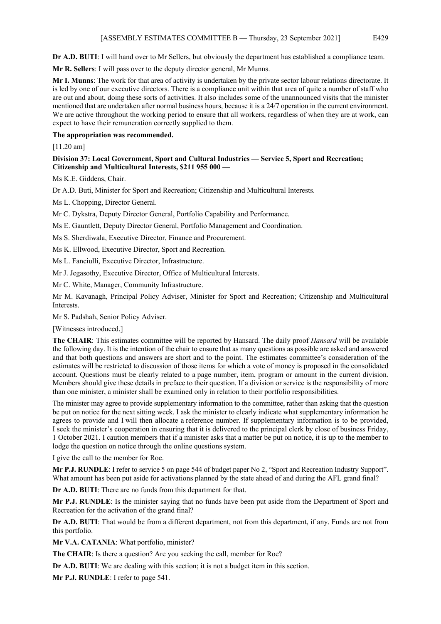**Dr A.D. BUTI**: I will hand over to Mr Sellers, but obviously the department has established a compliance team.

**Mr R. Sellers**: I will pass over to the deputy director general, Mr Munns.

**Mr I. Munns**: The work for that area of activity is undertaken by the private sector labour relations directorate. It is led by one of our executive directors. There is a compliance unit within that area of quite a number of staff who are out and about, doing these sorts of activities. It also includes some of the unannounced visits that the minister mentioned that are undertaken after normal business hours, because it is a 24/7 operation in the current environment. We are active throughout the working period to ensure that all workers, regardless of when they are at work, can expect to have their remuneration correctly supplied to them.

# **The appropriation was recommended.**

[11.20 am]

# **Division 37: Local Government, Sport and Cultural Industries — Service 5, Sport and Recreation; Citizenship and Multicultural Interests, \$211 955 000 —**

Ms K.E. Giddens, Chair.

Dr A.D. Buti, Minister for Sport and Recreation; Citizenship and Multicultural Interests.

Ms L. Chopping, Director General.

Mr C. Dykstra, Deputy Director General, Portfolio Capability and Performance.

Ms E. Gauntlett, Deputy Director General, Portfolio Management and Coordination.

Ms S. Sherdiwala, Executive Director, Finance and Procurement.

Ms K. Ellwood, Executive Director, Sport and Recreation.

Ms L. Fanciulli, Executive Director, Infrastructure.

Mr J. Jegasothy, Executive Director, Office of Multicultural Interests.

Mr C. White, Manager, Community Infrastructure.

Mr M. Kavanagh, Principal Policy Adviser, Minister for Sport and Recreation; Citizenship and Multicultural Interests.

Mr S. Padshah, Senior Policy Adviser.

[Witnesses introduced.]

**The CHAIR**: This estimates committee will be reported by Hansard. The daily proof *Hansard* will be available the following day. It is the intention of the chair to ensure that as many questions as possible are asked and answered and that both questions and answers are short and to the point. The estimates committee's consideration of the estimates will be restricted to discussion of those items for which a vote of money is proposed in the consolidated account. Questions must be clearly related to a page number, item, program or amount in the current division. Members should give these details in preface to their question. If a division or service is the responsibility of more than one minister, a minister shall be examined only in relation to their portfolio responsibilities.

The minister may agree to provide supplementary information to the committee, rather than asking that the question be put on notice for the next sitting week. I ask the minister to clearly indicate what supplementary information he agrees to provide and I will then allocate a reference number. If supplementary information is to be provided, I seek the minister's cooperation in ensuring that it is delivered to the principal clerk by close of business Friday, 1 October 2021. I caution members that if a minister asks that a matter be put on notice, it is up to the member to lodge the question on notice through the online questions system.

I give the call to the member for Roe.

**Mr P.J. RUNDLE**: I refer to service 5 on page 544 of budget paper No 2, "Sport and Recreation Industry Support". What amount has been put aside for activations planned by the state ahead of and during the AFL grand final?

**Dr A.D. BUTI**: There are no funds from this department for that.

**Mr P.J. RUNDLE**: Is the minister saying that no funds have been put aside from the Department of Sport and Recreation for the activation of the grand final?

**Dr A.D. BUTI**: That would be from a different department, not from this department, if any. Funds are not from this portfolio.

**Mr V.A. CATANIA**: What portfolio, minister?

**The CHAIR**: Is there a question? Are you seeking the call, member for Roe?

**Dr A.D. BUTI**: We are dealing with this section; it is not a budget item in this section.

**Mr P.J. RUNDLE**: I refer to page 541.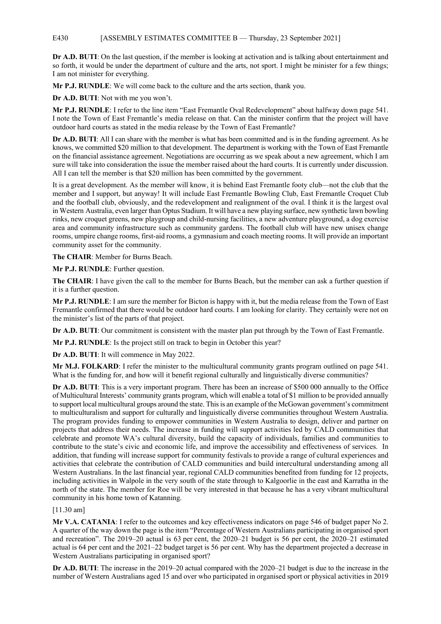# E430 [ASSEMBLY ESTIMATES COMMITTEE B — Thursday, 23 September 2021]

**Dr A.D. BUTI**: On the last question, if the member is looking at activation and is talking about entertainment and so forth, it would be under the department of culture and the arts, not sport. I might be minister for a few things; I am not minister for everything.

**Mr P.J. RUNDLE**: We will come back to the culture and the arts section, thank you.

**Dr A.D. BUTI**: Not with me you won't.

**Mr P.J. RUNDLE**: I refer to the line item "East Fremantle Oval Redevelopment" about halfway down page 541. I note the Town of East Fremantle's media release on that. Can the minister confirm that the project will have outdoor hard courts as stated in the media release by the Town of East Fremantle?

**Dr A.D. BUTI**: All I can share with the member is what has been committed and is in the funding agreement. As he knows, we committed \$20 million to that development. The department is working with the Town of East Fremantle on the financial assistance agreement. Negotiations are occurring as we speak about a new agreement, which I am sure will take into consideration the issue the member raised about the hard courts. It is currently under discussion. All I can tell the member is that \$20 million has been committed by the government.

It is a great development. As the member will know, it is behind East Fremantle footy club—not the club that the member and I support, but anyway! It will include East Fremantle Bowling Club, East Fremantle Croquet Club and the football club, obviously, and the redevelopment and realignment of the oval. I think it is the largest oval in Western Australia, even larger than Optus Stadium. It will have a new playing surface, new synthetic lawn bowling rinks, new croquet greens, new playgroup and child-nursing facilities, a new adventure playground, a dog exercise area and community infrastructure such as community gardens. The football club will have new unisex change rooms, umpire change rooms, first-aid rooms, a gymnasium and coach meeting rooms. It will provide an important community asset for the community.

**The CHAIR**: Member for Burns Beach.

**Mr P.J. RUNDLE**: Further question.

**The CHAIR**: I have given the call to the member for Burns Beach, but the member can ask a further question if it is a further question.

**Mr P.J. RUNDLE**: I am sure the member for Bicton is happy with it, but the media release from the Town of East Fremantle confirmed that there would be outdoor hard courts. I am looking for clarity. They certainly were not on the minister's list of the parts of that project.

**Dr A.D. BUTI**: Our commitment is consistent with the master plan put through by the Town of East Fremantle.

**Mr P.J. RUNDLE**: Is the project still on track to begin in October this year?

**Dr A.D. BUTI**: It will commence in May 2022.

**Mr M.J. FOLKARD**: I refer the minister to the multicultural community grants program outlined on page 541. What is the funding for, and how will it benefit regional culturally and linguistically diverse communities?

**Dr A.D. BUTI**: This is a very important program. There has been an increase of \$500 000 annually to the Office of Multicultural Interests' community grants program, which will enable a total of \$1 million to be provided annually to support local multicultural groups around the state. This is an example of the McGowan government's commitment to multiculturalism and support for culturally and linguistically diverse communities throughout Western Australia. The program provides funding to empower communities in Western Australia to design, deliver and partner on projects that address their needs. The increase in funding will support activities led by CALD communities that celebrate and promote WA's cultural diversity, build the capacity of individuals, families and communities to contribute to the state's civic and economic life, and improve the accessibility and effectiveness of services. In addition, that funding will increase support for community festivals to provide a range of cultural experiences and activities that celebrate the contribution of CALD communities and build intercultural understanding among all Western Australians. In the last financial year, regional CALD communities benefited from funding for 12 projects, including activities in Walpole in the very south of the state through to Kalgoorlie in the east and Karratha in the north of the state. The member for Roe will be very interested in that because he has a very vibrant multicultural community in his home town of Katanning.

[11.30 am]

**Mr V.A. CATANIA**: I refer to the outcomes and key effectiveness indicators on page 546 of budget paper No 2. A quarter of the way down the page is the item "Percentage of Western Australians participating in organised sport and recreation". The 2019–20 actual is 63 per cent, the 2020–21 budget is 56 per cent, the 2020–21 estimated actual is 64 per cent and the 2021–22 budget target is 56 per cent. Why has the department projected a decrease in Western Australians participating in organised sport?

**Dr A.D. BUTI**: The increase in the 2019–20 actual compared with the 2020–21 budget is due to the increase in the number of Western Australians aged 15 and over who participated in organised sport or physical activities in 2019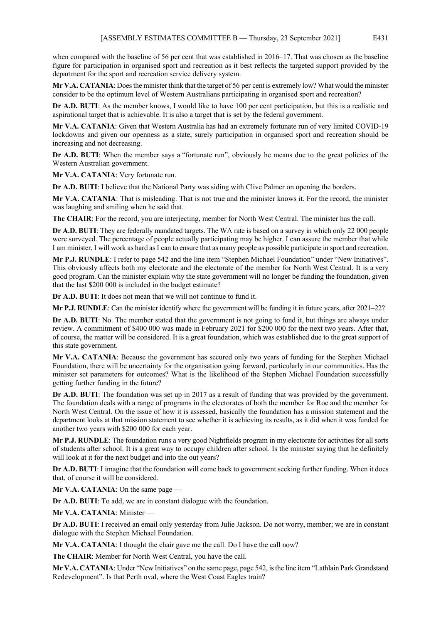when compared with the baseline of 56 per cent that was established in 2016–17. That was chosen as the baseline figure for participation in organised sport and recreation as it best reflects the targeted support provided by the department for the sport and recreation service delivery system.

**Mr V.A. CATANIA**: Does the minister think that the target of 56 per cent is extremely low? What would the minister consider to be the optimum level of Western Australians participating in organised sport and recreation?

**Dr A.D. BUTI**: As the member knows, I would like to have 100 per cent participation, but this is a realistic and aspirational target that is achievable. It is also a target that is set by the federal government.

**Mr V.A. CATANIA**: Given that Western Australia has had an extremely fortunate run of very limited COVID-19 lockdowns and given our openness as a state, surely participation in organised sport and recreation should be increasing and not decreasing.

**Dr A.D. BUTI:** When the member says a "fortunate run", obviously he means due to the great policies of the Western Australian government.

**Mr V.A. CATANIA**: Very fortunate run.

**Dr A.D. BUTI**: I believe that the National Party was siding with Clive Palmer on opening the borders.

**Mr V.A. CATANIA**: That is misleading. That is not true and the minister knows it. For the record, the minister was laughing and smiling when he said that.

**The CHAIR:** For the record, you are interjecting, member for North West Central. The minister has the call.

**Dr A.D. BUTI**: They are federally mandated targets. The WA rate is based on a survey in which only 22 000 people were surveyed. The percentage of people actually participating may be higher. I can assure the member that while I am minister, I will work as hard as I can to ensure that as many people as possible participate in sport and recreation.

**Mr P.J. RUNDLE**: I refer to page 542 and the line item "Stephen Michael Foundation" under "New Initiatives". This obviously affects both my electorate and the electorate of the member for North West Central. It is a very good program. Can the minister explain why the state government will no longer be funding the foundation, given that the last \$200 000 is included in the budget estimate?

**Dr A.D. BUTI**: It does not mean that we will not continue to fund it.

**Mr P.J. RUNDLE**: Can the minister identify where the government will be funding it in future years, after 2021–22?

**Dr A.D. BUTI:** No. The member stated that the government is not going to fund it, but things are always under review. A commitment of \$400 000 was made in February 2021 for \$200 000 for the next two years. After that, of course, the matter will be considered. It is a great foundation, which was established due to the great support of this state government.

**Mr V.A. CATANIA**: Because the government has secured only two years of funding for the Stephen Michael Foundation, there will be uncertainty for the organisation going forward, particularly in our communities. Has the minister set parameters for outcomes? What is the likelihood of the Stephen Michael Foundation successfully getting further funding in the future?

**Dr A.D. BUTI:** The foundation was set up in 2017 as a result of funding that was provided by the government. The foundation deals with a range of programs in the electorates of both the member for Roe and the member for North West Central. On the issue of how it is assessed, basically the foundation has a mission statement and the department looks at that mission statement to see whether it is achieving its results, as it did when it was funded for another two years with \$200 000 for each year.

**Mr P.J. RUNDLE**: The foundation runs a very good Nightfields program in my electorate for activities for all sorts of students after school. It is a great way to occupy children after school. Is the minister saying that he definitely will look at it for the next budget and into the out years?

**Dr A.D. BUTI**: I imagine that the foundation will come back to government seeking further funding. When it does that, of course it will be considered.

**Mr V.A. CATANIA**: On the same page —

**Dr A.D. BUTI**: To add, we are in constant dialogue with the foundation.

**Mr V.A. CATANIA**: Minister —

**Dr A.D. BUTI**: I received an email only yesterday from Julie Jackson. Do not worry, member; we are in constant dialogue with the Stephen Michael Foundation.

**Mr V.A. CATANIA**: I thought the chair gave me the call. Do I have the call now?

**The CHAIR**: Member for North West Central, you have the call.

**Mr V.A. CATANIA**: Under "New Initiatives" on the same page, page 542, is the line item "Lathlain Park Grandstand Redevelopment". Is that Perth oval, where the West Coast Eagles train?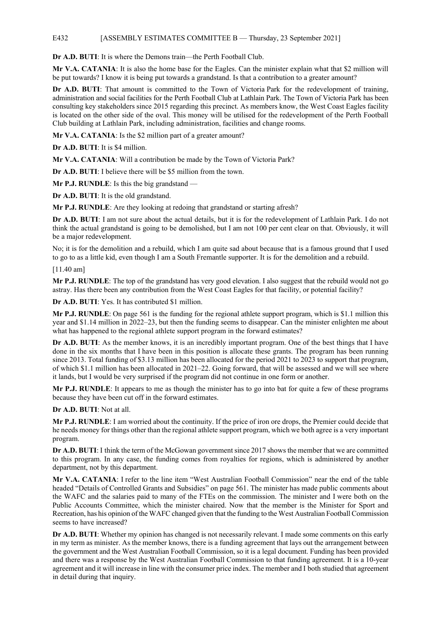# E432 [ASSEMBLY ESTIMATES COMMITTEE B — Thursday, 23 September 2021]

**Dr A.D. BUTI:** It is where the Demons train—the Perth Football Club.

**Mr V.A. CATANIA**: It is also the home base for the Eagles. Can the minister explain what that \$2 million will be put towards? I know it is being put towards a grandstand. Is that a contribution to a greater amount?

**Dr A.D. BUTI**: That amount is committed to the Town of Victoria Park for the redevelopment of training, administration and social facilities for the Perth Football Club at Lathlain Park. The Town of Victoria Park has been consulting key stakeholders since 2015 regarding this precinct. As members know, the West Coast Eagles facility is located on the other side of the oval. This money will be utilised for the redevelopment of the Perth Football Club building at Lathlain Park, including administration, facilities and change rooms.

**Mr V.A. CATANIA:** Is the \$2 million part of a greater amount?

**Dr A.D. BUTI**: It is \$4 million.

**Mr V.A. CATANIA**: Will a contribution be made by the Town of Victoria Park?

**Dr A.D. BUTI**: I believe there will be \$5 million from the town.

**Mr P.J. RUNDLE**: Is this the big grandstand —

**Dr A.D. BUTI**: It is the old grandstand.

**Mr P.J. RUNDLE**: Are they looking at redoing that grandstand or starting afresh?

**Dr A.D. BUTI**: I am not sure about the actual details, but it is for the redevelopment of Lathlain Park. I do not think the actual grandstand is going to be demolished, but I am not 100 per cent clear on that. Obviously, it will be a major redevelopment.

No; it is for the demolition and a rebuild, which I am quite sad about because that is a famous ground that I used to go to as a little kid, even though I am a South Fremantle supporter. It is for the demolition and a rebuild.

[11.40 am]

**Mr P.J. RUNDLE**: The top of the grandstand has very good elevation. I also suggest that the rebuild would not go astray. Has there been any contribution from the West Coast Eagles for that facility, or potential facility?

**Dr A.D. BUTI**: Yes. It has contributed \$1 million.

**Mr P.J. RUNDLE**: On page 561 is the funding for the regional athlete support program, which is \$1.1 million this year and \$1.14 million in 2022–23, but then the funding seems to disappear. Can the minister enlighten me about what has happened to the regional athlete support program in the forward estimates?

**Dr A.D. BUTI**: As the member knows, it is an incredibly important program. One of the best things that I have done in the six months that I have been in this position is allocate these grants. The program has been running since 2013. Total funding of \$3.13 million has been allocated for the period 2021 to 2023 to support that program, of which \$1.1 million has been allocated in 2021–22. Going forward, that will be assessed and we will see where it lands, but I would be very surprised if the program did not continue in one form or another.

**Mr P.J. RUNDLE**: It appears to me as though the minister has to go into bat for quite a few of these programs because they have been cut off in the forward estimates.

**Dr A.D. BUTI**: Not at all.

**Mr P.J. RUNDLE**: I am worried about the continuity. If the price of iron ore drops, the Premier could decide that he needs money for things other than the regional athlete support program, which we both agree is a very important program.

**Dr A.D. BUTI**: I think the term of the McGowan government since 2017 shows the member that we are committed to this program. In any case, the funding comes from royalties for regions, which is administered by another department, not by this department.

**Mr V.A. CATANIA**: I refer to the line item "West Australian Football Commission" near the end of the table headed "Details of Controlled Grants and Subsidies" on page 561. The minister has made public comments about the WAFC and the salaries paid to many of the FTEs on the commission. The minister and I were both on the Public Accounts Committee, which the minister chaired. Now that the member is the Minister for Sport and Recreation, has his opinion of the WAFC changed given that the funding to the West Australian Football Commission seems to have increased?

**Dr A.D. BUTI**: Whether my opinion has changed is not necessarily relevant. I made some comments on this early in my term as minister. As the member knows, there is a funding agreement that lays out the arrangement between the government and the West Australian Football Commission, so it is a legal document. Funding has been provided and there was a response by the West Australian Football Commission to that funding agreement. It is a 10-year agreement and it will increase in line with the consumer price index. The member and I both studied that agreement in detail during that inquiry.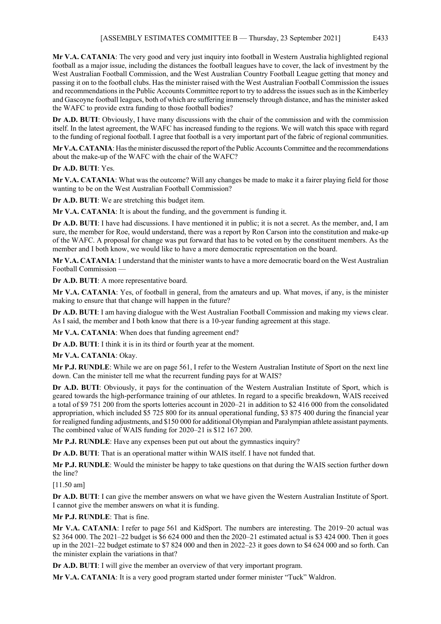**Mr V.A. CATANIA**: The very good and very just inquiry into football in Western Australia highlighted regional football as a major issue, including the distances the football leagues have to cover, the lack of investment by the West Australian Football Commission, and the West Australian Country Football League getting that money and passing it on to the football clubs. Has the minister raised with the West Australian Football Commission the issues and recommendations in the Public Accounts Committee report to try to address the issues such as in the Kimberley and Gascoyne football leagues, both of which are suffering immensely through distance, and has the minister asked the WAFC to provide extra funding to those football bodies?

**Dr A.D. BUTI**: Obviously, I have many discussions with the chair of the commission and with the commission itself. In the latest agreement, the WAFC has increased funding to the regions. We will watch this space with regard to the funding of regional football. I agree that football is a very important part of the fabric of regional communities.

**Mr V.A. CATANIA**: Has the minister discussed the report of the Public Accounts Committee and the recommendations about the make-up of the WAFC with the chair of the WAFC?

**Dr A.D. BUTI**: Yes.

**Mr V.A. CATANIA**: What was the outcome? Will any changes be made to make it a fairer playing field for those wanting to be on the West Australian Football Commission?

**Dr A.D. BUTI**: We are stretching this budget item.

**Mr V.A. CATANIA**: It is about the funding, and the government is funding it.

**Dr A.D. BUTI**: I have had discussions. I have mentioned it in public; it is not a secret. As the member, and, I am sure, the member for Roe, would understand, there was a report by Ron Carson into the constitution and make-up of the WAFC. A proposal for change was put forward that has to be voted on by the constituent members. As the member and I both know, we would like to have a more democratic representation on the board.

**Mr V.A. CATANIA**: I understand that the minister wants to have a more democratic board on the West Australian Football Commission —

**Dr A.D. BUTI**: A more representative board.

**Mr V.A. CATANIA**: Yes, of football in general, from the amateurs and up. What moves, if any, is the minister making to ensure that that change will happen in the future?

**Dr A.D. BUTI**: I am having dialogue with the West Australian Football Commission and making my views clear. As I said, the member and I both know that there is a 10-year funding agreement at this stage.

**Mr V.A. CATANIA**: When does that funding agreement end?

**Dr A.D. BUTI**: I think it is in its third or fourth year at the moment.

**Mr V.A. CATANIA**: Okay.

**Mr P.J. RUNDLE**: While we are on page 561, I refer to the Western Australian Institute of Sport on the next line down. Can the minister tell me what the recurrent funding pays for at WAIS?

**Dr A.D. BUTI**: Obviously, it pays for the continuation of the Western Australian Institute of Sport, which is geared towards the high-performance training of our athletes. In regard to a specific breakdown, WAIS received a total of \$9 751 200 from the sports lotteries account in 2020–21 in addition to \$2 416 000 from the consolidated appropriation, which included \$5 725 800 for its annual operational funding, \$3 875 400 during the financial year for realigned funding adjustments, and \$150 000 for additional Olympian and Paralympian athlete assistant payments. The combined value of WAIS funding for 2020–21 is \$12 167 200.

**Mr P.J. RUNDLE**: Have any expenses been put out about the gymnastics inquiry?

**Dr A.D. BUTI**: That is an operational matter within WAIS itself. I have not funded that.

**Mr P.J. RUNDLE**: Would the minister be happy to take questions on that during the WAIS section further down the line?

[11.50 am]

**Dr A.D. BUTI**: I can give the member answers on what we have given the Western Australian Institute of Sport. I cannot give the member answers on what it is funding.

**Mr P.J. RUNDLE**: That is fine.

**Mr V.A. CATANIA**: I refer to page 561 and KidSport. The numbers are interesting. The 2019–20 actual was \$2 364 000. The 2021–22 budget is \$6 624 000 and then the 2020–21 estimated actual is \$3 424 000. Then it goes up in the 2021–22 budget estimate to \$7 824 000 and then in 2022–23 it goes down to \$4 624 000 and so forth. Can the minister explain the variations in that?

**Dr A.D. BUTI**: I will give the member an overview of that very important program.

**Mr V.A. CATANIA**: It is a very good program started under former minister "Tuck" Waldron.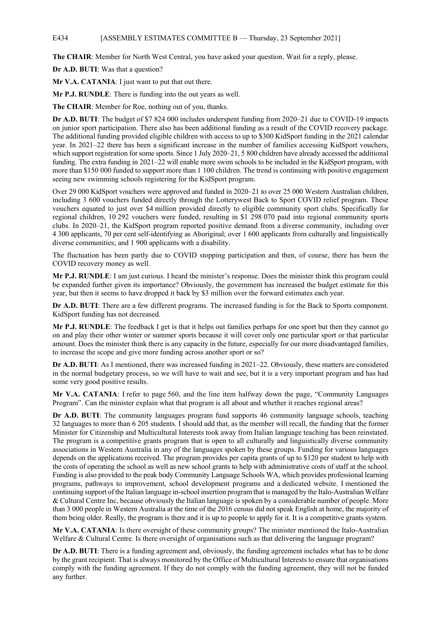**The CHAIR**: Member for North West Central, you have asked your question. Wait for a reply, please.

**Dr A.D. BUTI**: Was that a question?

**Mr V.A. CATANIA**: I just want to put that out there.

**Mr P.J. RUNDLE**: There is funding into the out years as well.

**The CHAIR**: Member for Roe, nothing out of you, thanks.

**Dr A.D. BUTI**: The budget of \$7 824 000 includes underspent funding from 2020–21 due to COVID-19 impacts on junior sport participation. There also has been additional funding as a result of the COVID recovery package. The additional funding provided eligible children with access to up to \$300 KidSport funding in the 2021 calendar year. In 2021–22 there has been a significant increase in the number of families accessing KidSport vouchers, which support registration for some sports. Since 1 July 2020–21, 5 800 children have already accessed the additional funding. The extra funding in 2021–22 will enable more swim schools to be included in the KidSport program, with more than \$150 000 funded to support more than 1 100 children. The trend is continuing with positive engagement seeing new swimming schools registering for the KidSport program.

Over 29 000 KidSport vouchers were approved and funded in 2020–21 to over 25 000 Western Australian children, including 3 600 vouchers funded directly through the Lotterywest Back to Sport COVID relief program. These vouchers equated to just over \$4 million provided directly to eligible community sport clubs. Specifically for regional children, 10 292 vouchers were funded, resulting in \$1 298 070 paid into regional community sports clubs. In 2020–21, the KidSport program reported positive demand from a diverse community, including over 4 300 applicants, 70 per cent self-identifying as Aboriginal; over 1 600 applicants from culturally and linguistically diverse communities; and 1 900 applicants with a disability.

The fluctuation has been partly due to COVID stopping participation and then, of course, there has been the COVID recovery money as well.

**Mr P.J. RUNDLE**: I am just curious. I heard the minister's response. Does the minister think this program could be expanded further given its importance? Obviously, the government has increased the budget estimate for this year, but then it seems to have dropped it back by \$3 million over the forward estimates each year.

**Dr A.D. BUTI**: There are a few different programs. The increased funding is for the Back to Sports component. KidSport funding has not decreased.

**Mr P.J. RUNDLE**: The feedback I get is that it helps out families perhaps for one sport but then they cannot go on and play their other winter or summer sports because it will cover only one particular sport or that particular amount. Does the minister think there is any capacity in the future, especially for our more disadvantaged families, to increase the scope and give more funding across another sport or so?

**Dr A.D. BUTI**: As I mentioned, there was increased funding in 2021–22. Obviously, these matters are considered in the normal budgetary process, so we will have to wait and see, but it is a very important program and has had some very good positive results.

**Mr V.A. CATANIA**: I refer to page 560, and the line item halfway down the page, "Community Languages Program". Can the minister explain what that program is all about and whether it reaches regional areas?

**Dr A.D. BUTI**: The community languages program fund supports 46 community language schools, teaching 32 languages to more than 6 205 students. I should add that, as the member will recall, the funding that the former Minister for Citizenship and Multicultural Interests took away from Italian language teaching has been reinstated. The program is a competitive grants program that is open to all culturally and linguistically diverse community associations in Western Australia in any of the languages spoken by these groups. Funding for various languages depends on the applications received. The program provides per capita grants of up to \$120 per student to help with the costs of operating the school as well as new school grants to help with administrative costs of staff at the school. Funding is also provided to the peak body Community Language Schools WA, which provides professional learning programs, pathways to improvement, school development programs and a dedicated website. I mentioned the continuing support of the Italian language in-school insertion program that is managed by the Italo-Australian Welfare & Cultural Centre Inc, because obviously the Italian language is spoken by a considerable number of people. More than 3 000 people in Western Australia at the time of the 2016 census did not speak English at home, the majority of them being older. Really, the program is there and it is up to people to apply for it. It is a competitive grants system.

**Mr V.A. CATANIA**: Is there oversight of these community groups? The minister mentioned the Italo-Australian Welfare & Cultural Centre. Is there oversight of organisations such as that delivering the language program?

**Dr A.D. BUTI**: There is a funding agreement and, obviously, the funding agreement includes what has to be done by the grant recipient. That is always monitored by the Office of Multicultural Interests to ensure that organisations comply with the funding agreement. If they do not comply with the funding agreement, they will not be funded any further.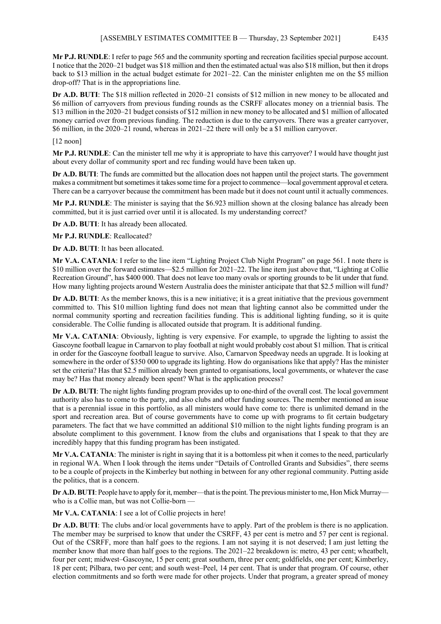**Mr P.J. RUNDLE**: I refer to page 565 and the community sporting and recreation facilities special purpose account. I notice that the 2020–21 budget was \$18 million and then the estimated actual was also \$18 million, but then it drops back to \$13 million in the actual budget estimate for 2021–22. Can the minister enlighten me on the \$5 million drop-off? That is in the appropriations line.

**Dr A.D. BUTI**: The \$18 million reflected in 2020–21 consists of \$12 million in new money to be allocated and \$6 million of carryovers from previous funding rounds as the CSRFF allocates money on a triennial basis. The \$13 million in the 2020–21 budget consists of \$12 million in new money to be allocated and \$1 million of allocated money carried over from previous funding. The reduction is due to the carryovers. There was a greater carryover, \$6 million, in the 2020–21 round, whereas in 2021–22 there will only be a \$1 million carryover.

# [12 noon]

**Mr P.J. RUNDLE**: Can the minister tell me why it is appropriate to have this carryover? I would have thought just about every dollar of community sport and rec funding would have been taken up.

**Dr A.D. BUTI**: The funds are committed but the allocation does not happen until the project starts. The government makes a commitment but sometimes it takes some time for a project to commence—local government approval et cetera. There can be a carryover because the commitment has been made but it does not count until it actually commences.

**Mr P.J. RUNDLE**: The minister is saying that the \$6.923 million shown at the closing balance has already been committed, but it is just carried over until it is allocated. Is my understanding correct?

**Dr A.D. BUTI**: It has already been allocated.

**Mr P.J. RUNDLE**: Reallocated?

**Dr A.D. BUTI**: It has been allocated.

**Mr V.A. CATANIA**: I refer to the line item "Lighting Project Club Night Program" on page 561. I note there is \$10 million over the forward estimates—\$2.5 million for 2021–22. The line item just above that, "Lighting at Collie Recreation Ground", has \$400 000. That does not leave too many ovals or sporting grounds to be lit under that fund. How many lighting projects around Western Australia does the minister anticipate that that \$2.5 million will fund?

**Dr A.D. BUTI**: As the member knows, this is a new initiative; it is a great initiative that the previous government committed to. This \$10 million lighting fund does not mean that lighting cannot also be committed under the normal community sporting and recreation facilities funding. This is additional lighting funding, so it is quite considerable. The Collie funding is allocated outside that program. It is additional funding.

**Mr V.A. CATANIA**: Obviously, lighting is very expensive. For example, to upgrade the lighting to assist the Gascoyne football league in Carnarvon to play football at night would probably cost about \$1 million. That is critical in order for the Gascoyne football league to survive. Also, Carnarvon Speedway needs an upgrade. It is looking at somewhere in the order of \$350 000 to upgrade its lighting. How do organisations like that apply? Has the minister set the criteria? Has that \$2.5 million already been granted to organisations, local governments, or whatever the case may be? Has that money already been spent? What is the application process?

**Dr A.D. BUTI**: The night lights funding program provides up to one-third of the overall cost. The local government authority also has to come to the party, and also clubs and other funding sources. The member mentioned an issue that is a perennial issue in this portfolio, as all ministers would have come to: there is unlimited demand in the sport and recreation area. But of course governments have to come up with programs to fit certain budgetary parameters. The fact that we have committed an additional \$10 million to the night lights funding program is an absolute compliment to this government. I know from the clubs and organisations that I speak to that they are incredibly happy that this funding program has been instigated.

**Mr V.A. CATANIA**: The minister is right in saying that it is a bottomless pit when it comes to the need, particularly in regional WA. When I look through the items under "Details of Controlled Grants and Subsidies", there seems to be a couple of projects in the Kimberley but nothing in between for any other regional community. Putting aside the politics, that is a concern.

**Dr A.D. BUTI:** People have to apply for it, member—that is the point. The previous minister to me, Hon Mick Murray who is a Collie man, but was not Collie-born -

**Mr V.A. CATANIA**: I see a lot of Collie projects in here!

**Dr A.D. BUTI**: The clubs and/or local governments have to apply. Part of the problem is there is no application. The member may be surprised to know that under the CSRFF, 43 per cent is metro and 57 per cent is regional. Out of the CSRFF, more than half goes to the regions. I am not saying it is not deserved; I am just letting the member know that more than half goes to the regions. The 2021–22 breakdown is: metro, 43 per cent; wheatbelt, four per cent; midwest–Gascoyne, 15 per cent; great southern, three per cent; goldfields, one per cent; Kimberley, 18 per cent; Pilbara, two per cent; and south west–Peel, 14 per cent. That is under that program. Of course, other election commitments and so forth were made for other projects. Under that program, a greater spread of money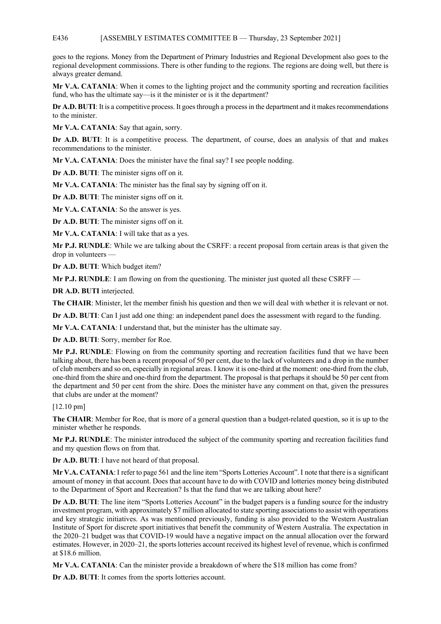# E436 [ASSEMBLY ESTIMATES COMMITTEE B — Thursday, 23 September 2021]

goes to the regions. Money from the Department of Primary Industries and Regional Development also goes to the regional development commissions. There is other funding to the regions. The regions are doing well, but there is always greater demand.

**Mr V.A. CATANIA**: When it comes to the lighting project and the community sporting and recreation facilities fund, who has the ultimate say—is it the minister or is it the department?

**Dr A.D. BUTI**: It is a competitive process. It goes through a process in the department and it makes recommendations to the minister.

Mr V.A. CATANIA: Say that again, sorry.

Dr A.D. BUTI: It is a competitive process. The department, of course, does an analysis of that and makes recommendations to the minister.

**Mr V.A. CATANIA**: Does the minister have the final say? I see people nodding.

**Dr A.D. BUTI**: The minister signs off on it.

**Mr V.A. CATANIA**: The minister has the final say by signing off on it.

**Dr A.D. BUTI**: The minister signs off on it.

**Mr V.A. CATANIA**: So the answer is yes.

**Dr A.D. BUTI**: The minister signs off on it.

**Mr V.A. CATANIA**: I will take that as a yes.

**Mr P.J. RUNDLE**: While we are talking about the CSRFF: a recent proposal from certain areas is that given the drop in volunteers —

**Dr A.D. BUTI**: Which budget item?

**Mr P.J. RUNDLE**: I am flowing on from the questioning. The minister just quoted all these CSRFF —

**DR A.D. BUTI** interjected.

**The CHAIR**: Minister, let the member finish his question and then we will deal with whether it is relevant or not.

**Dr A.D. BUTI**: Can I just add one thing: an independent panel does the assessment with regard to the funding.

**Mr V.A. CATANIA**: I understand that, but the minister has the ultimate say.

**Dr A.D. BUTI**: Sorry, member for Roe.

**Mr P.J. RUNDLE**: Flowing on from the community sporting and recreation facilities fund that we have been talking about, there has been a recent proposal of 50 per cent, due to the lack of volunteers and a drop in the number of club members and so on, especially in regional areas. I know it is one-third at the moment: one-third from the club, one-third from the shire and one-third from the department. The proposal is that perhaps it should be 50 per cent from the department and 50 per cent from the shire. Does the minister have any comment on that, given the pressures that clubs are under at the moment?

[12.10 pm]

**The CHAIR**: Member for Roe, that is more of a general question than a budget-related question, so it is up to the minister whether he responds.

**Mr P.J. RUNDLE**: The minister introduced the subject of the community sporting and recreation facilities fund and my question flows on from that.

**Dr A.D. BUTI**: I have not heard of that proposal.

**Mr V.A. CATANIA**: I refer to page 561 and the line item "Sports Lotteries Account". I note that there is a significant amount of money in that account. Does that account have to do with COVID and lotteries money being distributed to the Department of Sport and Recreation? Is that the fund that we are talking about here?

**Dr A.D. BUTI**: The line item "Sports Lotteries Account" in the budget papers is a funding source for the industry investment program, with approximately \$7 million allocated to state sporting associations to assist with operations and key strategic initiatives. As was mentioned previously, funding is also provided to the Western Australian Institute of Sport for discrete sport initiatives that benefit the community of Western Australia. The expectation in the 2020–21 budget was that COVID-19 would have a negative impact on the annual allocation over the forward estimates. However, in 2020–21, the sports lotteries account received its highest level of revenue, which is confirmed at \$18.6 million.

**Mr V.A. CATANIA**: Can the minister provide a breakdown of where the \$18 million has come from?

**Dr A.D. BUTI**: It comes from the sports lotteries account.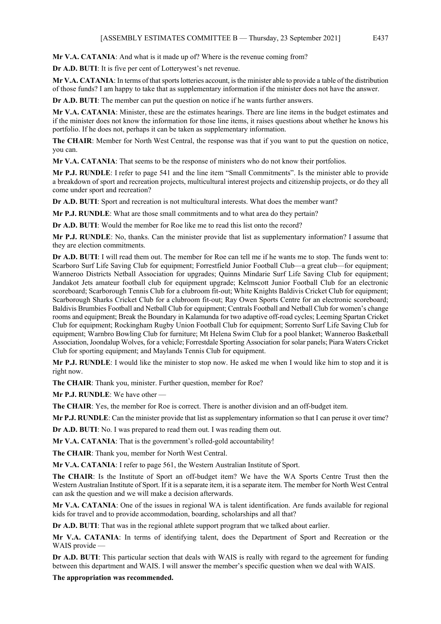**Mr V.A. CATANIA**: And what is it made up of? Where is the revenue coming from?

**Dr A.D. BUTI**: It is five per cent of Lotterywest's net revenue.

**Mr V.A. CATANIA**: In terms of that sports lotteries account, is the minister able to provide a table of the distribution of those funds? I am happy to take that as supplementary information if the minister does not have the answer.

**Dr A.D. BUTI**: The member can put the question on notice if he wants further answers.

**Mr V.A. CATANIA**: Minister, these are the estimates hearings. There are line items in the budget estimates and if the minister does not know the information for those line items, it raises questions about whether he knows his portfolio. If he does not, perhaps it can be taken as supplementary information.

**The CHAIR**: Member for North West Central, the response was that if you want to put the question on notice, you can.

**Mr V.A. CATANIA**: That seems to be the response of ministers who do not know their portfolios.

**Mr P.J. RUNDLE**: I refer to page 541 and the line item "Small Commitments". Is the minister able to provide a breakdown of sport and recreation projects, multicultural interest projects and citizenship projects, or do they all come under sport and recreation?

**Dr A.D. BUTI**: Sport and recreation is not multicultural interests. What does the member want?

**Mr P.J. RUNDLE**: What are those small commitments and to what area do they pertain?

**Dr A.D. BUTI**: Would the member for Roe like me to read this list onto the record?

**Mr P.J. RUNDLE**: No, thanks. Can the minister provide that list as supplementary information? I assume that they are election commitments.

**Dr A.D. BUTI**: I will read them out. The member for Roe can tell me if he wants me to stop. The funds went to: Scarboro Surf Life Saving Club for equipment; Forrestfield Junior Football Club—a great club—for equipment; Wanneroo Districts Netball Association for upgrades; Quinns Mindarie Surf Life Saving Club for equipment; Jandakot Jets amateur football club for equipment upgrade; Kelmscott Junior Football Club for an electronic scoreboard; Scarborough Tennis Club for a clubroom fit-out; White Knights Baldivis Cricket Club for equipment; Scarborough Sharks Cricket Club for a clubroom fit-out; Ray Owen Sports Centre for an electronic scoreboard; Baldivis Brumbies Football and Netball Club for equipment; Centrals Football and Netball Club for women's change rooms and equipment; Break the Boundary in Kalamunda for two adaptive off-road cycles; Leeming Spartan Cricket Club for equipment; Rockingham Rugby Union Football Club for equipment; Sorrento Surf Life Saving Club for equipment; Warnbro Bowling Club for furniture; Mt Helena Swim Club for a pool blanket; Wanneroo Basketball Association, Joondalup Wolves, for a vehicle; Forrestdale Sporting Association for solar panels; Piara Waters Cricket Club for sporting equipment; and Maylands Tennis Club for equipment.

**Mr P.J. RUNDLE**: I would like the minister to stop now. He asked me when I would like him to stop and it is right now.

**The CHAIR**: Thank you, minister. Further question, member for Roe?

**Mr P.J. RUNDLE**: We have other —

**The CHAIR**: Yes, the member for Roe is correct. There is another division and an off-budget item.

**Mr P.J. RUNDLE**: Can the minister provide that list as supplementary information so that I can peruse it over time?

**Dr A.D. BUTI**: No. I was prepared to read them out. I was reading them out.

**Mr V.A. CATANIA**: That is the government's rolled-gold accountability!

**The CHAIR**: Thank you, member for North West Central.

**Mr V.A. CATANIA**: I refer to page 561, the Western Australian Institute of Sport.

**The CHAIR**: Is the Institute of Sport an off-budget item? We have the WA Sports Centre Trust then the Western Australian Institute of Sport. If it is a separate item, it is a separate item. The member for North West Central can ask the question and we will make a decision afterwards.

**Mr V.A. CATANIA**: One of the issues in regional WA is talent identification. Are funds available for regional kids for travel and to provide accommodation, boarding, scholarships and all that?

**Dr A.D. BUTI**: That was in the regional athlete support program that we talked about earlier.

**Mr V.A. CATANIA**: In terms of identifying talent, does the Department of Sport and Recreation or the WAIS provide —

**Dr A.D. BUTI**: This particular section that deals with WAIS is really with regard to the agreement for funding between this department and WAIS. I will answer the member's specific question when we deal with WAIS.

**The appropriation was recommended.**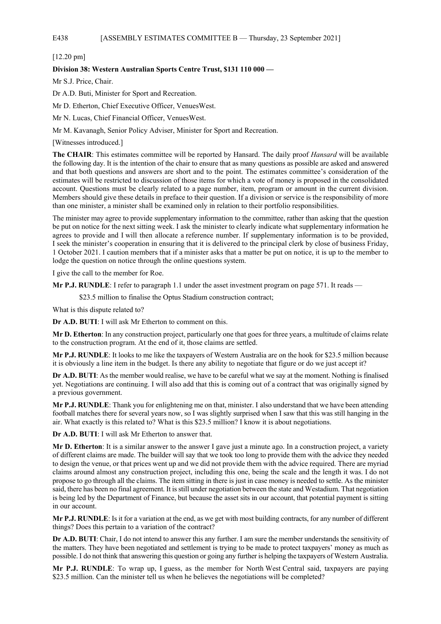# E438 [ASSEMBLY ESTIMATES COMMITTEE B — Thursday, 23 September 2021]

# [12.20 pm]

# **Division 38: Western Australian Sports Centre Trust, \$131 110 000 —**

Mr S.J. Price, Chair.

Dr A.D. Buti, Minister for Sport and Recreation.

Mr D. Etherton, Chief Executive Officer, VenuesWest.

Mr N. Lucas, Chief Financial Officer, VenuesWest.

Mr M. Kavanagh, Senior Policy Adviser, Minister for Sport and Recreation.

[Witnesses introduced.]

**The CHAIR**: This estimates committee will be reported by Hansard. The daily proof *Hansard* will be available the following day. It is the intention of the chair to ensure that as many questions as possible are asked and answered and that both questions and answers are short and to the point. The estimates committee's consideration of the estimates will be restricted to discussion of those items for which a vote of money is proposed in the consolidated account. Questions must be clearly related to a page number, item, program or amount in the current division. Members should give these details in preface to their question. If a division or service is the responsibility of more than one minister, a minister shall be examined only in relation to their portfolio responsibilities.

The minister may agree to provide supplementary information to the committee, rather than asking that the question be put on notice for the next sitting week. I ask the minister to clearly indicate what supplementary information he agrees to provide and I will then allocate a reference number. If supplementary information is to be provided, I seek the minister's cooperation in ensuring that it is delivered to the principal clerk by close of business Friday, 1 October 2021. I caution members that if a minister asks that a matter be put on notice, it is up to the member to lodge the question on notice through the online questions system.

I give the call to the member for Roe.

**Mr P.J. RUNDLE**: I refer to paragraph 1.1 under the asset investment program on page 571. It reads —

\$23.5 million to finalise the Optus Stadium construction contract;

What is this dispute related to?

**Dr A.D. BUTI**: I will ask Mr Etherton to comment on this.

**Mr D. Etherton**: In any construction project, particularly one that goes for three years, a multitude of claims relate to the construction program. At the end of it, those claims are settled.

**Mr P.J. RUNDLE**: It looks to me like the taxpayers of Western Australia are on the hook for \$23.5 million because it is obviously a line item in the budget. Is there any ability to negotiate that figure or do we just accept it?

**Dr A.D. BUTI**: As the member would realise, we have to be careful what we say at the moment. Nothing is finalised yet. Negotiations are continuing. I will also add that this is coming out of a contract that was originally signed by a previous government.

**Mr P.J. RUNDLE**: Thank you for enlightening me on that, minister. I also understand that we have been attending football matches there for several years now, so I was slightly surprised when I saw that this was still hanging in the air. What exactly is this related to? What is this \$23.5 million? I know it is about negotiations.

**Dr A.D. BUTI**: I will ask Mr Etherton to answer that.

**Mr D. Etherton**: It is a similar answer to the answer I gave just a minute ago. In a construction project, a variety of different claims are made. The builder will say that we took too long to provide them with the advice they needed to design the venue, or that prices went up and we did not provide them with the advice required. There are myriad claims around almost any construction project, including this one, being the scale and the length it was. I do not propose to go through all the claims. The item sitting in there is just in case money is needed to settle. As the minister said, there has been no final agreement. It is still under negotiation between the state and Westadium. That negotiation is being led by the Department of Finance, but because the asset sits in our account, that potential payment is sitting in our account.

**Mr P.J. RUNDLE**: Is it for a variation at the end, as we get with most building contracts, for any number of different things? Does this pertain to a variation of the contract?

**Dr A.D. BUTI**: Chair, I do not intend to answer this any further. I am sure the member understands the sensitivity of the matters. They have been negotiated and settlement is trying to be made to protect taxpayers' money as much as possible. I do not think that answering this question or going any further is helping the taxpayers of Western Australia.

**Mr P.J. RUNDLE**: To wrap up, I guess, as the member for North West Central said, taxpayers are paying \$23.5 million. Can the minister tell us when he believes the negotiations will be completed?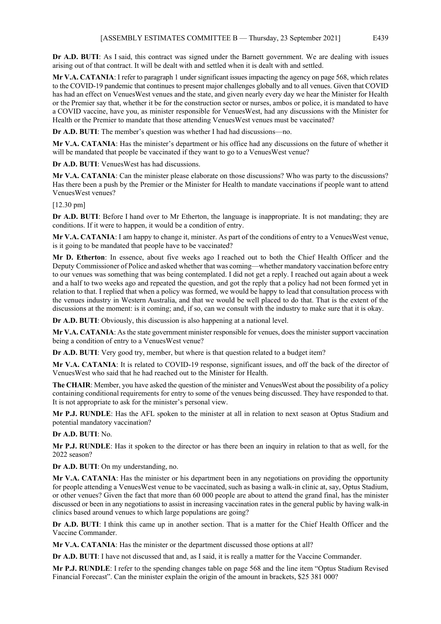**Dr A.D. BUTI**: As I said, this contract was signed under the Barnett government. We are dealing with issues arising out of that contract. It will be dealt with and settled when it is dealt with and settled.

**Mr V.A. CATANIA**: I refer to paragraph 1 under significant issues impacting the agency on page 568, which relates to the COVID-19 pandemic that continues to present major challenges globally and to all venues. Given that COVID has had an effect on VenuesWest venues and the state, and given nearly every day we hear the Minister for Health or the Premier say that, whether it be for the construction sector or nurses, ambos or police, it is mandated to have a COVID vaccine, have you, as minister responsible for VenuesWest, had any discussions with the Minister for Health or the Premier to mandate that those attending VenuesWest venues must be vaccinated?

**Dr A.D. BUTI**: The member's question was whether I had had discussions—no.

**Mr V.A. CATANIA**: Has the minister's department or his office had any discussions on the future of whether it will be mandated that people be vaccinated if they want to go to a VenuesWest venue?

**Dr A.D. BUTI**: VenuesWest has had discussions.

**Mr V.A. CATANIA**: Can the minister please elaborate on those discussions? Who was party to the discussions? Has there been a push by the Premier or the Minister for Health to mandate vaccinations if people want to attend VenuesWest venues?

[12.30 pm]

**Dr A.D. BUTI**: Before I hand over to Mr Etherton, the language is inappropriate. It is not mandating; they are conditions. If it were to happen, it would be a condition of entry.

**Mr V.A. CATANIA**: I am happy to change it, minister. As part of the conditions of entry to a VenuesWest venue, is it going to be mandated that people have to be vaccinated?

**Mr D. Etherton**: In essence, about five weeks ago I reached out to both the Chief Health Officer and the Deputy Commissioner of Police and asked whether that was coming—whether mandatory vaccination before entry to our venues was something that was being contemplated. I did not get a reply. I reached out again about a week and a half to two weeks ago and repeated the question, and got the reply that a policy had not been formed yet in relation to that. I replied that when a policy was formed, we would be happy to lead that consultation process with the venues industry in Western Australia, and that we would be well placed to do that. That is the extent of the discussions at the moment: is it coming; and, if so, can we consult with the industry to make sure that it is okay.

**Dr A.D. BUTI**: Obviously, this discussion is also happening at a national level.

**Mr V.A. CATANIA**: As the state government minister responsible for venues, does the minister support vaccination being a condition of entry to a VenuesWest venue?

**Dr A.D. BUTI**: Very good try, member, but where is that question related to a budget item?

**Mr V.A. CATANIA**: It is related to COVID-19 response, significant issues, and off the back of the director of VenuesWest who said that he had reached out to the Minister for Health.

**The CHAIR**: Member, you have asked the question of the minister and VenuesWest about the possibility of a policy containing conditional requirements for entry to some of the venues being discussed. They have responded to that. It is not appropriate to ask for the minister's personal view.

**Mr P.J. RUNDLE**: Has the AFL spoken to the minister at all in relation to next season at Optus Stadium and potential mandatory vaccination?

# **Dr A.D. BUTI**: No.

**Mr P.J. RUNDLE**: Has it spoken to the director or has there been an inquiry in relation to that as well, for the 2022 season?

**Dr A.D. BUTI**: On my understanding, no.

**Mr V.A. CATANIA**: Has the minister or his department been in any negotiations on providing the opportunity for people attending a VenuesWest venue to be vaccinated, such as basing a walk-in clinic at, say, Optus Stadium, or other venues? Given the fact that more than 60 000 people are about to attend the grand final, has the minister discussed or been in any negotiations to assist in increasing vaccination rates in the general public by having walk-in clinics based around venues to which large populations are going?

**Dr A.D. BUTI**: I think this came up in another section. That is a matter for the Chief Health Officer and the Vaccine Commander.

**Mr V.A. CATANIA**: Has the minister or the department discussed those options at all?

**Dr A.D. BUTI**: I have not discussed that and, as I said, it is really a matter for the Vaccine Commander.

**Mr P.J. RUNDLE**: I refer to the spending changes table on page 568 and the line item "Optus Stadium Revised Financial Forecast". Can the minister explain the origin of the amount in brackets, \$25 381 000?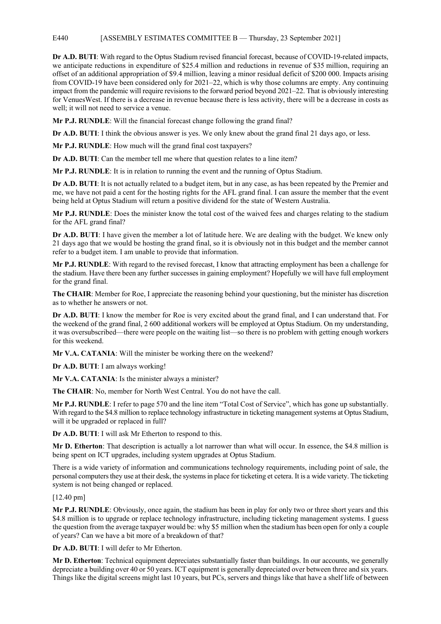# E440 [ASSEMBLY ESTIMATES COMMITTEE B — Thursday, 23 September 2021]

**Dr A.D. BUTI**: With regard to the Optus Stadium revised financial forecast, because of COVID-19-related impacts, we anticipate reductions in expenditure of \$25.4 million and reductions in revenue of \$35 million, requiring an offset of an additional appropriation of \$9.4 million, leaving a minor residual deficit of \$200 000. Impacts arising from COVID-19 have been considered only for 2021–22, which is why those columns are empty. Any continuing impact from the pandemic will require revisions to the forward period beyond 2021–22. That is obviously interesting for VenuesWest. If there is a decrease in revenue because there is less activity, there will be a decrease in costs as well; it will not need to service a venue.

**Mr P.J. RUNDLE**: Will the financial forecast change following the grand final?

**Dr A.D. BUTI:** I think the obvious answer is yes. We only knew about the grand final 21 days ago, or less.

**Mr P.J. RUNDLE**: How much will the grand final cost taxpayers?

**Dr A.D. BUTI**: Can the member tell me where that question relates to a line item?

**Mr P.J. RUNDLE**: It is in relation to running the event and the running of Optus Stadium.

**Dr A.D. BUTI**: It is not actually related to a budget item, but in any case, as has been repeated by the Premier and me, we have not paid a cent for the hosting rights for the AFL grand final. I can assure the member that the event being held at Optus Stadium will return a positive dividend for the state of Western Australia.

**Mr P.J. RUNDLE**: Does the minister know the total cost of the waived fees and charges relating to the stadium for the AFL grand final?

**Dr A.D. BUTI**: I have given the member a lot of latitude here. We are dealing with the budget. We knew only 21 days ago that we would be hosting the grand final, so it is obviously not in this budget and the member cannot refer to a budget item. I am unable to provide that information.

**Mr P.J. RUNDLE**: With regard to the revised forecast, I know that attracting employment has been a challenge for the stadium. Have there been any further successes in gaining employment? Hopefully we will have full employment for the grand final.

**The CHAIR**: Member for Roe, I appreciate the reasoning behind your questioning, but the minister has discretion as to whether he answers or not.

**Dr A.D. BUTI**: I know the member for Roe is very excited about the grand final, and I can understand that. For the weekend of the grand final, 2 600 additional workers will be employed at Optus Stadium. On my understanding, it was oversubscribed—there were people on the waiting list—so there is no problem with getting enough workers for this weekend.

**Mr V.A. CATANIA**: Will the minister be working there on the weekend?

**Dr A.D. BUTI**: I am always working!

**Mr V.A. CATANIA**: Is the minister always a minister?

**The CHAIR**: No, member for North West Central. You do not have the call.

**Mr P.J. RUNDLE**: I refer to page 570 and the line item "Total Cost of Service", which has gone up substantially. With regard to the \$4.8 million to replace technology infrastructure in ticketing management systems at Optus Stadium, will it be upgraded or replaced in full?

**Dr A.D. BUTI**: I will ask Mr Etherton to respond to this.

**Mr D. Etherton**: That description is actually a lot narrower than what will occur. In essence, the \$4.8 million is being spent on ICT upgrades, including system upgrades at Optus Stadium.

There is a wide variety of information and communications technology requirements, including point of sale, the personal computers they use at their desk, the systems in place for ticketing et cetera. It is a wide variety. The ticketing system is not being changed or replaced.

[12.40 pm]

**Mr P.J. RUNDLE**: Obviously, once again, the stadium has been in play for only two or three short years and this \$4.8 million is to upgrade or replace technology infrastructure, including ticketing management systems. I guess the question from the average taxpayer would be: why \$5 million when the stadium has been open for only a couple of years? Can we have a bit more of a breakdown of that?

**Dr A.D. BUTI**: I will defer to Mr Etherton.

**Mr D. Etherton**: Technical equipment depreciates substantially faster than buildings. In our accounts, we generally depreciate a building over 40 or 50 years. ICT equipment is generally depreciated over between three and six years. Things like the digital screens might last 10 years, but PCs, servers and things like that have a shelf life of between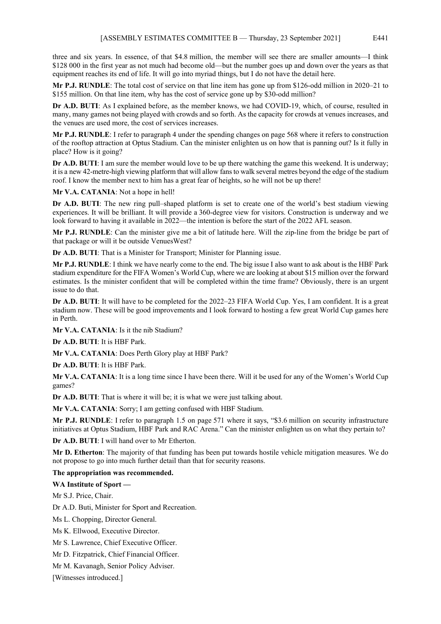three and six years. In essence, of that \$4.8 million, the member will see there are smaller amounts—I think \$128 000 in the first year as not much had become old—but the number goes up and down over the years as that equipment reaches its end of life. It will go into myriad things, but I do not have the detail here.

**Mr P.J. RUNDLE**: The total cost of service on that line item has gone up from \$126-odd million in 2020–21 to \$155 million. On that line item, why has the cost of service gone up by \$30-odd million?

**Dr A.D. BUTI**: As I explained before, as the member knows, we had COVID-19, which, of course, resulted in many, many games not being played with crowds and so forth. As the capacity for crowds at venues increases, and the venues are used more, the cost of services increases.

**Mr P.J. RUNDLE**: I refer to paragraph 4 under the spending changes on page 568 where it refers to construction of the rooftop attraction at Optus Stadium. Can the minister enlighten us on how that is panning out? Is it fully in place? How is it going?

**Dr A.D. BUTI**: I am sure the member would love to be up there watching the game this weekend. It is underway; it is a new 42-metre-high viewing platform that will allow fans to walk several metres beyond the edge of the stadium roof. I know the member next to him has a great fear of heights, so he will not be up there!

**Mr V.A. CATANIA**: Not a hope in hell!

**Dr A.D. BUTI**: The new ring pull–shaped platform is set to create one of the world's best stadium viewing experiences. It will be brilliant. It will provide a 360-degree view for visitors. Construction is underway and we look forward to having it available in 2022—the intention is before the start of the 2022 AFL season.

**Mr P.J. RUNDLE**: Can the minister give me a bit of latitude here. Will the zip-line from the bridge be part of that package or will it be outside VenuesWest?

**Dr A.D. BUTI**: That is a Minister for Transport; Minister for Planning issue.

**Mr P.J. RUNDLE**: I think we have nearly come to the end. The big issue I also want to ask about is the HBF Park stadium expenditure for the FIFA Women's World Cup, where we are looking at about \$15 million over the forward estimates. Is the minister confident that will be completed within the time frame? Obviously, there is an urgent issue to do that.

**Dr A.D. BUTI:** It will have to be completed for the 2022–23 FIFA World Cup. Yes, I am confident. It is a great stadium now. These will be good improvements and I look forward to hosting a few great World Cup games here in Perth.

**Mr V.A. CATANIA**: Is it the nib Stadium?

**Dr A.D. BUTI**: It is HBF Park.

**Mr V.A. CATANIA**: Does Perth Glory play at HBF Park?

**Dr A.D. BUTI**: It is HBF Park.

**Mr V.A. CATANIA**: It is a long time since I have been there. Will it be used for any of the Women's World Cup games?

**Dr A.D. BUTI**: That is where it will be; it is what we were just talking about.

**Mr V.A. CATANIA**: Sorry; I am getting confused with HBF Stadium.

**Mr P.J. RUNDLE**: I refer to paragraph 1.5 on page 571 where it says, "\$3.6 million on security infrastructure initiatives at Optus Stadium, HBF Park and RAC Arena." Can the minister enlighten us on what they pertain to?

**Dr A.D. BUTI**: I will hand over to Mr Etherton.

**Mr D. Etherton**: The majority of that funding has been put towards hostile vehicle mitigation measures. We do not propose to go into much further detail than that for security reasons.

### **The appropriation was recommended.**

# **WA Institute of Sport —**

Mr S.J. Price, Chair.

Dr A.D. Buti, Minister for Sport and Recreation.

Ms L. Chopping, Director General.

Ms K. Ellwood, Executive Director.

Mr S. Lawrence, Chief Executive Officer.

Mr D. Fitzpatrick, Chief Financial Officer.

Mr M. Kavanagh, Senior Policy Adviser.

[Witnesses introduced.]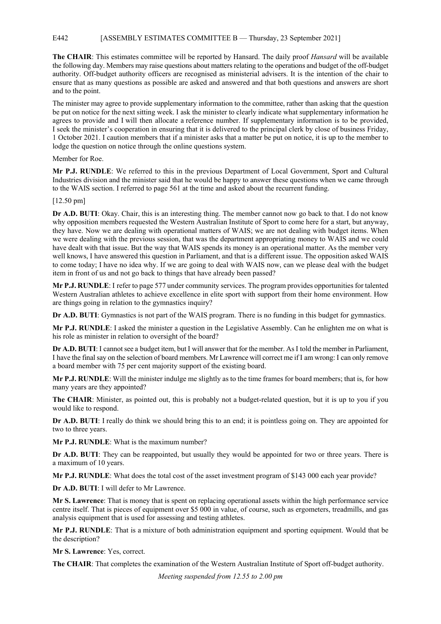# E442 [ASSEMBLY ESTIMATES COMMITTEE B — Thursday, 23 September 2021]

**The CHAIR**: This estimates committee will be reported by Hansard. The daily proof *Hansard* will be available the following day. Members may raise questions about matters relating to the operations and budget of the off-budget authority. Off-budget authority officers are recognised as ministerial advisers. It is the intention of the chair to ensure that as many questions as possible are asked and answered and that both questions and answers are short and to the point.

The minister may agree to provide supplementary information to the committee, rather than asking that the question be put on notice for the next sitting week. I ask the minister to clearly indicate what supplementary information he agrees to provide and I will then allocate a reference number. If supplementary information is to be provided, I seek the minister's cooperation in ensuring that it is delivered to the principal clerk by close of business Friday, 1 October 2021. I caution members that if a minister asks that a matter be put on notice, it is up to the member to lodge the question on notice through the online questions system.

Member for Roe.

**Mr P.J. RUNDLE**: We referred to this in the previous Department of Local Government, Sport and Cultural Industries division and the minister said that he would be happy to answer these questions when we came through to the WAIS section. I referred to page 561 at the time and asked about the recurrent funding.

# [12.50 pm]

**Dr A.D. BUTI**: Okay. Chair, this is an interesting thing. The member cannot now go back to that. I do not know why opposition members requested the Western Australian Institute of Sport to come here for a start, but anyway, they have. Now we are dealing with operational matters of WAIS; we are not dealing with budget items. When we were dealing with the previous session, that was the department appropriating money to WAIS and we could have dealt with that issue. But the way that WAIS spends its money is an operational matter. As the member very well knows, I have answered this question in Parliament, and that is a different issue. The opposition asked WAIS to come today; I have no idea why. If we are going to deal with WAIS now, can we please deal with the budget item in front of us and not go back to things that have already been passed?

**Mr P.J. RUNDLE**: I refer to page 577 under community services. The program provides opportunities for talented Western Australian athletes to achieve excellence in elite sport with support from their home environment. How are things going in relation to the gymnastics inquiry?

**Dr A.D. BUTI**: Gymnastics is not part of the WAIS program. There is no funding in this budget for gymnastics.

**Mr P.J. RUNDLE**: I asked the minister a question in the Legislative Assembly. Can he enlighten me on what is his role as minister in relation to oversight of the board?

**Dr A.D. BUTI**: I cannot see a budget item, but I will answer that for the member. AsI told the member in Parliament, I have the final say on the selection of board members. Mr Lawrence will correct me if I am wrong: I can only remove a board member with 75 per cent majority support of the existing board.

**Mr P.J. RUNDLE**: Will the minister indulge me slightly as to the time frames for board members; that is, for how many years are they appointed?

**The CHAIR**: Minister, as pointed out, this is probably not a budget-related question, but it is up to you if you would like to respond.

**Dr A.D. BUTI**: I really do think we should bring this to an end; it is pointless going on. They are appointed for two to three years.

**Mr P.J. RUNDLE**: What is the maximum number?

**Dr A.D. BUTI**: They can be reappointed, but usually they would be appointed for two or three years. There is a maximum of 10 years.

**Mr P.J. RUNDLE**: What does the total cost of the asset investment program of \$143 000 each year provide?

**Dr A.D. BUTI**: I will defer to Mr Lawrence.

**Mr S. Lawrence**: That is money that is spent on replacing operational assets within the high performance service centre itself. That is pieces of equipment over \$5 000 in value, of course, such as ergometers, treadmills, and gas analysis equipment that is used for assessing and testing athletes.

**Mr P.J. RUNDLE**: That is a mixture of both administration equipment and sporting equipment. Would that be the description?

**Mr S. Lawrence**: Yes, correct.

**The CHAIR**: That completes the examination of the Western Australian Institute of Sport off-budget authority.

*Meeting suspended from 12.55 to 2.00 pm*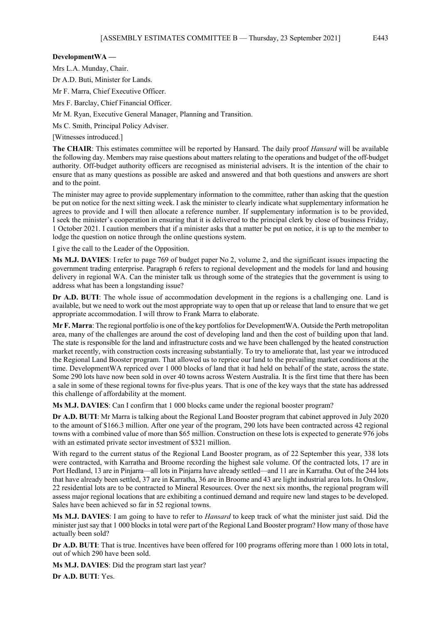# **DevelopmentWA —**

Mrs L.A. Munday, Chair.

Dr A.D. Buti, Minister for Lands.

Mr F. Marra, Chief Executive Officer.

Mrs F. Barclay, Chief Financial Officer.

Mr M. Ryan, Executive General Manager, Planning and Transition.

Ms C. Smith, Principal Policy Adviser.

[Witnesses introduced.]

**The CHAIR**: This estimates committee will be reported by Hansard. The daily proof *Hansard* will be available the following day. Members may raise questions about matters relating to the operations and budget of the off-budget authority. Off-budget authority officers are recognised as ministerial advisers. It is the intention of the chair to ensure that as many questions as possible are asked and answered and that both questions and answers are short and to the point.

The minister may agree to provide supplementary information to the committee, rather than asking that the question be put on notice for the next sitting week. I ask the minister to clearly indicate what supplementary information he agrees to provide and I will then allocate a reference number. If supplementary information is to be provided, I seek the minister's cooperation in ensuring that it is delivered to the principal clerk by close of business Friday, 1 October 2021. I caution members that if a minister asks that a matter be put on notice, it is up to the member to lodge the question on notice through the online questions system.

I give the call to the Leader of the Opposition.

**Ms M.J. DAVIES**: I refer to page 769 of budget paper No 2, volume 2, and the significant issues impacting the government trading enterprise. Paragraph 6 refers to regional development and the models for land and housing delivery in regional WA. Can the minister talk us through some of the strategies that the government is using to address what has been a longstanding issue?

**Dr A.D. BUTI**: The whole issue of accommodation development in the regions is a challenging one. Land is available, but we need to work out the most appropriate way to open that up or release that land to ensure that we get appropriate accommodation. I will throw to Frank Marra to elaborate.

**Mr F. Marra**: The regional portfolio is one of the key portfolios for DevelopmentWA. Outside the Perth metropolitan area, many of the challenges are around the cost of developing land and then the cost of building upon that land. The state is responsible for the land and infrastructure costs and we have been challenged by the heated construction market recently, with construction costs increasing substantially. To try to ameliorate that, last year we introduced the Regional Land Booster program. That allowed us to reprice our land to the prevailing market conditions at the time. DevelopmentWA repriced over 1 000 blocks of land that it had held on behalf of the state, across the state. Some 290 lots have now been sold in over 40 towns across Western Australia. It is the first time that there has been a sale in some of these regional towns for five-plus years. That is one of the key ways that the state has addressed this challenge of affordability at the moment.

**Ms M.J. DAVIES**: Can I confirm that 1 000 blocks came under the regional booster program?

**Dr A.D. BUTI**: Mr Marra is talking about the Regional Land Booster program that cabinet approved in July 2020 to the amount of \$166.3 million. After one year of the program, 290 lots have been contracted across 42 regional towns with a combined value of more than \$65 million. Construction on these lots is expected to generate 976 jobs with an estimated private sector investment of \$321 million.

With regard to the current status of the Regional Land Booster program, as of 22 September this year, 338 lots were contracted, with Karratha and Broome recording the highest sale volume. Of the contracted lots, 17 are in Port Hedland, 13 are in Pinjarra—all lots in Pinjarra have already settled—and 11 are in Karratha. Out of the 244 lots that have already been settled, 37 are in Karratha, 36 are in Broome and 43 are light industrial area lots. In Onslow, 22 residential lots are to be contracted to Mineral Resources. Over the next six months, the regional program will assess major regional locations that are exhibiting a continued demand and require new land stages to be developed. Sales have been achieved so far in 52 regional towns.

**Ms M.J. DAVIES**: I am going to have to refer to *Hansard* to keep track of what the minister just said. Did the minister just say that 1 000 blocks in total were part of the Regional Land Booster program? How many of those have actually been sold?

**Dr A.D. BUTI**: That is true. Incentives have been offered for 100 programs offering more than 1 000 lots in total, out of which 290 have been sold.

**Ms M.J. DAVIES**: Did the program start last year?

**Dr A.D. BUTI**: Yes.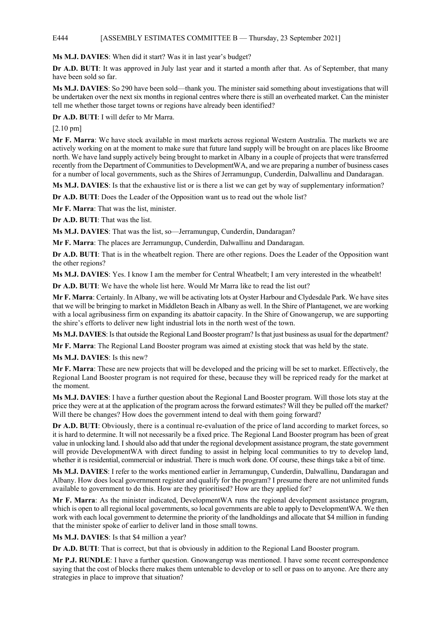# E444 [ASSEMBLY ESTIMATES COMMITTEE B — Thursday, 23 September 2021]

**Ms M.J. DAVIES**: When did it start? Was it in last year's budget?

**Dr A.D. BUTI**: It was approved in July last year and it started a month after that. As of September, that many have been sold so far.

**Ms M.J. DAVIES**: So 290 have been sold—thank you. The minister said something about investigations that will be undertaken over the next six months in regional centres where there is still an overheated market. Can the minister tell me whether those target towns or regions have already been identified?

**Dr A.D. BUTI**: I will defer to Mr Marra.

[2.10 pm]

**Mr F. Marra**: We have stock available in most markets across regional Western Australia. The markets we are actively working on at the moment to make sure that future land supply will be brought on are places like Broome north. We have land supply actively being brought to market in Albany in a couple of projects that were transferred recently from the Department of Communities to DevelopmentWA, and we are preparing a number of business cases for a number of local governments, such as the Shires of Jerramungup, Cunderdin, Dalwallinu and Dandaragan.

**Ms M.J. DAVIES**: Is that the exhaustive list or is there a list we can get by way of supplementary information?

**Dr A.D. BUTI**: Does the Leader of the Opposition want us to read out the whole list?

**Mr F. Marra**: That was the list, minister.

**Dr A.D. BUTI**: That was the list.

**Ms M.J. DAVIES**: That was the list, so—Jerramungup, Cunderdin, Dandaragan?

**Mr F. Marra**: The places are Jerramungup, Cunderdin, Dalwallinu and Dandaragan.

**Dr A.D. BUTI**: That is in the wheatbelt region. There are other regions. Does the Leader of the Opposition want the other regions?

**Ms M.J. DAVIES**: Yes. I know I am the member for Central Wheatbelt; I am very interested in the wheatbelt!

**Dr A.D. BUTI**: We have the whole list here. Would Mr Marra like to read the list out?

**Mr F. Marra**: Certainly. In Albany, we will be activating lots at Oyster Harbour and Clydesdale Park. We have sites that we will be bringing to market in Middleton Beach in Albany as well. In the Shire of Plantagenet, we are working with a local agribusiness firm on expanding its abattoir capacity. In the Shire of Gnowangerup, we are supporting the shire's efforts to deliver new light industrial lots in the north west of the town.

**Ms M.J. DAVIES**: Is that outside the Regional Land Booster program? Is that just business as usual for the department?

**Mr F. Marra**: The Regional Land Booster program was aimed at existing stock that was held by the state.

**Ms M.J. DAVIES**: Is this new?

**Mr F. Marra**: These are new projects that will be developed and the pricing will be set to market. Effectively, the Regional Land Booster program is not required for these, because they will be repriced ready for the market at the moment.

**Ms M.J. DAVIES**: I have a further question about the Regional Land Booster program. Will those lots stay at the price they were at at the application of the program across the forward estimates? Will they be pulled off the market? Will there be changes? How does the government intend to deal with them going forward?

**Dr A.D. BUTI:** Obviously, there is a continual re-evaluation of the price of land according to market forces, so it is hard to determine. It will not necessarily be a fixed price. The Regional Land Booster program has been of great value in unlocking land. I should also add that under the regional development assistance program, the state government will provide DevelopmentWA with direct funding to assist in helping local communities to try to develop land, whether it is residential, commercial or industrial. There is much work done. Of course, these things take a bit of time.

**Ms M.J. DAVIES**: I refer to the works mentioned earlier in Jerramungup, Cunderdin, Dalwallinu, Dandaragan and Albany. How does local government register and qualify for the program? I presume there are not unlimited funds available to government to do this. How are they prioritised? How are they applied for?

**Mr F. Marra**: As the minister indicated, DevelopmentWA runs the regional development assistance program, which is open to all regional local governments, so local governments are able to apply to DevelopmentWA. We then work with each local government to determine the priority of the landholdings and allocate that \$4 million in funding that the minister spoke of earlier to deliver land in those small towns.

**Ms M.J. DAVIES**: Is that \$4 million a year?

**Dr A.D. BUTI**: That is correct, but that is obviously in addition to the Regional Land Booster program.

**Mr P.J. RUNDLE**: I have a further question. Gnowangerup was mentioned. I have some recent correspondence saying that the cost of blocks there makes them untenable to develop or to sell or pass on to anyone. Are there any strategies in place to improve that situation?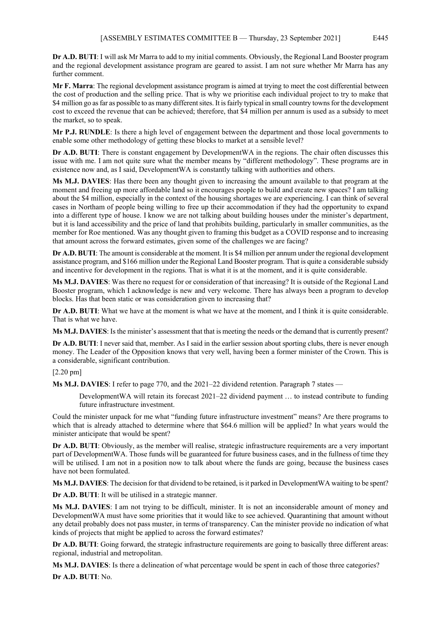**Dr A.D. BUTI**: I will ask Mr Marra to add to my initial comments. Obviously, the Regional Land Booster program and the regional development assistance program are geared to assist. I am not sure whether Mr Marra has any further comment.

**Mr F. Marra**: The regional development assistance program is aimed at trying to meet the cost differential between the cost of production and the selling price. That is why we prioritise each individual project to try to make that \$4 million go as far as possible to as many different sites. It is fairly typical in small country towns for the development cost to exceed the revenue that can be achieved; therefore, that \$4 million per annum is used as a subsidy to meet the market, so to speak.

**Mr P.J. RUNDLE**: Is there a high level of engagement between the department and those local governments to enable some other methodology of getting these blocks to market at a sensible level?

**Dr A.D. BUTI**: There is constant engagement by DevelopmentWA in the regions. The chair often discusses this issue with me. I am not quite sure what the member means by "different methodology". These programs are in existence now and, as I said, DevelopmentWA is constantly talking with authorities and others.

**Ms M.J. DAVIES**: Has there been any thought given to increasing the amount available to that program at the moment and freeing up more affordable land so it encourages people to build and create new spaces? I am talking about the \$4 million, especially in the context of the housing shortages we are experiencing. I can think of several cases in Northam of people being willing to free up their accommodation if they had the opportunity to expand into a different type of house. I know we are not talking about building houses under the minister's department, but it is land accessibility and the price of land that prohibits building, particularly in smaller communities, as the member for Roe mentioned. Was any thought given to framing this budget as a COVID response and to increasing that amount across the forward estimates, given some of the challenges we are facing?

**Dr A.D. BUTI**: The amount is considerable at the moment. It is \$4 million per annum under the regional development assistance program, and \$166 million under the Regional Land Booster program. That is quite a considerable subsidy and incentive for development in the regions. That is what it is at the moment, and it is quite considerable.

**Ms M.J. DAVIES**: Was there no request for or consideration of that increasing? It is outside of the Regional Land Booster program, which I acknowledge is new and very welcome. There has always been a program to develop blocks. Has that been static or was consideration given to increasing that?

**Dr A.D. BUTI**: What we have at the moment is what we have at the moment, and I think it is quite considerable. That is what we have.

**Ms M.J. DAVIES**: Is the minister's assessment that that is meeting the needs or the demand that is currently present?

**Dr A.D. BUTI:** I never said that, member. As I said in the earlier session about sporting clubs, there is never enough money. The Leader of the Opposition knows that very well, having been a former minister of the Crown. This is a considerable, significant contribution.

## [2.20 pm]

**Ms M.J. DAVIES**: I refer to page 770, and the 2021–22 dividend retention. Paragraph 7 states —

DevelopmentWA will retain its forecast 2021–22 dividend payment … to instead contribute to funding future infrastructure investment.

Could the minister unpack for me what "funding future infrastructure investment" means? Are there programs to which that is already attached to determine where that \$64.6 million will be applied? In what years would the minister anticipate that would be spent?

**Dr A.D. BUTI**: Obviously, as the member will realise, strategic infrastructure requirements are a very important part of DevelopmentWA. Those funds will be guaranteed for future business cases, and in the fullness of time they will be utilised. I am not in a position now to talk about where the funds are going, because the business cases have not been formulated.

**Ms M.J. DAVIES**: The decision for that dividend to be retained, is it parked in DevelopmentWA waiting to be spent?

**Dr A.D. BUTI**: It will be utilised in a strategic manner.

**Ms M.J. DAVIES**: I am not trying to be difficult, minister. It is not an inconsiderable amount of money and DevelopmentWA must have some priorities that it would like to see achieved. Quarantining that amount without any detail probably does not pass muster, in terms of transparency. Can the minister provide no indication of what kinds of projects that might be applied to across the forward estimates?

**Dr A.D. BUTI:** Going forward, the strategic infrastructure requirements are going to basically three different areas: regional, industrial and metropolitan.

**Ms M.J. DAVIES**: Is there a delineation of what percentage would be spent in each of those three categories?

**Dr A.D. BUTI**: No.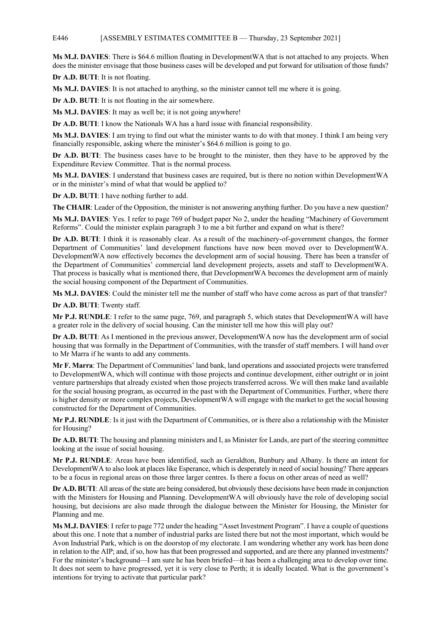### E446 [ASSEMBLY ESTIMATES COMMITTEE B — Thursday, 23 September 2021]

**Ms M.J. DAVIES**: There is \$64.6 million floating in DevelopmentWA that is not attached to any projects. When does the minister envisage that those business cases will be developed and put forward for utilisation of those funds?

**Dr A.D. BUTI**: It is not floating.

**Ms M.J. DAVIES**: It is not attached to anything, so the minister cannot tell me where it is going.

**Dr A.D. BUTI**: It is not floating in the air somewhere.

**Ms M.J. DAVIES**: It may as well be; it is not going anywhere!

**Dr A.D. BUTI**: I know the Nationals WA has a hard issue with financial responsibility.

**Ms M.J. DAVIES**: I am trying to find out what the minister wants to do with that money. I think I am being very financially responsible, asking where the minister's \$64.6 million is going to go.

**Dr A.D. BUTI**: The business cases have to be brought to the minister, then they have to be approved by the Expenditure Review Committee. That is the normal process.

**Ms M.J. DAVIES**: I understand that business cases are required, but is there no notion within DevelopmentWA or in the minister's mind of what that would be applied to?

**Dr A.D. BUTI**: I have nothing further to add.

**The CHAIR**: Leader of the Opposition, the minister is not answering anything further. Do you have a new question?

**Ms M.J. DAVIES**: Yes. I refer to page 769 of budget paper No 2, under the heading "Machinery of Government Reforms". Could the minister explain paragraph 3 to me a bit further and expand on what is there?

**Dr A.D. BUTI**: I think it is reasonably clear. As a result of the machinery-of-government changes, the former Department of Communities' land development functions have now been moved over to DevelopmentWA. DevelopmentWA now effectively becomes the development arm of social housing. There has been a transfer of the Department of Communities' commercial land development projects, assets and staff to DevelopmentWA. That process is basically what is mentioned there, that DevelopmentWA becomes the development arm of mainly the social housing component of the Department of Communities.

**Ms M.J. DAVIES**: Could the minister tell me the number of staff who have come across as part of that transfer?

**Dr A.D. BUTI**: Twenty staff.

**Mr P.J. RUNDLE**: I refer to the same page, 769, and paragraph 5, which states that DevelopmentWA will have a greater role in the delivery of social housing. Can the minister tell me how this will play out?

**Dr A.D. BUTI**: As I mentioned in the previous answer, DevelopmentWA now has the development arm of social housing that was formally in the Department of Communities, with the transfer of staff members. I will hand over to Mr Marra if he wants to add any comments.

**Mr F. Marra**: The Department of Communities' land bank, land operations and associated projects were transferred to DevelopmentWA, which will continue with those projects and continue development, either outright or in joint venture partnerships that already existed when those projects transferred across. We will then make land available for the social housing program, as occurred in the past with the Department of Communities. Further, where there is higher density or more complex projects, DevelopmentWA will engage with the market to get the social housing constructed for the Department of Communities.

**Mr P.J. RUNDLE**: Is it just with the Department of Communities, or is there also a relationship with the Minister for Housing?

**Dr A.D. BUTI**: The housing and planning ministers and I, as Minister for Lands, are part of the steering committee looking at the issue of social housing.

**Mr P.J. RUNDLE**: Areas have been identified, such as Geraldton, Bunbury and Albany. Is there an intent for DevelopmentWA to also look at places like Esperance, which is desperately in need of social housing? There appears to be a focus in regional areas on those three larger centres. Is there a focus on other areas of need as well?

**Dr A.D. BUTI**: All areas of the state are being considered, but obviously these decisions have been made in conjunction with the Ministers for Housing and Planning. DevelopmentWA will obviously have the role of developing social housing, but decisions are also made through the dialogue between the Minister for Housing, the Minister for Planning and me.

**Ms M.J. DAVIES**: I refer to page 772 under the heading "Asset Investment Program". I have a couple of questions about this one. I note that a number of industrial parks are listed there but not the most important, which would be Avon Industrial Park, which is on the doorstop of my electorate. I am wondering whether any work has been done in relation to the AIP; and, if so, how has that been progressed and supported, and are there any planned investments? For the minister's background—I am sure he has been briefed—it has been a challenging area to develop over time. It does not seem to have progressed, yet it is very close to Perth; it is ideally located. What is the government's intentions for trying to activate that particular park?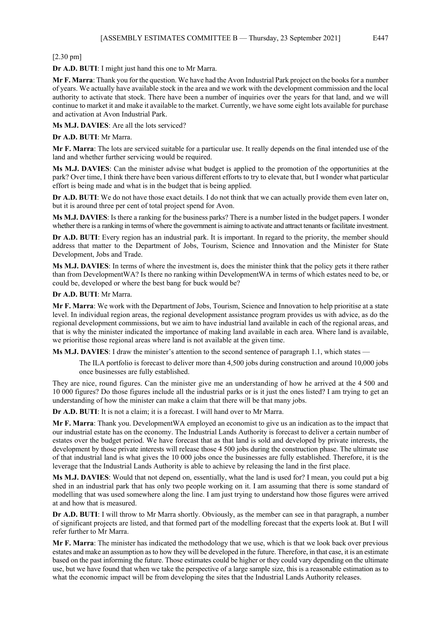[2.30 pm]

**Dr A.D. BUTI**: I might just hand this one to Mr Marra.

**Mr F. Marra**: Thank you for the question. We have had the Avon Industrial Park project on the books for a number of years. We actually have available stock in the area and we work with the development commission and the local authority to activate that stock. There have been a number of inquiries over the years for that land, and we will continue to market it and make it available to the market. Currently, we have some eight lots available for purchase and activation at Avon Industrial Park.

**Ms M.J. DAVIES**: Are all the lots serviced?

**Dr A.D. BUTI**: Mr Marra.

**Mr F. Marra**: The lots are serviced suitable for a particular use. It really depends on the final intended use of the land and whether further servicing would be required.

**Ms M.J. DAVIES**: Can the minister advise what budget is applied to the promotion of the opportunities at the park? Over time, I think there have been various different efforts to try to elevate that, but I wonder what particular effort is being made and what is in the budget that is being applied.

**Dr A.D. BUTI**: We do not have those exact details. I do not think that we can actually provide them even later on, but it is around three per cent of total project spend for Avon.

**Ms M.J. DAVIES**: Is there a ranking for the business parks? There is a number listed in the budget papers. I wonder whether there is a ranking in terms of where the government is aiming to activate and attract tenants or facilitate investment.

**Dr A.D. BUTI**: Every region has an industrial park. It is important. In regard to the priority, the member should address that matter to the Department of Jobs, Tourism, Science and Innovation and the Minister for State Development, Jobs and Trade.

**Ms M.J. DAVIES**: In terms of where the investment is, does the minister think that the policy gets it there rather than from DevelopmentWA? Is there no ranking within DevelopmentWA in terms of which estates need to be, or could be, developed or where the best bang for buck would be?

**Dr A.D. BUTI**: Mr Marra.

**Mr F. Marra**: We work with the Department of Jobs, Tourism, Science and Innovation to help prioritise at a state level. In individual region areas, the regional development assistance program provides us with advice, as do the regional development commissions, but we aim to have industrial land available in each of the regional areas, and that is why the minister indicated the importance of making land available in each area. Where land is available, we prioritise those regional areas where land is not available at the given time.

**Ms M.J. DAVIES**: I draw the minister's attention to the second sentence of paragraph 1.1, which states —

The ILA portfolio is forecast to deliver more than 4,500 jobs during construction and around 10,000 jobs once businesses are fully established.

They are nice, round figures. Can the minister give me an understanding of how he arrived at the 4 500 and 10 000 figures? Do those figures include all the industrial parks or is it just the ones listed? I am trying to get an understanding of how the minister can make a claim that there will be that many jobs.

**Dr A.D. BUTI**: It is not a claim; it is a forecast. I will hand over to Mr Marra.

**Mr F. Marra**: Thank you. DevelopmentWA employed an economist to give us an indication as to the impact that our industrial estate has on the economy. The Industrial Lands Authority is forecast to deliver a certain number of estates over the budget period. We have forecast that as that land is sold and developed by private interests, the development by those private interests will release those 4 500 jobs during the construction phase. The ultimate use of that industrial land is what gives the 10 000 jobs once the businesses are fully established. Therefore, it is the leverage that the Industrial Lands Authority is able to achieve by releasing the land in the first place.

**Ms M.J. DAVIES**: Would that not depend on, essentially, what the land is used for? I mean, you could put a big shed in an industrial park that has only two people working on it. I am assuming that there is some standard of modelling that was used somewhere along the line. I am just trying to understand how those figures were arrived at and how that is measured.

**Dr A.D. BUTI**: I will throw to Mr Marra shortly. Obviously, as the member can see in that paragraph, a number of significant projects are listed, and that formed part of the modelling forecast that the experts look at. But I will refer further to Mr Marra.

**Mr F. Marra**: The minister has indicated the methodology that we use, which is that we look back over previous estates and make an assumption as to how they will be developed in the future. Therefore, in that case, it is an estimate based on the past informing the future. Those estimates could be higher or they could vary depending on the ultimate use, but we have found that when we take the perspective of a large sample size, this is a reasonable estimation as to what the economic impact will be from developing the sites that the Industrial Lands Authority releases.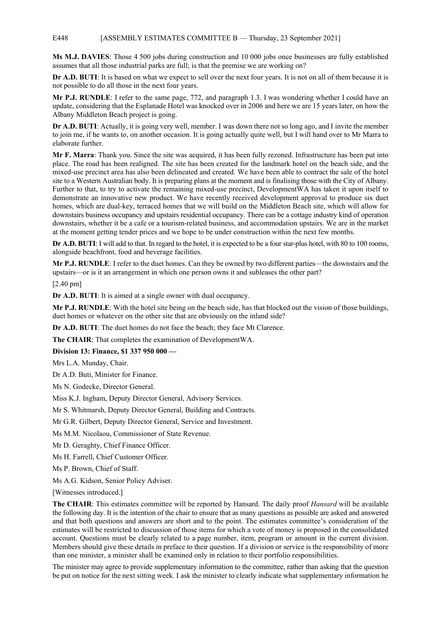### E448 [ASSEMBLY ESTIMATES COMMITTEE B — Thursday, 23 September 2021]

**Ms M.J. DAVIES**: Those 4 500 jobs during construction and 10 000 jobs once businesses are fully established assumes that all those industrial parks are full; is that the premise we are working on?

**Dr A.D. BUTI**: It is based on what we expect to sell over the next four years. It is not on all of them because it is not possible to do all those in the next four years.

**Mr P.J. RUNDLE**: I refer to the same page, 772, and paragraph 1.3. I was wondering whether I could have an update, considering that the Esplanade Hotel was knocked over in 2006 and here we are 15 years later, on how the Albany Middleton Beach project is going.

**Dr A.D. BUTI**: Actually, it is going very well, member. I was down there not so long ago, and I invite the member to join me, if he wants to, on another occasion. It is going actually quite well, but I will hand over to Mr Marra to elaborate further.

**Mr F. Marra**: Thank you. Since the site was acquired, it has been fully rezoned. Infrastructure has been put into place. The road has been realigned. The site has been created for the landmark hotel on the beach side, and the mixed-use precinct area has also been delineated and created. We have been able to contract the sale of the hotel site to a Western Australian body. It is preparing plans at the moment and is finalising those with the City of Albany. Further to that, to try to activate the remaining mixed-use precinct, DevelopmentWA has taken it upon itself to demonstrate an innovative new product. We have recently received development approval to produce six duet homes, which are dual-key, terraced homes that we will build on the Middleton Beach site, which will allow for downstairs business occupancy and upstairs residential occupancy. There can be a cottage industry kind of operation downstairs, whether it be a cafe or a tourism-related business, and accommodation upstairs. We are in the market at the moment getting tender prices and we hope to be under construction within the next few months.

**Dr A.D. BUTI**: I will add to that. In regard to the hotel, it is expected to be a four star-plus hotel, with 80 to 100 rooms, alongside beachfront, food and beverage facilities.

**Mr P.J. RUNDLE**: I refer to the duet homes. Can they be owned by two different parties—the downstairs and the upstairs—or is it an arrangement in which one person owns it and subleases the other part?

[2.40 pm]

**Dr A.D. BUTI**: It is aimed at a single owner with dual occupancy.

**Mr P.J. RUNDLE**: With the hotel site being on the beach side, has that blocked out the vision of those buildings, duet homes or whatever on the other site that are obviously on the inland side?

**Dr A.D. BUTI**: The duet homes do not face the beach; they face Mt Clarence.

**The CHAIR**: That completes the examination of DevelopmentWA.

**Division 13: Finance, \$1 337 950 000 —**

Mrs L.A. Munday, Chair.

Dr A.D. Buti, Minister for Finance.

Ms N. Godecke, Director General.

Miss K.J. Ingham, Deputy Director General, Advisory Services.

Mr S. Whitmarsh, Deputy Director General, Building and Contracts.

Mr G.R. Gilbert, Deputy Director General, Service and Investment.

Ms M.M. Nicolaou, Commissioner of State Revenue.

Mr D. Geraghty, Chief Finance Officer.

Ms H. Farrell, Chief Customer Officer.

Ms P. Brown, Chief of Staff.

Ms A.G. Kidson, Senior Policy Adviser.

[Witnesses introduced.]

**The CHAIR**: This estimates committee will be reported by Hansard. The daily proof *Hansard* will be available the following day. It is the intention of the chair to ensure that as many questions as possible are asked and answered and that both questions and answers are short and to the point. The estimates committee's consideration of the estimates will be restricted to discussion of those items for which a vote of money is proposed in the consolidated account. Questions must be clearly related to a page number, item, program or amount in the current division. Members should give these details in preface to their question. If a division or service is the responsibility of more than one minister, a minister shall be examined only in relation to their portfolio responsibilities.

The minister may agree to provide supplementary information to the committee, rather than asking that the question be put on notice for the next sitting week. I ask the minister to clearly indicate what supplementary information he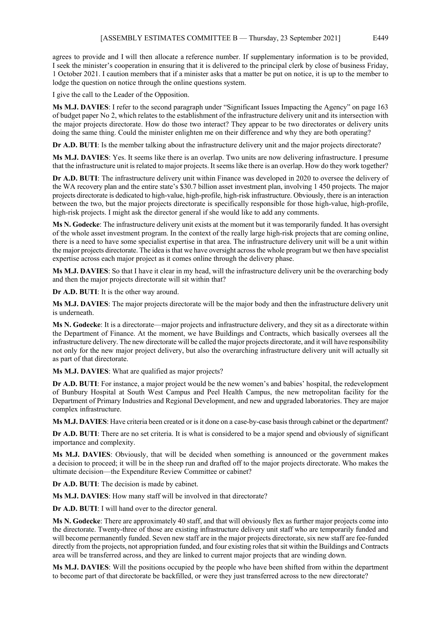agrees to provide and I will then allocate a reference number. If supplementary information is to be provided, I seek the minister's cooperation in ensuring that it is delivered to the principal clerk by close of business Friday, 1 October 2021. I caution members that if a minister asks that a matter be put on notice, it is up to the member to lodge the question on notice through the online questions system.

I give the call to the Leader of the Opposition.

**Ms M.J. DAVIES**: I refer to the second paragraph under "Significant Issues Impacting the Agency" on page 163 of budget paper No 2, which relates to the establishment of the infrastructure delivery unit and its intersection with the major projects directorate. How do those two interact? They appear to be two directorates or delivery units doing the same thing. Could the minister enlighten me on their difference and why they are both operating?

**Dr A.D. BUTI**: Is the member talking about the infrastructure delivery unit and the major projects directorate?

**Ms M.J. DAVIES**: Yes. It seems like there is an overlap. Two units are now delivering infrastructure. I presume that the infrastructure unit is related to major projects. It seems like there is an overlap. How do they work together?

**Dr A.D. BUTI**: The infrastructure delivery unit within Finance was developed in 2020 to oversee the delivery of the WA recovery plan and the entire state's \$30.7 billion asset investment plan, involving 1 450 projects. The major projects directorate is dedicated to high-value, high-profile, high-risk infrastructure. Obviously, there is an interaction between the two, but the major projects directorate is specifically responsible for those high-value, high-profile, high-risk projects. I might ask the director general if she would like to add any comments.

**Ms N. Godecke**: The infrastructure delivery unit exists at the moment but it was temporarily funded. It has oversight of the whole asset investment program. In the context of the really large high-risk projects that are coming online, there is a need to have some specialist expertise in that area. The infrastructure delivery unit will be a unit within the major projects directorate. The idea is that we have oversight across the whole program but we then have specialist expertise across each major project as it comes online through the delivery phase.

**Ms M.J. DAVIES**: So that I have it clear in my head, will the infrastructure delivery unit be the overarching body and then the major projects directorate will sit within that?

**Dr A.D. BUTI**: It is the other way around.

**Ms M.J. DAVIES**: The major projects directorate will be the major body and then the infrastructure delivery unit is underneath.

**Ms N. Godecke**: It is a directorate—major projects and infrastructure delivery, and they sit as a directorate within the Department of Finance. At the moment, we have Buildings and Contracts, which basically oversees all the infrastructure delivery. The new directorate will be called the major projects directorate, and it will have responsibility not only for the new major project delivery, but also the overarching infrastructure delivery unit will actually sit as part of that directorate.

**Ms M.J. DAVIES**: What are qualified as major projects?

**Dr A.D. BUTI**: For instance, a major project would be the new women's and babies' hospital, the redevelopment of Bunbury Hospital at South West Campus and Peel Health Campus, the new metropolitan facility for the Department of Primary Industries and Regional Development, and new and upgraded laboratories. They are major complex infrastructure.

**Ms M.J. DAVIES**: Have criteria been created or is it done on a case-by-case basis through cabinet or the department?

**Dr A.D. BUTI**: There are no set criteria. It is what is considered to be a major spend and obviously of significant importance and complexity.

**Ms M.J. DAVIES**: Obviously, that will be decided when something is announced or the government makes a decision to proceed; it will be in the sheep run and drafted off to the major projects directorate. Who makes the ultimate decision—the Expenditure Review Committee or cabinet?

**Dr A.D. BUTI**: The decision is made by cabinet.

**Ms M.J. DAVIES**: How many staff will be involved in that directorate?

**Dr A.D. BUTI**: I will hand over to the director general.

**Ms N. Godecke**: There are approximately 40 staff, and that will obviously flex as further major projects come into the directorate. Twenty-three of those are existing infrastructure delivery unit staff who are temporarily funded and will become permanently funded. Seven new staff are in the major projects directorate, six new staff are fee-funded directly from the projects, not appropriation funded, and four existing roles that sit within the Buildings and Contracts area will be transferred across, and they are linked to current major projects that are winding down.

**Ms M.J. DAVIES**: Will the positions occupied by the people who have been shifted from within the department to become part of that directorate be backfilled, or were they just transferred across to the new directorate?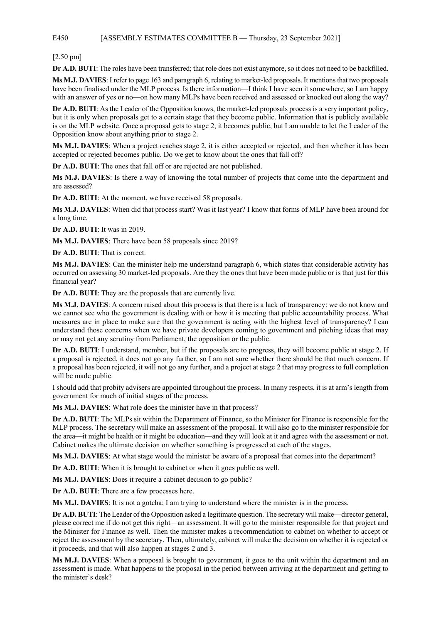## E450 [ASSEMBLY ESTIMATES COMMITTEE B — Thursday, 23 September 2021]

### [2.50 pm]

**Dr A.D. BUTI**: The roles have been transferred; that role does not exist anymore, so it does not need to be backfilled.

**Ms M.J. DAVIES**: I refer to page 163 and paragraph 6, relating to market-led proposals. It mentions that two proposals have been finalised under the MLP process. Is there information—I think I have seen it somewhere, so I am happy with an answer of yes or no—on how many MLPs have been received and assessed or knocked out along the way?

**Dr A.D. BUTI**: As the Leader of the Opposition knows, the market-led proposals process is a very important policy, but it is only when proposals get to a certain stage that they become public. Information that is publicly available is on the MLP website. Once a proposal gets to stage 2, it becomes public, but I am unable to let the Leader of the Opposition know about anything prior to stage 2.

**Ms M.J. DAVIES**: When a project reaches stage 2, it is either accepted or rejected, and then whether it has been accepted or rejected becomes public. Do we get to know about the ones that fall off?

**Dr A.D. BUTI**: The ones that fall off or are rejected are not published.

**Ms M.J. DAVIES**: Is there a way of knowing the total number of projects that come into the department and are assessed?

**Dr A.D. BUTI**: At the moment, we have received 58 proposals.

**Ms M.J. DAVIES**: When did that process start? Was it last year? I know that forms of MLP have been around for a long time.

**Dr A.D. BUTI**: It was in 2019.

**Ms M.J. DAVIES**: There have been 58 proposals since 2019?

**Dr A.D. BUTI**: That is correct.

**Ms M.J. DAVIES**: Can the minister help me understand paragraph 6, which states that considerable activity has occurred on assessing 30 market-led proposals. Are they the ones that have been made public or is that just for this financial year?

**Dr A.D. BUTI**: They are the proposals that are currently live.

**Ms M.J. DAVIES**: A concern raised about this process is that there is a lack of transparency: we do not know and we cannot see who the government is dealing with or how it is meeting that public accountability process. What measures are in place to make sure that the government is acting with the highest level of transparency? I can understand those concerns when we have private developers coming to government and pitching ideas that may or may not get any scrutiny from Parliament, the opposition or the public.

**Dr A.D. BUTI**: I understand, member, but if the proposals are to progress, they will become public at stage 2. If a proposal is rejected, it does not go any further, so I am not sure whether there should be that much concern. If a proposal has been rejected, it will not go any further, and a project at stage 2 that may progress to full completion will be made public.

I should add that probity advisers are appointed throughout the process. In many respects, it is at arm's length from government for much of initial stages of the process.

**Ms M.J. DAVIES**: What role does the minister have in that process?

**Dr A.D. BUTI**: The MLPs sit within the Department of Finance, so the Minister for Finance is responsible for the MLP process. The secretary will make an assessment of the proposal. It will also go to the minister responsible for the area—it might be health or it might be education—and they will look at it and agree with the assessment or not. Cabinet makes the ultimate decision on whether something is progressed at each of the stages.

**Ms M.J. DAVIES**: At what stage would the minister be aware of a proposal that comes into the department?

**Dr A.D. BUTI**: When it is brought to cabinet or when it goes public as well.

**Ms M.J. DAVIES**: Does it require a cabinet decision to go public?

**Dr A.D. BUTI**: There are a few processes here.

**Ms M.J. DAVIES**: It is not a gotcha; I am trying to understand where the minister is in the process.

**Dr A.D. BUTI**: The Leader of the Opposition asked a legitimate question. The secretary will make—director general, please correct me if do not get this right—an assessment. It will go to the minister responsible for that project and the Minister for Finance as well. Then the minister makes a recommendation to cabinet on whether to accept or reject the assessment by the secretary. Then, ultimately, cabinet will make the decision on whether it is rejected or it proceeds, and that will also happen at stages 2 and 3.

**Ms M.J. DAVIES**: When a proposal is brought to government, it goes to the unit within the department and an assessment is made. What happens to the proposal in the period between arriving at the department and getting to the minister's desk?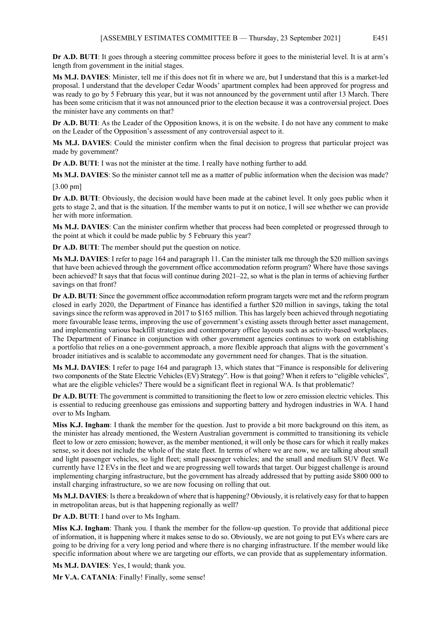**Dr A.D. BUTI**: It goes through a steering committee process before it goes to the ministerial level. It is at arm's length from government in the initial stages.

**Ms M.J. DAVIES**: Minister, tell me if this does not fit in where we are, but I understand that this is a market-led proposal. I understand that the developer Cedar Woods' apartment complex had been approved for progress and was ready to go by 5 February this year, but it was not announced by the government until after 13 March. There has been some criticism that it was not announced prior to the election because it was a controversial project. Does the minister have any comments on that?

**Dr A.D. BUTI**: As the Leader of the Opposition knows, it is on the website. I do not have any comment to make on the Leader of the Opposition's assessment of any controversial aspect to it.

**Ms M.J. DAVIES**: Could the minister confirm when the final decision to progress that particular project was made by government?

**Dr A.D. BUTI**: I was not the minister at the time. I really have nothing further to add.

**Ms M.J. DAVIES**: So the minister cannot tell me as a matter of public information when the decision was made?

[3.00 pm]

**Dr A.D. BUTI**: Obviously, the decision would have been made at the cabinet level. It only goes public when it gets to stage 2, and that is the situation. If the member wants to put it on notice, I will see whether we can provide her with more information.

**Ms M.J. DAVIES**: Can the minister confirm whether that process had been completed or progressed through to the point at which it could be made public by 5 February this year?

**Dr A.D. BUTI**: The member should put the question on notice.

**Ms M.J. DAVIES**: I refer to page 164 and paragraph 11. Can the minister talk me through the \$20 million savings that have been achieved through the government office accommodation reform program? Where have those savings been achieved? It says that that focus will continue during 2021–22, so what is the plan in terms of achieving further savings on that front?

**Dr A.D. BUTI**: Since the government office accommodation reform program targets were met and the reform program closed in early 2020, the Department of Finance has identified a further \$20 million in savings, taking the total savings since the reform was approved in 2017 to \$165 million. This has largely been achieved through negotiating more favourable lease terms, improving the use of government's existing assets through better asset management, and implementing various backfill strategies and contemporary office layouts such as activity-based workplaces. The Department of Finance in conjunction with other government agencies continues to work on establishing a portfolio that relies on a one-government approach, a more flexible approach that aligns with the government's broader initiatives and is scalable to accommodate any government need for changes. That is the situation.

**Ms M.J. DAVIES**: I refer to page 164 and paragraph 13, which states that "Finance is responsible for delivering two components of the State Electric Vehicles (EV) Strategy". How is that going? When it refers to "eligible vehicles", what are the eligible vehicles? There would be a significant fleet in regional WA. Is that problematic?

**Dr A.D. BUTI**: The government is committed to transitioning the fleet to low or zero emission electric vehicles. This is essential to reducing greenhouse gas emissions and supporting battery and hydrogen industries in WA. I hand over to Ms Ingham.

**Miss K.J. Ingham**: I thank the member for the question. Just to provide a bit more background on this item, as the minister has already mentioned, the Western Australian government is committed to transitioning its vehicle fleet to low or zero emission; however, as the member mentioned, it will only be those cars for which it really makes sense, so it does not include the whole of the state fleet. In terms of where we are now, we are talking about small and light passenger vehicles, so light fleet; small passenger vehicles; and the small and medium SUV fleet. We currently have 12 EVs in the fleet and we are progressing well towards that target. Our biggest challenge is around implementing charging infrastructure, but the government has already addressed that by putting aside \$800 000 to install charging infrastructure, so we are now focusing on rolling that out.

**Ms M.J. DAVIES**: Is there a breakdown of where that is happening? Obviously, it is relatively easy for that to happen in metropolitan areas, but is that happening regionally as well?

**Dr A.D. BUTI**: I hand over to Ms Ingham.

**Miss K.J. Ingham**: Thank you. I thank the member for the follow-up question. To provide that additional piece of information, it is happening where it makes sense to do so. Obviously, we are not going to put EVs where cars are going to be driving for a very long period and where there is no charging infrastructure. If the member would like specific information about where we are targeting our efforts, we can provide that as supplementary information.

**Ms M.J. DAVIES**: Yes, I would; thank you.

**Mr V.A. CATANIA**: Finally! Finally, some sense!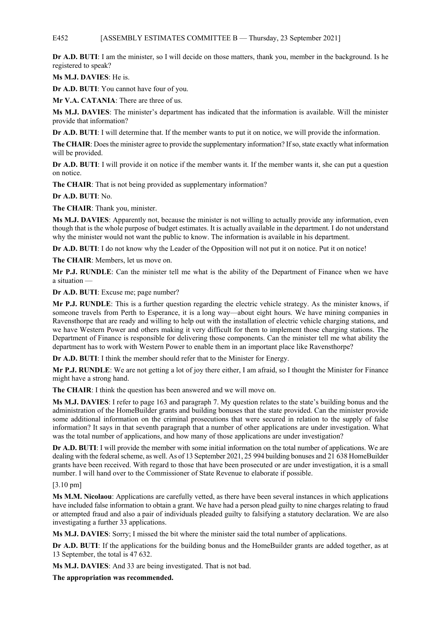### E452 [ASSEMBLY ESTIMATES COMMITTEE B — Thursday, 23 September 2021]

**Dr A.D. BUTI**: I am the minister, so I will decide on those matters, thank you, member in the background. Is he registered to speak?

**Ms M.J. DAVIES**: He is.

**Dr A.D. BUTI**: You cannot have four of you.

**Mr V.A. CATANIA**: There are three of us.

**Ms M.J. DAVIES**: The minister's department has indicated that the information is available. Will the minister provide that information?

**Dr A.D. BUTI**: I will determine that. If the member wants to put it on notice, we will provide the information.

**The CHAIR**: Does the minister agree to provide the supplementary information? If so, state exactly what information will be provided.

**Dr A.D. BUTI**: I will provide it on notice if the member wants it. If the member wants it, she can put a question on notice.

**The CHAIR**: That is not being provided as supplementary information?

**Dr A.D. BUTI**: No.

**The CHAIR**: Thank you, minister.

**Ms M.J. DAVIES**: Apparently not, because the minister is not willing to actually provide any information, even though that is the whole purpose of budget estimates. It is actually available in the department. I do not understand why the minister would not want the public to know. The information is available in his department.

**Dr A.D. BUTI**: I do not know why the Leader of the Opposition will not put it on notice. Put it on notice!

**The CHAIR**: Members, let us move on.

**Mr P.J. RUNDLE**: Can the minister tell me what is the ability of the Department of Finance when we have a situation —

**Dr A.D. BUTI**: Excuse me; page number?

**Mr P.J. RUNDLE**: This is a further question regarding the electric vehicle strategy. As the minister knows, if someone travels from Perth to Esperance, it is a long way—about eight hours. We have mining companies in Ravensthorpe that are ready and willing to help out with the installation of electric vehicle charging stations, and we have Western Power and others making it very difficult for them to implement those charging stations. The Department of Finance is responsible for delivering those components. Can the minister tell me what ability the department has to work with Western Power to enable them in an important place like Ravensthorpe?

**Dr A.D. BUTI**: I think the member should refer that to the Minister for Energy.

**Mr P.J. RUNDLE**: We are not getting a lot of joy there either, I am afraid, so I thought the Minister for Finance might have a strong hand.

**The CHAIR**: I think the question has been answered and we will move on.

**Ms M.J. DAVIES**: I refer to page 163 and paragraph 7. My question relates to the state's building bonus and the administration of the HomeBuilder grants and building bonuses that the state provided. Can the minister provide some additional information on the criminal prosecutions that were secured in relation to the supply of false information? It says in that seventh paragraph that a number of other applications are under investigation. What was the total number of applications, and how many of those applications are under investigation?

**Dr A.D. BUTI**: I will provide the member with some initial information on the total number of applications. We are dealing with the federal scheme, as well. As of 13 September 2021, 25 994 building bonuses and 21 638 HomeBuilder grants have been received. With regard to those that have been prosecuted or are under investigation, it is a small number. I will hand over to the Commissioner of State Revenue to elaborate if possible.

## [3.10 pm]

**Ms M.M. Nicolaou**: Applications are carefully vetted, as there have been several instances in which applications have included false information to obtain a grant. We have had a person plead guilty to nine charges relating to fraud or attempted fraud and also a pair of individuals pleaded guilty to falsifying a statutory declaration. We are also investigating a further 33 applications.

**Ms M.J. DAVIES**: Sorry; I missed the bit where the minister said the total number of applications.

**Dr A.D. BUTI**: If the applications for the building bonus and the HomeBuilder grants are added together, as at 13 September, the total is 47 632.

**Ms M.J. DAVIES**: And 33 are being investigated. That is not bad.

**The appropriation was recommended.**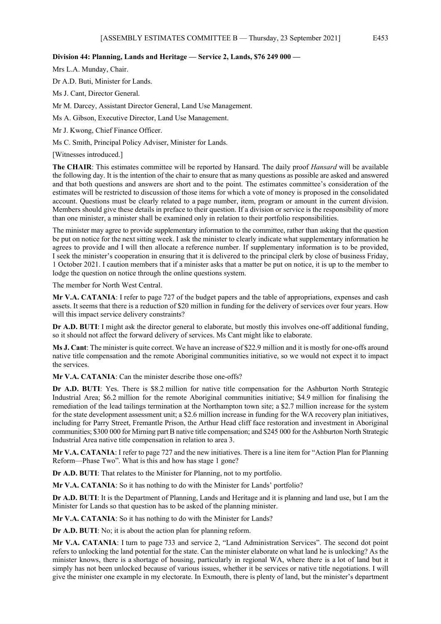#### **Division 44: Planning, Lands and Heritage — Service 2, Lands, \$76 249 000 —**

Mrs L.A. Munday, Chair.

Dr A.D. Buti, Minister for Lands.

Ms J. Cant, Director General.

Mr M. Darcey, Assistant Director General, Land Use Management.

Ms A. Gibson, Executive Director, Land Use Management.

Mr J. Kwong, Chief Finance Officer.

Ms C. Smith, Principal Policy Adviser, Minister for Lands.

[Witnesses introduced.]

**The CHAIR**: This estimates committee will be reported by Hansard. The daily proof *Hansard* will be available the following day. It is the intention of the chair to ensure that as many questions as possible are asked and answered and that both questions and answers are short and to the point. The estimates committee's consideration of the estimates will be restricted to discussion of those items for which a vote of money is proposed in the consolidated account. Questions must be clearly related to a page number, item, program or amount in the current division. Members should give these details in preface to their question. If a division or service is the responsibility of more than one minister, a minister shall be examined only in relation to their portfolio responsibilities.

The minister may agree to provide supplementary information to the committee, rather than asking that the question be put on notice for the next sitting week. I ask the minister to clearly indicate what supplementary information he agrees to provide and I will then allocate a reference number. If supplementary information is to be provided, I seek the minister's cooperation in ensuring that it is delivered to the principal clerk by close of business Friday, 1 October 2021. I caution members that if a minister asks that a matter be put on notice, it is up to the member to lodge the question on notice through the online questions system.

The member for North West Central.

**Mr V.A. CATANIA**: I refer to page 727 of the budget papers and the table of appropriations, expenses and cash assets. It seems that there is a reduction of \$20 million in funding for the delivery of services over four years. How will this impact service delivery constraints?

**Dr A.D. BUTI**: I might ask the director general to elaborate, but mostly this involves one-off additional funding, so it should not affect the forward delivery of services. Ms Cant might like to elaborate.

**Ms J. Cant**: The minister is quite correct. We have an increase of \$22.9 million and it is mostly for one-offs around native title compensation and the remote Aboriginal communities initiative, so we would not expect it to impact the services.

**Mr V.A. CATANIA**: Can the minister describe those one-offs?

**Dr A.D. BUTI**: Yes. There is \$8.2 million for native title compensation for the Ashburton North Strategic Industrial Area; \$6.2 million for the remote Aboriginal communities initiative; \$4.9 million for finalising the remediation of the lead tailings termination at the Northampton town site; a \$2.7 million increase for the system for the state development assessment unit; a \$2.6 million increase in funding for the WA recovery plan initiatives, including for Parry Street, Fremantle Prison, the Arthur Head cliff face restoration and investment in Aboriginal communities; \$300 000 for Mirning part B native title compensation; and \$245 000 for the Ashburton North Strategic Industrial Area native title compensation in relation to area 3.

**Mr V.A. CATANIA**: I refer to page 727 and the new initiatives. There is a line item for "Action Plan for Planning Reform—Phase Two". What is this and how has stage 1 gone?

**Dr A.D. BUTI**: That relates to the Minister for Planning, not to my portfolio.

**Mr V.A. CATANIA**: So it has nothing to do with the Minister for Lands' portfolio?

**Dr A.D. BUTI**: It is the Department of Planning, Lands and Heritage and it is planning and land use, but I am the Minister for Lands so that question has to be asked of the planning minister.

**Mr V.A. CATANIA**: So it has nothing to do with the Minister for Lands?

**Dr A.D. BUTI**: No; it is about the action plan for planning reform.

**Mr V.A. CATANIA**: I turn to page 733 and service 2, "Land Administration Services". The second dot point refers to unlocking the land potential for the state. Can the minister elaborate on what land he is unlocking? As the minister knows, there is a shortage of housing, particularly in regional WA, where there is a lot of land but it simply has not been unlocked because of various issues, whether it be services or native title negotiations. I will give the minister one example in my electorate. In Exmouth, there is plenty of land, but the minister's department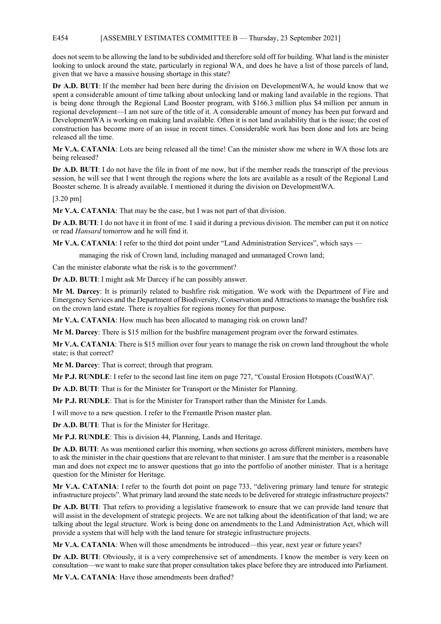### E454 [ASSEMBLY ESTIMATES COMMITTEE B — Thursday, 23 September 2021]

does not seem to be allowing the land to be subdivided and therefore sold off for building. What land is the minister looking to unlock around the state, particularly in regional WA, and does he have a list of those parcels of land, given that we have a massive housing shortage in this state?

**Dr A.D. BUTI**: If the member had been here during the division on DevelopmentWA, he would know that we spent a considerable amount of time talking about unlocking land or making land available in the regions. That is being done through the Regional Land Booster program, with \$166.3 million plus \$4 million per annum in regional development—I am not sure of the title of it. A considerable amount of money has been put forward and DevelopmentWA is working on making land available. Often it is not land availability that is the issue; the cost of construction has become more of an issue in recent times. Considerable work has been done and lots are being released all the time.

**Mr V.A. CATANIA**: Lots are being released all the time! Can the minister show me where in WA those lots are being released?

**Dr A.D. BUTI**: I do not have the file in front of me now, but if the member reads the transcript of the previous session, he will see that I went through the regions where the lots are available as a result of the Regional Land Booster scheme. It is already available. I mentioned it during the division on DevelopmentWA.

[3.20 pm]

**Mr V.A. CATANIA**: That may be the case, but I was not part of that division.

**Dr A.D. BUTI**: I do not have it in front of me. I said it during a previous division. The member can put it on notice or read *Hansard* tomorrow and he will find it.

**Mr V.A. CATANIA**: I refer to the third dot point under "Land Administration Services", which says —

managing the risk of Crown land, including managed and unmanaged Crown land;

Can the minister elaborate what the risk is to the government?

**Dr A.D. BUTI**: I might ask Mr Darcey if he can possibly answer.

**Mr M. Darcey**: It is primarily related to bushfire risk mitigation. We work with the Department of Fire and Emergency Services and the Department of Biodiversity, Conservation and Attractions to manage the bushfire risk on the crown land estate. There is royalties for regions money for that purpose.

**Mr V.A. CATANIA**: How much has been allocated to managing risk on crown land?

**Mr M. Darcey**: There is \$15 million for the bushfire management program over the forward estimates.

**Mr V.A. CATANIA**: There is \$15 million over four years to manage the risk on crown land throughout the whole state; is that correct?

**Mr M. Darcey**: That is correct; through that program.

**Mr P.J. RUNDLE**: I refer to the second last line item on page 727, "Coastal Erosion Hotspots (CoastWA)".

**Dr A.D. BUTI**: That is for the Minister for Transport or the Minister for Planning.

**Mr P.J. RUNDLE**: That is for the Minister for Transport rather than the Minister for Lands.

I will move to a new question. I refer to the Fremantle Prison master plan.

**Dr A.D. BUTI**: That is for the Minister for Heritage.

**Mr P.J. RUNDLE**: This is division 44, Planning, Lands and Heritage.

**Dr A.D. BUTI**: As was mentioned earlier this morning, when sections go across different ministers, members have to ask the minister in the chair questions that are relevant to that minister. I am sure that the member is a reasonable man and does not expect me to answer questions that go into the portfolio of another minister. That is a heritage question for the Minister for Heritage.

**Mr V.A. CATANIA**: I refer to the fourth dot point on page 733, "delivering primary land tenure for strategic infrastructure projects". What primary land around the state needs to be delivered for strategic infrastructure projects?

**Dr A.D. BUTI**: That refers to providing a legislative framework to ensure that we can provide land tenure that will assist in the development of strategic projects. We are not talking about the identification of that land; we are talking about the legal structure. Work is being done on amendments to the Land Administration Act, which will provide a system that will help with the land tenure for strategic infrastructure projects.

**Mr V.A. CATANIA**: When will those amendments be introduced—this year, next year or future years?

**Dr A.D. BUTI**: Obviously, it is a very comprehensive set of amendments. I know the member is very keen on consultation—we want to make sure that proper consultation takes place before they are introduced into Parliament.

**Mr V.A. CATANIA**: Have those amendments been drafted?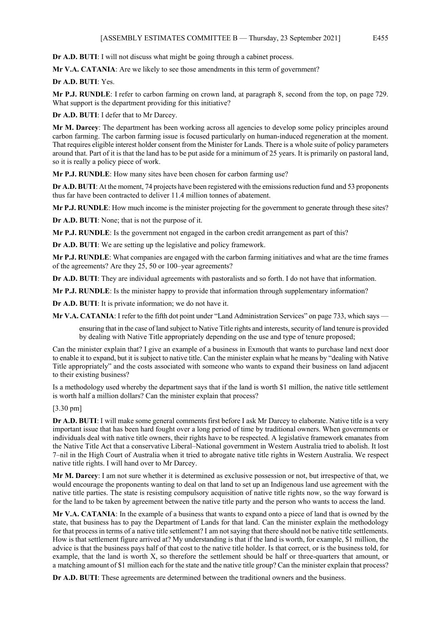**Dr A.D. BUTI**: I will not discuss what might be going through a cabinet process.

**Mr V.A. CATANIA**: Are we likely to see those amendments in this term of government?

**Dr A.D. BUTI**: Yes.

**Mr P.J. RUNDLE**: I refer to carbon farming on crown land, at paragraph 8, second from the top, on page 729. What support is the department providing for this initiative?

**Dr A.D. BUTI**: I defer that to Mr Darcey.

**Mr M. Darcey**: The department has been working across all agencies to develop some policy principles around carbon farming. The carbon farming issue is focused particularly on human-induced regeneration at the moment. That requires eligible interest holder consent from the Minister for Lands. There is a whole suite of policy parameters around that. Part of it is that the land has to be put aside for a minimum of 25 years. It is primarily on pastoral land, so it is really a policy piece of work.

**Mr P.J. RUNDLE**: How many sites have been chosen for carbon farming use?

**Dr A.D. BUTI**: At the moment, 74 projects have been registered with the emissions reduction fund and 53 proponents thus far have been contracted to deliver 11.4 million tonnes of abatement.

**Mr P.J. RUNDLE**: How much income is the minister projecting for the government to generate through these sites?

**Dr A.D. BUTI**: None; that is not the purpose of it.

**Mr P.J. RUNDLE**: Is the government not engaged in the carbon credit arrangement as part of this?

**Dr A.D. BUTI**: We are setting up the legislative and policy framework.

**Mr P.J. RUNDLE**: What companies are engaged with the carbon farming initiatives and what are the time frames of the agreements? Are they 25, 50 or 100–year agreements?

**Dr A.D. BUTI**: They are individual agreements with pastoralists and so forth. I do not have that information.

**Mr P.J. RUNDLE**: Is the minister happy to provide that information through supplementary information?

**Dr A.D. BUTI**: It is private information; we do not have it.

**Mr V.A. CATANIA**: I refer to the fifth dot point under "Land Administration Services" on page 733, which says —

ensuring that in the case of land subject to Native Title rights and interests, security of land tenure is provided by dealing with Native Title appropriately depending on the use and type of tenure proposed;

Can the minister explain that? I give an example of a business in Exmouth that wants to purchase land next door to enable it to expand, but it is subject to native title. Can the minister explain what he means by "dealing with Native Title appropriately" and the costs associated with someone who wants to expand their business on land adjacent to their existing business?

Is a methodology used whereby the department says that if the land is worth \$1 million, the native title settlement is worth half a million dollars? Can the minister explain that process?

[3.30 pm]

**Dr A.D. BUTI**: I will make some general comments first before I ask Mr Darcey to elaborate. Native title is a very important issue that has been hard fought over a long period of time by traditional owners. When governments or individuals deal with native title owners, their rights have to be respected. A legislative framework emanates from the Native Title Act that a conservative Liberal–National government in Western Australia tried to abolish. It lost 7–nil in the High Court of Australia when it tried to abrogate native title rights in Western Australia. We respect native title rights. I will hand over to Mr Darcey.

**Mr M. Darcey**: I am not sure whether it is determined as exclusive possession or not, but irrespective of that, we would encourage the proponents wanting to deal on that land to set up an Indigenous land use agreement with the native title parties. The state is resisting compulsory acquisition of native title rights now, so the way forward is for the land to be taken by agreement between the native title party and the person who wants to access the land.

**Mr V.A. CATANIA**: In the example of a business that wants to expand onto a piece of land that is owned by the state, that business has to pay the Department of Lands for that land. Can the minister explain the methodology for that process in terms of a native title settlement? I am not saying that there should not be native title settlements. How is that settlement figure arrived at? My understanding is that if the land is worth, for example, \$1 million, the advice is that the business pays half of that cost to the native title holder. Is that correct, or is the business told, for example, that the land is worth X, so therefore the settlement should be half or three-quarters that amount, or a matching amount of \$1 million each for the state and the native title group? Can the minister explain that process?

**Dr A.D. BUTI**: These agreements are determined between the traditional owners and the business.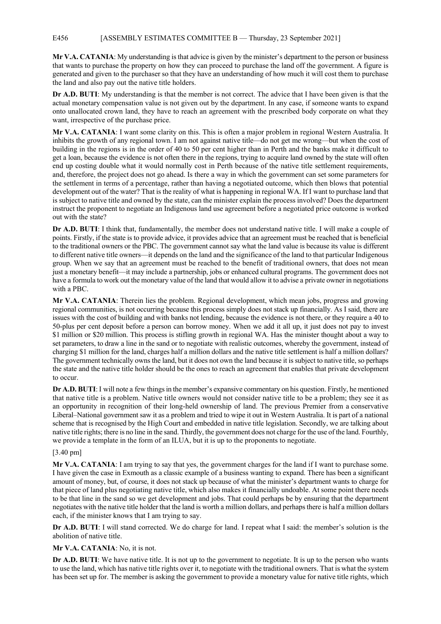### E456 [ASSEMBLY ESTIMATES COMMITTEE B — Thursday, 23 September 2021]

**Mr V.A. CATANIA**: My understanding is that advice is given by the minister's department to the person or business that wants to purchase the property on how they can proceed to purchase the land off the government. A figure is generated and given to the purchaser so that they have an understanding of how much it will cost them to purchase the land and also pay out the native title holders.

**Dr A.D. BUTI**: My understanding is that the member is not correct. The advice that I have been given is that the actual monetary compensation value is not given out by the department. In any case, if someone wants to expand onto unallocated crown land, they have to reach an agreement with the prescribed body corporate on what they want, irrespective of the purchase price.

**Mr V.A. CATANIA**: I want some clarity on this. This is often a major problem in regional Western Australia. It inhibits the growth of any regional town. I am not against native title—do not get me wrong—but when the cost of building in the regions is in the order of 40 to 50 per cent higher than in Perth and the banks make it difficult to get a loan, because the evidence is not often there in the regions, trying to acquire land owned by the state will often end up costing double what it would normally cost in Perth because of the native title settlement requirements, and, therefore, the project does not go ahead. Is there a way in which the government can set some parameters for the settlement in terms of a percentage, rather than having a negotiated outcome, which then blows that potential development out of the water? That is the reality of what is happening in regional WA. If I want to purchase land that is subject to native title and owned by the state, can the minister explain the process involved? Does the department instruct the proponent to negotiate an Indigenous land use agreement before a negotiated price outcome is worked out with the state?

**Dr A.D. BUTI**: I think that, fundamentally, the member does not understand native title. I will make a couple of points. Firstly, if the state is to provide advice, it provides advice that an agreement must be reached that is beneficial to the traditional owners or the PBC. The government cannot say what the land value is because its value is different to different native title owners—it depends on the land and the significance of the land to that particular Indigenous group. When we say that an agreement must be reached to the benefit of traditional owners, that does not mean just a monetary benefit—it may include a partnership, jobs or enhanced cultural programs. The government does not have a formula to work out the monetary value of the land that would allow it to advise a private owner in negotiations with a PBC.

**Mr V.A. CATANIA**: Therein lies the problem. Regional development, which mean jobs, progress and growing regional communities, is not occurring because this process simply does not stack up financially. As I said, there are issues with the cost of building and with banks not lending, because the evidence is not there, or they require a 40 to 50-plus per cent deposit before a person can borrow money. When we add it all up, it just does not pay to invest \$1 million or \$20 million. This process is stifling growth in regional WA. Has the minister thought about a way to set parameters, to draw a line in the sand or to negotiate with realistic outcomes, whereby the government, instead of charging \$1 million for the land, charges half a million dollars and the native title settlement is half a million dollars? The government technically owns the land, but it does not own the land because it is subject to native title, so perhaps the state and the native title holder should be the ones to reach an agreement that enables that private development to occur.

**Dr A.D. BUTI**: I will note a few things in the member's expansive commentary on his question. Firstly, he mentioned that native title is a problem. Native title owners would not consider native title to be a problem; they see it as an opportunity in recognition of their long-held ownership of land. The previous Premier from a conservative Liberal–National government saw it as a problem and tried to wipe it out in Western Australia. It is part of a national scheme that is recognised by the High Court and embedded in native title legislation. Secondly, we are talking about native title rights; there is no line in the sand. Thirdly, the government does not charge for the use of the land. Fourthly, we provide a template in the form of an ILUA, but it is up to the proponents to negotiate.

## [3.40 pm]

**Mr V.A. CATANIA**: I am trying to say that yes, the government charges for the land if I want to purchase some. I have given the case in Exmouth as a classic example of a business wanting to expand. There has been a significant amount of money, but, of course, it does not stack up because of what the minister's department wants to charge for that piece of land plus negotiating native title, which also makes it financially undoable. At some point there needs to be that line in the sand so we get development and jobs. That could perhaps be by ensuring that the department negotiates with the native title holder that the land is worth a million dollars, and perhaps there is half a million dollars each, if the minister knows that I am trying to say.

**Dr A.D. BUTI**: I will stand corrected. We do charge for land. I repeat what I said: the member's solution is the abolition of native title.

## **Mr V.A. CATANIA**: No, it is not.

**Dr A.D. BUTI**: We have native title. It is not up to the government to negotiate. It is up to the person who wants to use the land, which has native title rights over it, to negotiate with the traditional owners. That is what the system has been set up for. The member is asking the government to provide a monetary value for native title rights, which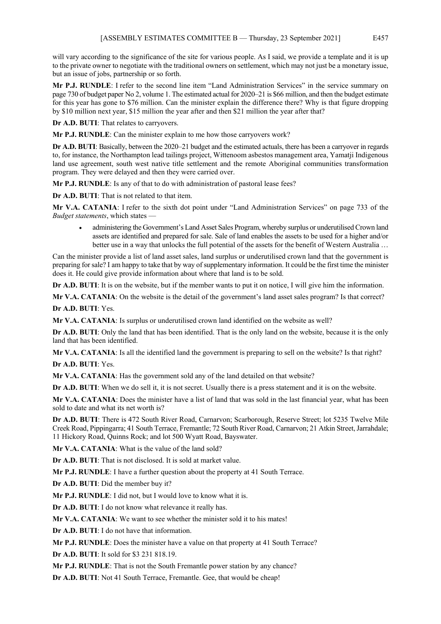will vary according to the significance of the site for various people. As I said, we provide a template and it is up to the private owner to negotiate with the traditional owners on settlement, which may not just be a monetary issue, but an issue of jobs, partnership or so forth.

**Mr P.J. RUNDLE**: I refer to the second line item "Land Administration Services" in the service summary on page 730 of budget paper No 2, volume 1. The estimated actual for 2020–21 is \$66 million, and then the budget estimate for this year has gone to \$76 million. Can the minister explain the difference there? Why is that figure dropping by \$10 million next year, \$15 million the year after and then \$21 million the year after that?

**Dr A.D. BUTI**: That relates to carryovers.

**Mr P.J. RUNDLE**: Can the minister explain to me how those carryovers work?

**Dr A.D. BUTI**: Basically, between the 2020–21 budget and the estimated actuals, there has been a carryover in regards to, for instance, the Northampton lead tailings project, Wittenoom asbestos management area, Yamatji Indigenous land use agreement, south west native title settlement and the remote Aboriginal communities transformation program. They were delayed and then they were carried over.

**Mr P.J. RUNDLE**: Is any of that to do with administration of pastoral lease fees?

**Dr A.D. BUTI**: That is not related to that item.

**Mr V.A. CATANIA**: I refer to the sixth dot point under "Land Administration Services" on page 733 of the *Budget statements*, which states —

• administering the Government's Land Asset Sales Program, whereby surplus or underutilised Crown land assets are identified and prepared for sale. Sale of land enables the assets to be used for a higher and/or better use in a way that unlocks the full potential of the assets for the benefit of Western Australia ...

Can the minister provide a list of land asset sales, land surplus or underutilised crown land that the government is preparing for sale? I am happy to take that by way of supplementary information. It could be the first time the minister does it. He could give provide information about where that land is to be sold.

**Dr A.D. BUTI**: It is on the website, but if the member wants to put it on notice, I will give him the information.

**Mr V.A. CATANIA**: On the website is the detail of the government's land asset sales program? Is that correct?

**Dr A.D. BUTI**: Yes.

**Mr V.A. CATANIA**: Is surplus or underutilised crown land identified on the website as well?

**Dr A.D. BUTI**: Only the land that has been identified. That is the only land on the website, because it is the only land that has been identified.

**Mr V.A. CATANIA**: Is all the identified land the government is preparing to sell on the website? Is that right? **Dr A.D. BUTI**: Yes.

**Mr V.A. CATANIA**: Has the government sold any of the land detailed on that website?

**Dr A.D. BUTI**: When we do sell it, it is not secret. Usually there is a press statement and it is on the website.

**Mr V.A. CATANIA**: Does the minister have a list of land that was sold in the last financial year, what has been sold to date and what its net worth is?

**Dr A.D. BUTI**: There is 472 South River Road, Carnarvon; Scarborough, Reserve Street; lot 5235 Twelve Mile Creek Road, Pippingarra; 41 South Terrace, Fremantle; 72 South River Road, Carnarvon; 21 Atkin Street, Jarrahdale; 11 Hickory Road, Quinns Rock; and lot 500 Wyatt Road, Bayswater.

**Mr V.A. CATANIA**: What is the value of the land sold?

**Dr A.D. BUTI**: That is not disclosed. It is sold at market value.

**Mr P.J. RUNDLE**: I have a further question about the property at 41 South Terrace.

**Dr A.D. BUTI**: Did the member buy it?

**Mr P.J. RUNDLE**: I did not, but I would love to know what it is.

**Dr A.D. BUTI**: I do not know what relevance it really has.

**Mr V.A. CATANIA**: We want to see whether the minister sold it to his mates!

**Dr A.D. BUTI**: I do not have that information.

**Mr P.J. RUNDLE**: Does the minister have a value on that property at 41 South Terrace?

**Dr A.D. BUTI**: It sold for \$3 231 818.19.

**Mr P.J. RUNDLE**: That is not the South Fremantle power station by any chance?

**Dr A.D. BUTI**: Not 41 South Terrace, Fremantle. Gee, that would be cheap!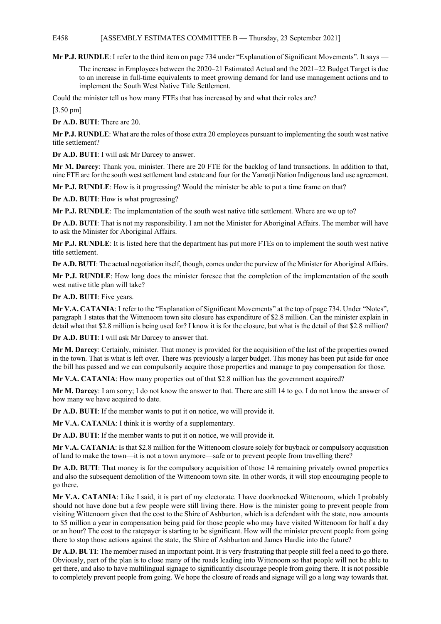### E458 [ASSEMBLY ESTIMATES COMMITTEE B — Thursday, 23 September 2021]

**Mr P.J. RUNDLE**: I refer to the third item on page 734 under "Explanation of Significant Movements". It says —

The increase in Employees between the 2020–21 Estimated Actual and the 2021–22 Budget Target is due to an increase in full-time equivalents to meet growing demand for land use management actions and to implement the South West Native Title Settlement.

Could the minister tell us how many FTEs that has increased by and what their roles are?

[3.50 pm]

**Dr A.D. BUTI**: There are 20.

**Mr P.J. RUNDLE**: What are the roles of those extra 20 employees pursuant to implementing the south west native title settlement?

**Dr A.D. BUTI**: I will ask Mr Darcey to answer.

**Mr M. Darcey**: Thank you, minister. There are 20 FTE for the backlog of land transactions. In addition to that, nine FTE are for the south west settlement land estate and four for the Yamatji Nation Indigenous land use agreement.

**Mr P.J. RUNDLE**: How is it progressing? Would the minister be able to put a time frame on that?

**Dr A.D. BUTI**: How is what progressing?

**Mr P.J. RUNDLE**: The implementation of the south west native title settlement. Where are we up to?

**Dr A.D. BUTI**: That is not my responsibility. I am not the Minister for Aboriginal Affairs. The member will have to ask the Minister for Aboriginal Affairs.

**Mr P.J. RUNDLE**: It is listed here that the department has put more FTEs on to implement the south west native title settlement.

**Dr A.D. BUTI**: The actual negotiation itself, though, comes under the purview of the Minister for Aboriginal Affairs.

**Mr P.J. RUNDLE**: How long does the minister foresee that the completion of the implementation of the south west native title plan will take?

**Dr A.D. BUTI**: Five years.

**Mr V.A. CATANIA**: I refer to the "Explanation of Significant Movements" at the top of page 734. Under "Notes", paragraph 1 states that the Wittenoom town site closure has expenditure of \$2.8 million. Can the minister explain in detail what that \$2.8 million is being used for? I know it is for the closure, but what is the detail of that \$2.8 million?

**Dr A.D. BUTI**: I will ask Mr Darcey to answer that.

**Mr M. Darcey**: Certainly, minister. That money is provided for the acquisition of the last of the properties owned in the town. That is what is left over. There was previously a larger budget. This money has been put aside for once the bill has passed and we can compulsorily acquire those properties and manage to pay compensation for those.

**Mr V.A. CATANIA**: How many properties out of that \$2.8 million has the government acquired?

**Mr M. Darcey**: I am sorry; I do not know the answer to that. There are still 14 to go. I do not know the answer of how many we have acquired to date.

**Dr A.D. BUTI**: If the member wants to put it on notice, we will provide it.

**Mr V.A. CATANIA**: I think it is worthy of a supplementary.

**Dr A.D. BUTI**: If the member wants to put it on notice, we will provide it.

**Mr V.A. CATANIA**: Is that \$2.8 million for the Wittenoom closure solely for buyback or compulsory acquisition of land to make the town—it is not a town anymore—safe or to prevent people from travelling there?

**Dr A.D. BUTI**: That money is for the compulsory acquisition of those 14 remaining privately owned properties and also the subsequent demolition of the Wittenoom town site. In other words, it will stop encouraging people to go there.

**Mr V.A. CATANIA**: Like I said, it is part of my electorate. I have doorknocked Wittenoom, which I probably should not have done but a few people were still living there. How is the minister going to prevent people from visiting Wittenoom given that the cost to the Shire of Ashburton, which is a defendant with the state, now amounts to \$5 million a year in compensation being paid for those people who may have visited Wittenoom for half a day or an hour? The cost to the ratepayer is starting to be significant. How will the minister prevent people from going there to stop those actions against the state, the Shire of Ashburton and James Hardie into the future?

**Dr A.D. BUTI**: The member raised an important point. It is very frustrating that people still feel a need to go there. Obviously, part of the plan is to close many of the roads leading into Wittenoom so that people will not be able to get there, and also to have multilingual signage to significantly discourage people from going there. It is not possible to completely prevent people from going. We hope the closure of roads and signage will go a long way towards that.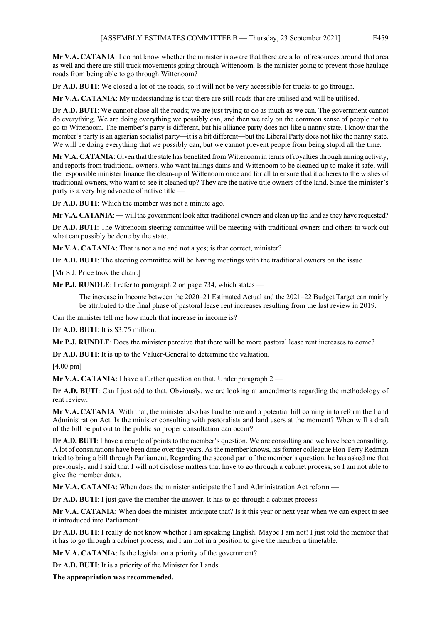**Mr V.A. CATANIA**: I do not know whether the minister is aware that there are a lot of resources around that area as well and there are still truck movements going through Wittenoom. Is the minister going to prevent those haulage roads from being able to go through Wittenoom?

**Dr A.D. BUTI:** We closed a lot of the roads, so it will not be very accessible for trucks to go through.

**Mr V.A. CATANIA**: My understanding is that there are still roads that are utilised and will be utilised.

**Dr A.D. BUTI**: We cannot close all the roads; we are just trying to do as much as we can. The government cannot do everything. We are doing everything we possibly can, and then we rely on the common sense of people not to go to Wittenoom. The member's party is different, but his alliance party does not like a nanny state. I know that the member's party is an agrarian socialist party—it is a bit different—but the Liberal Party does not like the nanny state. We will be doing everything that we possibly can, but we cannot prevent people from being stupid all the time.

**Mr V.A. CATANIA**: Given that the state has benefited from Wittenoom in terms of royalties through mining activity, and reports from traditional owners, who want tailings dams and Wittenoom to be cleaned up to make it safe, will the responsible minister finance the clean-up of Wittenoom once and for all to ensure that it adheres to the wishes of traditional owners, who want to see it cleaned up? They are the native title owners of the land. Since the minister's party is a very big advocate of native title —

**Dr A.D. BUTI**: Which the member was not a minute ago.

**Mr V.A. CATANIA**: — will the government look after traditional owners and clean up the land as they have requested?

**Dr A.D. BUTI**: The Wittenoom steering committee will be meeting with traditional owners and others to work out what can possibly be done by the state.

**Mr V.A. CATANIA**: That is not a no and not a yes; is that correct, minister?

**Dr A.D. BUTI**: The steering committee will be having meetings with the traditional owners on the issue.

[Mr S.J. Price took the chair.]

**Mr P.J. RUNDLE**: I refer to paragraph 2 on page 734, which states —

The increase in Income between the 2020–21 Estimated Actual and the 2021–22 Budget Target can mainly be attributed to the final phase of pastoral lease rent increases resulting from the last review in 2019.

Can the minister tell me how much that increase in income is?

**Dr A.D. BUTI**: It is \$3.75 million.

**Mr P.J. RUNDLE**: Does the minister perceive that there will be more pastoral lease rent increases to come?

**Dr A.D. BUTI**: It is up to the Valuer-General to determine the valuation.

[4.00 pm]

**Mr V.A. CATANIA:** I have a further question on that. Under paragraph 2

**Dr A.D. BUTI**: Can I just add to that. Obviously, we are looking at amendments regarding the methodology of rent review.

**Mr V.A. CATANIA**: With that, the minister also has land tenure and a potential bill coming in to reform the Land Administration Act. Is the minister consulting with pastoralists and land users at the moment? When will a draft of the bill be put out to the public so proper consultation can occur?

**Dr A.D. BUTI**: I have a couple of points to the member's question. We are consulting and we have been consulting. A lot of consultations have been done over the years. As the member knows, his former colleague Hon Terry Redman tried to bring a bill through Parliament. Regarding the second part of the member's question, he has asked me that previously, and I said that I will not disclose matters that have to go through a cabinet process, so I am not able to give the member dates.

**Mr V.A. CATANIA**: When does the minister anticipate the Land Administration Act reform —

**Dr A.D. BUTI**: I just gave the member the answer. It has to go through a cabinet process.

**Mr V.A. CATANIA**: When does the minister anticipate that? Is it this year or next year when we can expect to see it introduced into Parliament?

**Dr A.D. BUTI**: I really do not know whether I am speaking English. Maybe I am not! I just told the member that it has to go through a cabinet process, and I am not in a position to give the member a timetable.

**Mr V.A. CATANIA**: Is the legislation a priority of the government?

**Dr A.D. BUTI**: It is a priority of the Minister for Lands.

**The appropriation was recommended.**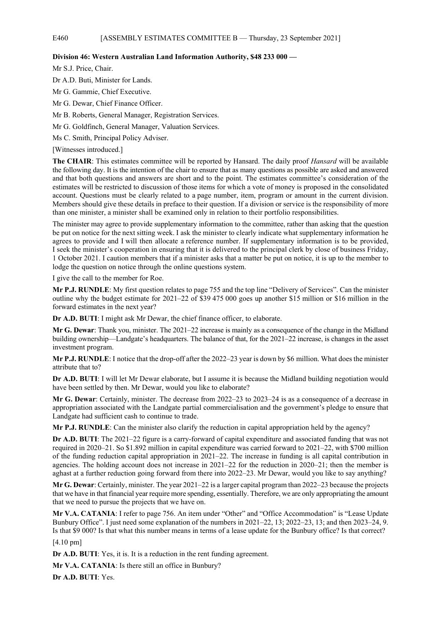# E460 [ASSEMBLY ESTIMATES COMMITTEE B — Thursday, 23 September 2021]

### **Division 46: Western Australian Land Information Authority, \$48 233 000 —**

Mr S.J. Price, Chair.

Dr A.D. Buti, Minister for Lands.

Mr G. Gammie, Chief Executive.

Mr G. Dewar, Chief Finance Officer.

Mr B. Roberts, General Manager, Registration Services.

Mr G. Goldfinch, General Manager, Valuation Services.

Ms C. Smith, Principal Policy Adviser.

[Witnesses introduced.]

**The CHAIR**: This estimates committee will be reported by Hansard. The daily proof *Hansard* will be available the following day. It is the intention of the chair to ensure that as many questions as possible are asked and answered and that both questions and answers are short and to the point. The estimates committee's consideration of the estimates will be restricted to discussion of those items for which a vote of money is proposed in the consolidated account. Questions must be clearly related to a page number, item, program or amount in the current division. Members should give these details in preface to their question. If a division or service is the responsibility of more than one minister, a minister shall be examined only in relation to their portfolio responsibilities.

The minister may agree to provide supplementary information to the committee, rather than asking that the question be put on notice for the next sitting week. I ask the minister to clearly indicate what supplementary information he agrees to provide and I will then allocate a reference number. If supplementary information is to be provided, I seek the minister's cooperation in ensuring that it is delivered to the principal clerk by close of business Friday, 1 October 2021. I caution members that if a minister asks that a matter be put on notice, it is up to the member to lodge the question on notice through the online questions system.

I give the call to the member for Roe.

**Mr P.J. RUNDLE**: My first question relates to page 755 and the top line "Delivery of Services". Can the minister outline why the budget estimate for 2021–22 of \$39 475 000 goes up another \$15 million or \$16 million in the forward estimates in the next year?

**Dr A.D. BUTI**: I might ask Mr Dewar, the chief finance officer, to elaborate.

**Mr G. Dewar**: Thank you, minister. The 2021–22 increase is mainly as a consequence of the change in the Midland building ownership—Landgate's headquarters. The balance of that, for the 2021–22 increase, is changes in the asset investment program.

**Mr P.J. RUNDLE**: I notice that the drop-off after the 2022–23 year is down by \$6 million. What does the minister attribute that to?

**Dr A.D. BUTI**: I will let Mr Dewar elaborate, but I assume it is because the Midland building negotiation would have been settled by then. Mr Dewar, would you like to elaborate?

**Mr G. Dewar**: Certainly, minister. The decrease from 2022–23 to 2023–24 is as a consequence of a decrease in appropriation associated with the Landgate partial commercialisation and the government's pledge to ensure that Landgate had sufficient cash to continue to trade.

**Mr P.J. RUNDLE**: Can the minister also clarify the reduction in capital appropriation held by the agency?

**Dr A.D. BUTI**: The 2021–22 figure is a carry-forward of capital expenditure and associated funding that was not required in 2020–21. So \$1.892 million in capital expenditure was carried forward to 2021–22, with \$700 million of the funding reduction capital appropriation in 2021–22. The increase in funding is all capital contribution in agencies. The holding account does not increase in 2021–22 for the reduction in 2020–21; then the member is aghast at a further reduction going forward from there into 2022–23. Mr Dewar, would you like to say anything?

**Mr G. Dewar**: Certainly, minister. The year 2021–22 is a larger capital program than 2022–23 because the projects that we have in that financial year require more spending, essentially. Therefore, we are only appropriating the amount that we need to pursue the projects that we have on.

**Mr V.A. CATANIA**: I refer to page 756. An item under "Other" and "Office Accommodation" is "Lease Update Bunbury Office". I just need some explanation of the numbers in 2021–22, 13; 2022–23, 13; and then 2023–24, 9. Is that \$9 000? Is that what this number means in terms of a lease update for the Bunbury office? Is that correct?

[4.10 pm]

**Dr A.D. BUTI**: Yes, it is. It is a reduction in the rent funding agreement.

**Mr V.A. CATANIA**: Is there still an office in Bunbury?

**Dr A.D. BUTI**: Yes.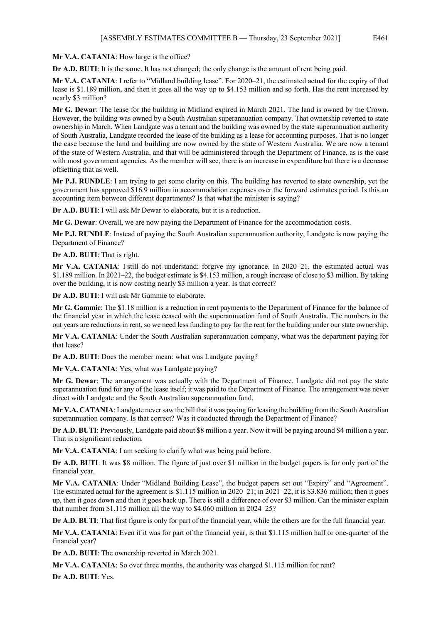**Mr V.A. CATANIA**: How large is the office?

**Dr A.D. BUTI**: It is the same. It has not changed; the only change is the amount of rent being paid.

**Mr V.A. CATANIA**: I refer to "Midland building lease". For 2020–21, the estimated actual for the expiry of that lease is \$1.189 million, and then it goes all the way up to \$4.153 million and so forth. Has the rent increased by nearly \$3 million?

**Mr G. Dewar**: The lease for the building in Midland expired in March 2021. The land is owned by the Crown. However, the building was owned by a South Australian superannuation company. That ownership reverted to state ownership in March. When Landgate was a tenant and the building was owned by the state superannuation authority of South Australia, Landgate recorded the lease of the building as a lease for accounting purposes. That is no longer the case because the land and building are now owned by the state of Western Australia. We are now a tenant of the state of Western Australia, and that will be administered through the Department of Finance, as is the case with most government agencies. As the member will see, there is an increase in expenditure but there is a decrease offsetting that as well.

**Mr P.J. RUNDLE**: I am trying to get some clarity on this. The building has reverted to state ownership, yet the government has approved \$16.9 million in accommodation expenses over the forward estimates period. Is this an accounting item between different departments? Is that what the minister is saying?

**Dr A.D. BUTI**: I will ask Mr Dewar to elaborate, but it is a reduction.

**Mr G. Dewar**: Overall, we are now paying the Department of Finance for the accommodation costs.

**Mr P.J. RUNDLE**: Instead of paying the South Australian superannuation authority, Landgate is now paying the Department of Finance?

**Dr A.D. BUTI**: That is right.

**Mr V.A. CATANIA**: I still do not understand; forgive my ignorance. In 2020–21, the estimated actual was \$1.189 million. In 2021–22, the budget estimate is \$4.153 million, a rough increase of close to \$3 million. By taking over the building, it is now costing nearly \$3 million a year. Is that correct?

**Dr A.D. BUTI**: I will ask Mr Gammie to elaborate.

**Mr G. Gammie**: The \$1.18 million is a reduction in rent payments to the Department of Finance for the balance of the financial year in which the lease ceased with the superannuation fund of South Australia. The numbers in the out years are reductions in rent, so we need less funding to pay for the rent for the building under our state ownership.

**Mr V.A. CATANIA**: Under the South Australian superannuation company, what was the department paying for that lease?

**Dr A.D. BUTI**: Does the member mean: what was Landgate paying?

**Mr V.A. CATANIA**: Yes, what was Landgate paying?

**Mr G. Dewar**: The arrangement was actually with the Department of Finance. Landgate did not pay the state superannuation fund for any of the lease itself; it was paid to the Department of Finance. The arrangement was never direct with Landgate and the South Australian superannuation fund.

**Mr V.A. CATANIA**: Landgate never saw the bill that it was paying for leasing the building from the South Australian superannuation company. Is that correct? Was it conducted through the Department of Finance?

**Dr A.D. BUTI**: Previously, Landgate paid about \$8 million a year. Now it will be paying around \$4 million a year. That is a significant reduction.

**Mr V.A. CATANIA**: I am seeking to clarify what was being paid before.

**Dr A.D. BUTI**: It was \$8 million. The figure of just over \$1 million in the budget papers is for only part of the financial year.

**Mr V.A. CATANIA**: Under "Midland Building Lease", the budget papers set out "Expiry" and "Agreement". The estimated actual for the agreement is \$1.115 million in 2020–21; in 2021–22, it is \$3.836 million; then it goes up, then it goes down and then it goes back up. There is still a difference of over \$3 million. Can the minister explain that number from \$1.115 million all the way to \$4.060 million in 2024–25?

**Dr A.D. BUTI**: That first figure is only for part of the financial year, while the others are for the full financial year.

**Mr V.A. CATANIA**: Even if it was for part of the financial year, is that \$1.115 million half or one-quarter of the financial year?

**Dr A.D. BUTI**: The ownership reverted in March 2021.

**Mr V.A. CATANIA**: So over three months, the authority was charged \$1.115 million for rent?

**Dr A.D. BUTI**: Yes.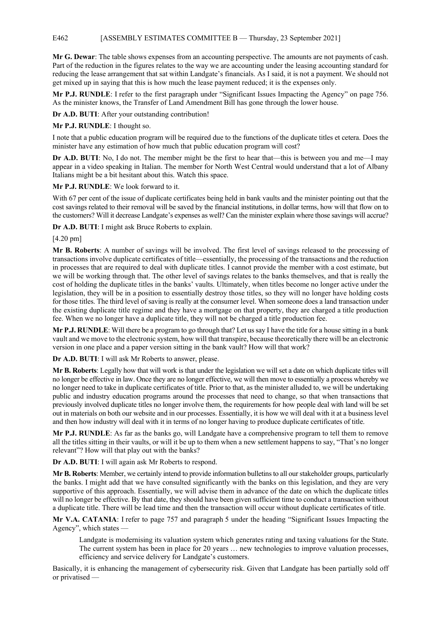## E462 [ASSEMBLY ESTIMATES COMMITTEE B — Thursday, 23 September 2021]

**Mr G. Dewar**: The table shows expenses from an accounting perspective. The amounts are not payments of cash. Part of the reduction in the figures relates to the way we are accounting under the leasing accounting standard for reducing the lease arrangement that sat within Landgate's financials. As I said, it is not a payment. We should not get mixed up in saying that this is how much the lease payment reduced; it is the expenses only.

**Mr P.J. RUNDLE**: I refer to the first paragraph under "Significant Issues Impacting the Agency" on page 756. As the minister knows, the Transfer of Land Amendment Bill has gone through the lower house.

**Dr A.D. BUTI**: After your outstanding contribution!

**Mr P.J. RUNDLE**: I thought so.

I note that a public education program will be required due to the functions of the duplicate titles et cetera. Does the minister have any estimation of how much that public education program will cost?

**Dr A.D. BUTI**: No, I do not. The member might be the first to hear that—this is between you and me—I may appear in a video speaking in Italian. The member for North West Central would understand that a lot of Albany Italians might be a bit hesitant about this. Watch this space.

**Mr P.J. RUNDLE**: We look forward to it.

With 67 per cent of the issue of duplicate certificates being held in bank vaults and the minister pointing out that the cost savings related to their removal will be saved by the financial institutions, in dollar terms, how will that flow on to the customers? Will it decrease Landgate's expenses as well? Can the minister explain where those savings will accrue?

**Dr A.D. BUTI**: I might ask Bruce Roberts to explain.

[4.20 pm]

**Mr B. Roberts**: A number of savings will be involved. The first level of savings released to the processing of transactions involve duplicate certificates of title—essentially, the processing of the transactions and the reduction in processes that are required to deal with duplicate titles. I cannot provide the member with a cost estimate, but we will be working through that. The other level of savings relates to the banks themselves, and that is really the cost of holding the duplicate titles in the banks' vaults. Ultimately, when titles become no longer active under the legislation, they will be in a position to essentially destroy those titles, so they will no longer have holding costs for those titles. The third level of saving is really at the consumer level. When someone does a land transaction under the existing duplicate title regime and they have a mortgage on that property, they are charged a title production fee. When we no longer have a duplicate title, they will not be charged a title production fee.

**Mr P.J. RUNDLE**: Will there be a program to go through that? Let us say I have the title for a house sitting in a bank vault and we move to the electronic system, how will that transpire, because theoretically there will be an electronic version in one place and a paper version sitting in the bank vault? How will that work?

**Dr A.D. BUTI**: I will ask Mr Roberts to answer, please.

**Mr B. Roberts**: Legally how that will work is that under the legislation we will set a date on which duplicate titles will no longer be effective in law. Once they are no longer effective, we will then move to essentially a process whereby we no longer need to take in duplicate certificates of title. Prior to that, as the minister alluded to, we will be undertaking public and industry education programs around the processes that need to change, so that when transactions that previously involved duplicate titles no longer involve them, the requirements for how people deal with land will be set out in materials on both our website and in our processes. Essentially, it is how we will deal with it at a business level and then how industry will deal with it in terms of no longer having to produce duplicate certificates of title.

**Mr P.J. RUNDLE**: As far as the banks go, will Landgate have a comprehensive program to tell them to remove all the titles sitting in their vaults, or will it be up to them when a new settlement happens to say, "That's no longer relevant"? How will that play out with the banks?

**Dr A.D. BUTI**: I will again ask Mr Roberts to respond.

**Mr B. Roberts**: Member, we certainly intend to provide information bulletins to all our stakeholder groups, particularly the banks. I might add that we have consulted significantly with the banks on this legislation, and they are very supportive of this approach. Essentially, we will advise them in advance of the date on which the duplicate titles will no longer be effective. By that date, they should have been given sufficient time to conduct a transaction without a duplicate title. There will be lead time and then the transaction will occur without duplicate certificates of title.

**Mr V.A. CATANIA**: I refer to page 757 and paragraph 5 under the heading "Significant Issues Impacting the Agency", which states —

Landgate is modernising its valuation system which generates rating and taxing valuations for the State. The current system has been in place for 20 years … new technologies to improve valuation processes, efficiency and service delivery for Landgate's customers.

Basically, it is enhancing the management of cybersecurity risk. Given that Landgate has been partially sold off or privatised —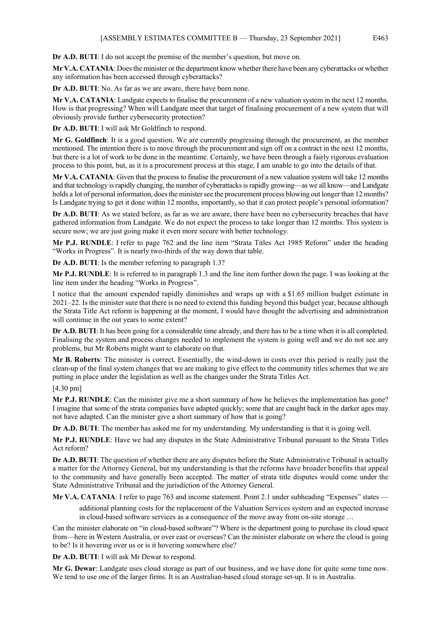**Dr A.D. BUTI**: I do not accept the premise of the member's question, but move on.

**Mr V.A. CATANIA**: Does the minister or the department know whether there have been any cyberattacks or whether any information has been accessed through cyberattacks?

**Dr A.D. BUTI**: No. As far as we are aware, there have been none.

**Mr V.A. CATANIA**: Landgate expects to finalise the procurement of a new valuation system in the next 12 months. How is that progressing? When will Landgate meet that target of finalising procurement of a new system that will obviously provide further cybersecurity protection?

**Dr A.D. BUTI**: I will ask Mr Goldfinch to respond.

**Mr G. Goldfinch**: It is a good question. We are currently progressing through the procurement, as the member mentioned. The intention there is to move through the procurement and sign off on a contract in the next 12 months, but there is a lot of work to be done in the meantime. Certainly, we have been through a fairly rigorous evaluation process to this point, but, as it is a procurement process at this stage, I am unable to go into the details of that.

**Mr V.A. CATANIA**: Given that the process to finalise the procurement of a new valuation system will take 12 months and that technology is rapidly changing, the number of cyberattacks is rapidly growing—as we all know—and Landgate holds a lot of personal information, does the minister see the procurement process blowing out longer than 12 months? Is Landgate trying to get it done within 12 months, importantly, so that it can protect people's personal information?

**Dr A.D. BUTI**: As we stated before, as far as we are aware, there have been no cybersecurity breaches that have gathered information from Landgate. We do not expect the process to take longer than 12 months. This system is secure now; we are just going make it even more secure with better technology.

**Mr P.J. RUNDLE**: I refer to page 762 and the line item "Strata Titles Act 1985 Reform" under the heading "Works in Progress". It is nearly two-thirds of the way down that table.

**Dr A.D. BUTI**: Is the member referring to paragraph 1.3?

**Mr P.J. RUNDLE**: It is referred to in paragraph 1.3 and the line item further down the page. I was looking at the line item under the heading "Works in Progress".

I notice that the amount expended rapidly diminishes and wraps up with a \$1.65 million budget estimate in 2021–22. Is the minister sure that there is no need to extend this funding beyond this budget year, because although the Strata Title Act reform is happening at the moment, I would have thought the advertising and administration will continue in the out years to some extent?

**Dr A.D. BUTI**: It has been going for a considerable time already, and there has to be a time when it is all completed. Finalising the system and process changes needed to implement the system is going well and we do not see any problems, but Mr Roberts might want to elaborate on that.

**Mr B. Roberts**: The minister is correct. Essentially, the wind-down in costs over this period is really just the clean-up of the final system changes that we are making to give effect to the community titles schemes that we are putting in place under the legislation as well as the changes under the Strata Titles Act.

[4.30 pm]

**Mr P.J. RUNDLE**: Can the minister give me a short summary of how he believes the implementation has gone? I imagine that some of the strata companies have adapted quickly; some that are caught back in the darker ages may not have adapted. Can the minister give a short summary of how that is going?

**Dr A.D. BUTI:** The member has asked me for my understanding. My understanding is that it is going well.

**Mr P.J. RUNDLE**: Have we had any disputes in the State Administrative Tribunal pursuant to the Strata Titles Act reform?

**Dr A.D. BUTI**: The question of whether there are any disputes before the State Administrative Tribunal is actually a matter for the Attorney General, but my understanding is that the reforms have broader benefits that appeal to the community and have generally been accepted. The matter of strata title disputes would come under the State Administrative Tribunal and the jurisdiction of the Attorney General.

**Mr V.A. CATANIA**: I refer to page 763 and income statement. Point 2.1 under subheading "Expenses" states —

additional planning costs for the replacement of the Valuation Services system and an expected increase in cloud-based software services as a consequence of the move away from on-site storage …

Can the minister elaborate on "in cloud-based software"? Where is the department going to purchase its cloud space from—here in Western Australia, or over east or overseas? Can the minister elaborate on where the cloud is going to be? Is it hovering over us or is it hovering somewhere else?

**Dr A.D. BUTI**: I will ask Mr Dewar to respond.

**Mr G. Dewar**: Landgate uses cloud storage as part of our business, and we have done for quite some time now. We tend to use one of the larger firms. It is an Australian-based cloud storage set-up. It is in Australia.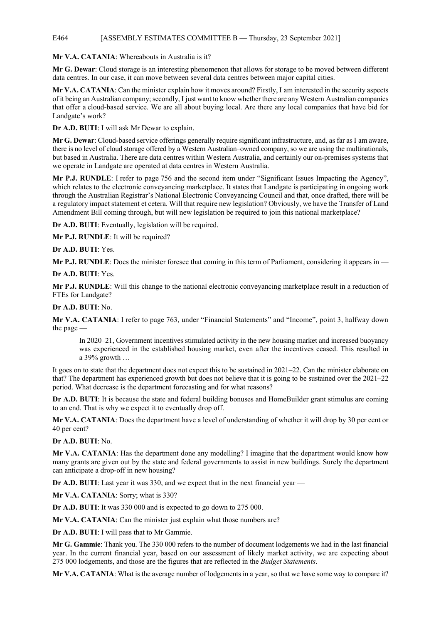### E464 [ASSEMBLY ESTIMATES COMMITTEE B — Thursday, 23 September 2021]

**Mr V.A. CATANIA**: Whereabouts in Australia is it?

**Mr G. Dewar**: Cloud storage is an interesting phenomenon that allows for storage to be moved between different data centres. In our case, it can move between several data centres between major capital cities.

**Mr V.A. CATANIA**: Can the minister explain how it moves around? Firstly, I am interested in the security aspects of it being an Australian company; secondly, I just want to know whether there are any Western Australian companies that offer a cloud-based service. We are all about buying local. Are there any local companies that have bid for Landgate's work?

**Dr A.D. BUTI**: I will ask Mr Dewar to explain.

**Mr G. Dewar**: Cloud-based service offerings generally require significant infrastructure, and, as far as I am aware, there is no level of cloud storage offered by a Western Australian–owned company, so we are using the multinationals, but based in Australia. There are data centres within Western Australia, and certainly our on-premises systems that we operate in Landgate are operated at data centres in Western Australia.

**Mr P.J. RUNDLE**: I refer to page 756 and the second item under "Significant Issues Impacting the Agency", which relates to the electronic conveyancing marketplace. It states that Landgate is participating in ongoing work through the Australian Registrar's National Electronic Conveyancing Council and that, once drafted, there will be a regulatory impact statement et cetera. Will that require new legislation? Obviously, we have the Transfer of Land Amendment Bill coming through, but will new legislation be required to join this national marketplace?

**Dr A.D. BUTI**: Eventually, legislation will be required.

**Mr P.J. RUNDLE**: It will be required?

**Dr A.D. BUTI**: Yes.

**Mr P.J. RUNDLE**: Does the minister foresee that coming in this term of Parliament, considering it appears in —

**Dr A.D. BUTI**: Yes.

**Mr P.J. RUNDLE**: Will this change to the national electronic conveyancing marketplace result in a reduction of FTEs for Landgate?

**Dr A.D. BUTI**: No.

**Mr V.A. CATANIA**: I refer to page 763, under "Financial Statements" and "Income", point 3, halfway down the page —

In 2020–21, Government incentives stimulated activity in the new housing market and increased buoyancy was experienced in the established housing market, even after the incentives ceased. This resulted in a 39% growth …

It goes on to state that the department does not expect this to be sustained in 2021–22. Can the minister elaborate on that? The department has experienced growth but does not believe that it is going to be sustained over the 2021–22 period. What decrease is the department forecasting and for what reasons?

**Dr A.D. BUTI**: It is because the state and federal building bonuses and HomeBuilder grant stimulus are coming to an end. That is why we expect it to eventually drop off.

**Mr V.A. CATANIA**: Does the department have a level of understanding of whether it will drop by 30 per cent or 40 per cent?

**Dr A.D. BUTI**: No.

**Mr V.A. CATANIA**: Has the department done any modelling? I imagine that the department would know how many grants are given out by the state and federal governments to assist in new buildings. Surely the department can anticipate a drop-off in new housing?

**Dr A.D. BUTI**: Last year it was 330, and we expect that in the next financial year —

**Mr V.A. CATANIA**: Sorry; what is 330?

**Dr A.D. BUTI**: It was 330 000 and is expected to go down to 275 000.

**Mr V.A. CATANIA**: Can the minister just explain what those numbers are?

**Dr A.D. BUTI**: I will pass that to Mr Gammie.

**Mr G. Gammie**: Thank you. The 330 000 refers to the number of document lodgements we had in the last financial year. In the current financial year, based on our assessment of likely market activity, we are expecting about 275 000 lodgements, and those are the figures that are reflected in the *Budget Statements*.

**Mr V.A. CATANIA**: What is the average number of lodgements in a year, so that we have some way to compare it?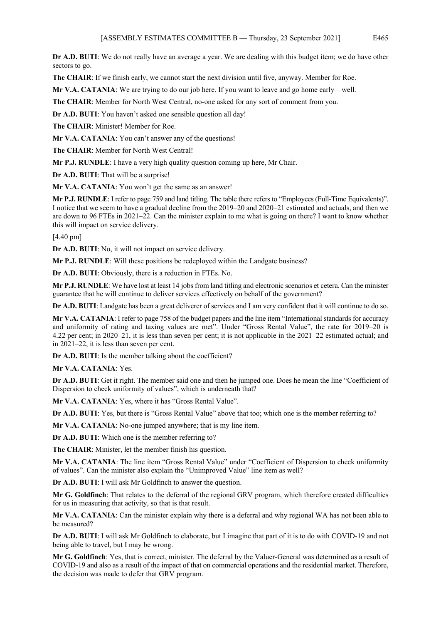**Dr A.D. BUTI**: We do not really have an average a year. We are dealing with this budget item; we do have other sectors to go.

**The CHAIR**: If we finish early, we cannot start the next division until five, anyway. Member for Roe.

**Mr V.A. CATANIA**: We are trying to do our job here. If you want to leave and go home early—well.

**The CHAIR**: Member for North West Central, no-one asked for any sort of comment from you.

**Dr A.D. BUTI**: You haven't asked one sensible question all day!

**The CHAIR**: Minister! Member for Roe.

Mr V.A. CATANIA: You can't answer any of the questions!

**The CHAIR**: Member for North West Central!

**Mr P.J. RUNDLE**: I have a very high quality question coming up here, Mr Chair.

**Dr A.D. BUTI**: That will be a surprise!

**Mr V.A. CATANIA**: You won't get the same as an answer!

**Mr P.J. RUNDLE**: I refer to page 759 and land titling. The table there refers to "Employees (Full-Time Equivalents)". I notice that we seem to have a gradual decline from the 2019–20 and 2020–21 estimated and actuals, and then we are down to 96 FTEs in 2021–22. Can the minister explain to me what is going on there? I want to know whether this will impact on service delivery.

[4.40 pm]

**Dr A.D. BUTI**: No, it will not impact on service delivery.

**Mr P.J. RUNDLE**: Will these positions be redeployed within the Landgate business?

**Dr A.D. BUTI**: Obviously, there is a reduction in FTEs. No.

**Mr P.J. RUNDLE**: We have lost at least 14 jobs from land titling and electronic scenarios et cetera. Can the minister guarantee that he will continue to deliver services effectively on behalf of the government?

**Dr A.D. BUTI**: Landgate has been a great deliverer of services and I am very confident that it will continue to do so.

**Mr V.A. CATANIA**: I refer to page 758 of the budget papers and the line item "International standards for accuracy and uniformity of rating and taxing values are met". Under "Gross Rental Value", the rate for 2019–20 is 4.22 per cent; in 2020–21, it is less than seven per cent; it is not applicable in the 2021–22 estimated actual; and in 2021–22, it is less than seven per cent.

**Dr A.D. BUTI**: Is the member talking about the coefficient?

**Mr V.A. CATANIA**: Yes.

**Dr A.D. BUTI**: Get it right. The member said one and then he jumped one. Does he mean the line "Coefficient of Dispersion to check uniformity of values", which is underneath that?

**Mr V.A. CATANIA**: Yes, where it has "Gross Rental Value".

**Dr A.D. BUTI**: Yes, but there is "Gross Rental Value" above that too; which one is the member referring to?

**Mr V.A. CATANIA**: No-one jumped anywhere; that is my line item.

**Dr A.D. BUTI**: Which one is the member referring to?

**The CHAIR**: Minister, let the member finish his question.

**Mr V.A. CATANIA**: The line item "Gross Rental Value" under "Coefficient of Dispersion to check uniformity of values". Can the minister also explain the "Unimproved Value" line item as well?

**Dr A.D. BUTI**: I will ask Mr Goldfinch to answer the question.

**Mr G. Goldfinch**: That relates to the deferral of the regional GRV program, which therefore created difficulties for us in measuring that activity, so that is that result.

**Mr V.A. CATANIA**: Can the minister explain why there is a deferral and why regional WA has not been able to be measured?

**Dr A.D. BUTI**: I will ask Mr Goldfinch to elaborate, but I imagine that part of it is to do with COVID-19 and not being able to travel, but I may be wrong.

**Mr G. Goldfinch**: Yes, that is correct, minister. The deferral by the Valuer-General was determined as a result of COVID-19 and also as a result of the impact of that on commercial operations and the residential market. Therefore, the decision was made to defer that GRV program.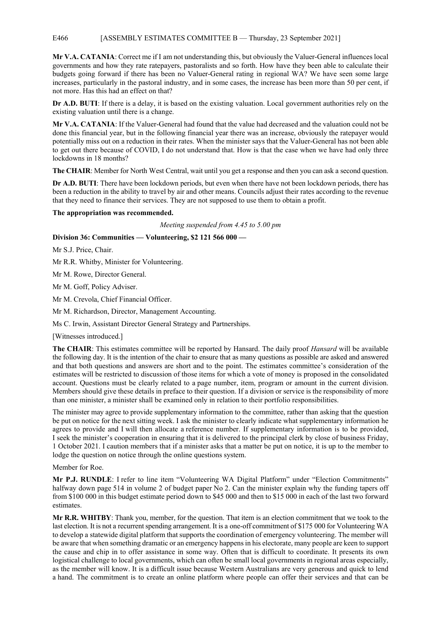## E466 [ASSEMBLY ESTIMATES COMMITTEE B — Thursday, 23 September 2021]

**Mr V.A. CATANIA**: Correct me if I am not understanding this, but obviously the Valuer-General influences local governments and how they rate ratepayers, pastoralists and so forth. How have they been able to calculate their budgets going forward if there has been no Valuer-General rating in regional WA? We have seen some large increases, particularly in the pastoral industry, and in some cases, the increase has been more than 50 per cent, if not more. Has this had an effect on that?

**Dr A.D. BUTI**: If there is a delay, it is based on the existing valuation. Local government authorities rely on the existing valuation until there is a change.

**Mr V.A. CATANIA**: If the Valuer-General had found that the value had decreased and the valuation could not be done this financial year, but in the following financial year there was an increase, obviously the ratepayer would potentially miss out on a reduction in their rates. When the minister says that the Valuer-General has not been able to get out there because of COVID, I do not understand that. How is that the case when we have had only three lockdowns in 18 months?

**The CHAIR**: Member for North West Central, wait until you get a response and then you can ask a second question.

**Dr A.D. BUTI**: There have been lockdown periods, but even when there have not been lockdown periods, there has been a reduction in the ability to travel by air and other means. Councils adjust their rates according to the revenue that they need to finance their services. They are not supposed to use them to obtain a profit.

### **The appropriation was recommended.**

*Meeting suspended from 4.45 to 5.00 pm*

### **Division 36: Communities — Volunteering, \$2 121 566 000 —**

Mr S.J. Price, Chair.

Mr R.R. Whitby, Minister for Volunteering.

Mr M. Rowe, Director General.

Mr M. Goff, Policy Adviser.

Mr M. Crevola, Chief Financial Officer.

Mr M. Richardson, Director, Management Accounting.

Ms C. Irwin, Assistant Director General Strategy and Partnerships.

[Witnesses introduced.]

**The CHAIR**: This estimates committee will be reported by Hansard. The daily proof *Hansard* will be available the following day. It is the intention of the chair to ensure that as many questions as possible are asked and answered and that both questions and answers are short and to the point. The estimates committee's consideration of the estimates will be restricted to discussion of those items for which a vote of money is proposed in the consolidated account. Questions must be clearly related to a page number, item, program or amount in the current division. Members should give these details in preface to their question. If a division or service is the responsibility of more than one minister, a minister shall be examined only in relation to their portfolio responsibilities.

The minister may agree to provide supplementary information to the committee, rather than asking that the question be put on notice for the next sitting week. I ask the minister to clearly indicate what supplementary information he agrees to provide and I will then allocate a reference number. If supplementary information is to be provided, I seek the minister's cooperation in ensuring that it is delivered to the principal clerk by close of business Friday, 1 October 2021. I caution members that if a minister asks that a matter be put on notice, it is up to the member to lodge the question on notice through the online questions system.

Member for Roe.

**Mr P.J. RUNDLE**: I refer to line item "Volunteering WA Digital Platform" under "Election Commitments" halfway down page 514 in volume 2 of budget paper No 2. Can the minister explain why the funding tapers off from \$100 000 in this budget estimate period down to \$45 000 and then to \$15 000 in each of the last two forward estimates.

**Mr R.R. WHITBY**: Thank you, member, for the question. That item is an election commitment that we took to the last election. It is not a recurrent spending arrangement. It is a one-off commitment of \$175 000 for Volunteering WA to develop a statewide digital platform that supports the coordination of emergency volunteering. The member will be aware that when something dramatic or an emergency happens in his electorate, many people are keen to support the cause and chip in to offer assistance in some way. Often that is difficult to coordinate. It presents its own logistical challenge to local governments, which can often be small local governments in regional areas especially, as the member will know. It is a difficult issue because Western Australians are very generous and quick to lend a hand. The commitment is to create an online platform where people can offer their services and that can be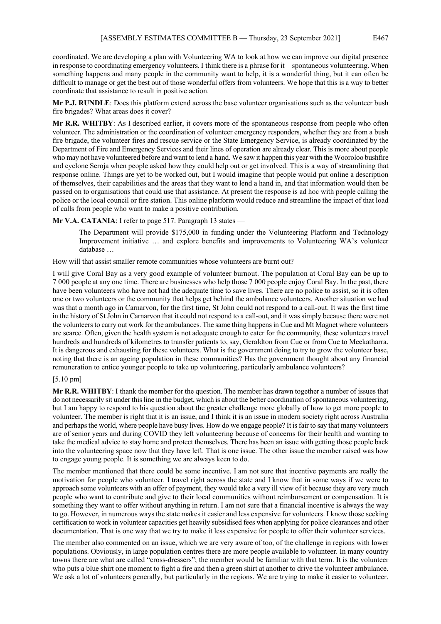coordinated. We are developing a plan with Volunteering WA to look at how we can improve our digital presence in response to coordinating emergency volunteers. I think there is a phrase for it—spontaneous volunteering. When something happens and many people in the community want to help, it is a wonderful thing, but it can often be difficult to manage or get the best out of those wonderful offers from volunteers. We hope that this is a way to better coordinate that assistance to result in positive action.

**Mr P.J. RUNDLE**: Does this platform extend across the base volunteer organisations such as the volunteer bush fire brigades? What areas does it cover?

**Mr R.R. WHITBY**: As I described earlier, it covers more of the spontaneous response from people who often volunteer. The administration or the coordination of volunteer emergency responders, whether they are from a bush fire brigade, the volunteer fires and rescue service or the State Emergency Service, is already coordinated by the Department of Fire and Emergency Services and their lines of operation are already clear. This is more about people who may not have volunteered before and want to lend a hand. We saw it happen this year with the Wooroloo bushfire and cyclone Seroja when people asked how they could help out or get involved. This is a way of streamlining that response online. Things are yet to be worked out, but I would imagine that people would put online a description of themselves, their capabilities and the areas that they want to lend a hand in, and that information would then be passed on to organisations that could use that assistance. At present the response is ad hoc with people calling the police or the local council or fire station. This online platform would reduce and streamline the impact of that load of calls from people who want to make a positive contribution.

**Mr V.A. CATANIA:** I refer to page 517. Paragraph 13 states —

The Department will provide \$175,000 in funding under the Volunteering Platform and Technology Improvement initiative ... and explore benefits and improvements to Volunteering WA's volunteer database …

How will that assist smaller remote communities whose volunteers are burnt out?

I will give Coral Bay as a very good example of volunteer burnout. The population at Coral Bay can be up to 7 000 people at any one time. There are businesses who help those 7 000 people enjoy Coral Bay. In the past, there have been volunteers who have not had the adequate time to save lives. There are no police to assist, so it is often one or two volunteers or the community that helps get behind the ambulance volunteers. Another situation we had was that a month ago in Carnarvon, for the first time, St John could not respond to a call-out. It was the first time in the history of St John in Carnarvon that it could not respond to a call-out, and it was simply because there were not the volunteers to carry out work for the ambulances. The same thing happens in Cue and Mt Magnet where volunteers are scarce. Often, given the health system is not adequate enough to cater for the community, these volunteers travel hundreds and hundreds of kilometres to transfer patients to, say, Geraldton from Cue or from Cue to Meekatharra. It is dangerous and exhausting for these volunteers. What is the government doing to try to grow the volunteer base, noting that there is an ageing population in these communities? Has the government thought about any financial remuneration to entice younger people to take up volunteering, particularly ambulance volunteers?

### [5.10 pm]

**Mr R.R. WHITBY**: I thank the member for the question. The member has drawn together a number of issues that do not necessarily sit under this line in the budget, which is about the better coordination of spontaneous volunteering, but I am happy to respond to his question about the greater challenge more globally of how to get more people to volunteer. The member is right that it is an issue, and I think it is an issue in modern society right across Australia and perhaps the world, where people have busy lives. How do we engage people? It is fair to say that many volunteers are of senior years and during COVID they left volunteering because of concerns for their health and wanting to take the medical advice to stay home and protect themselves. There has been an issue with getting those people back into the volunteering space now that they have left. That is one issue. The other issue the member raised was how to engage young people. It is something we are always keen to do.

The member mentioned that there could be some incentive. I am not sure that incentive payments are really the motivation for people who volunteer. I travel right across the state and I know that in some ways if we were to approach some volunteers with an offer of payment, they would take a very ill view of it because they are very much people who want to contribute and give to their local communities without reimbursement or compensation. It is something they want to offer without anything in return. I am not sure that a financial incentive is always the way to go. However, in numerous ways the state makes it easier and less expensive for volunteers. I know those seeking certification to work in volunteer capacities get heavily subsidised fees when applying for police clearances and other documentation. That is one way that we try to make it less expensive for people to offer their volunteer services.

The member also commented on an issue, which we are very aware of too, of the challenge in regions with lower populations. Obviously, in large population centres there are more people available to volunteer. In many country towns there are what are called "cross-dressers"; the member would be familiar with that term. It is the volunteer who puts a blue shirt one moment to fight a fire and then a green shirt at another to drive the volunteer ambulance. We ask a lot of volunteers generally, but particularly in the regions. We are trying to make it easier to volunteer.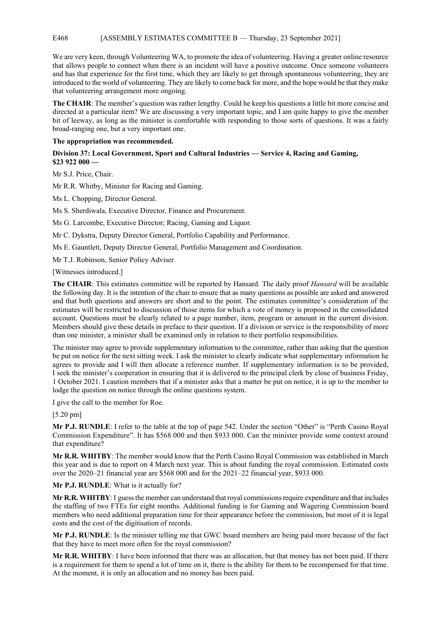### E468 [ASSEMBLY ESTIMATES COMMITTEE B — Thursday, 23 September 2021]

We are very keen, through Volunteering WA, to promote the idea of volunteering. Having a greater online resource that allows people to connect when there is an incident will have a positive outcome. Once someone volunteers and has that experience for the first time, which they are likely to get through spontaneous volunteering, they are introduced to the world of volunteering. They are likely to come back for more, and the hope would be that they make that volunteering arrangement more ongoing.

**The CHAIR**: The member's question was rather lengthy. Could he keep his questions a little bit more concise and directed at a particular item? We are discussing a very important topic, and I am quite happy to give the member bit of leeway, as long as the minister is comfortable with responding to those sorts of questions. It was a fairly broad-ranging one, but a very important one.

**The appropriation was recommended.**

# **Division 37: Local Government, Sport and Cultural Industries — Service 4, Racing and Gaming, \$23 922 000 —**

Mr S.J. Price, Chair.

Mr R.R. Whitby, Minister for Racing and Gaming.

Ms L. Chopping, Director General.

Ms S. Sherdiwala, Executive Director, Finance and Procurement.

Ms G. Larcombe, Executive Director; Racing, Gaming and Liquor.

Mr C. Dykstra, Deputy Director General, Portfolio Capability and Performance.

Ms E. Gauntlett, Deputy Director General, Portfolio Management and Coordination.

Mr T.J. Robinson, Senior Policy Adviser.

[Witnesses introduced.]

**The CHAIR**: This estimates committee will be reported by Hansard. The daily proof *Hansard* will be available the following day. It is the intention of the chair to ensure that as many questions as possible are asked and answered and that both questions and answers are short and to the point. The estimates committee's consideration of the estimates will be restricted to discussion of those items for which a vote of money is proposed in the consolidated account. Questions must be clearly related to a page number, item, program or amount in the current division. Members should give these details in preface to their question. If a division or service is the responsibility of more than one minister, a minister shall be examined only in relation to their portfolio responsibilities.

The minister may agree to provide supplementary information to the committee, rather than asking that the question be put on notice for the next sitting week. I ask the minister to clearly indicate what supplementary information he agrees to provide and I will then allocate a reference number. If supplementary information is to be provided, I seek the minister's cooperation in ensuring that it is delivered to the principal clerk by close of business Friday, 1 October 2021. I caution members that if a minister asks that a matter be put on notice, it is up to the member to lodge the question on notice through the online questions system.

I give the call to the member for Roe.

[5.20 pm]

**Mr P.J. RUNDLE**: I refer to the table at the top of page 542. Under the section "Other" is "Perth Casino Royal Commission Expenditure". It has \$568 000 and then \$933 000. Can the minister provide some context around that expenditure?

**Mr R.R. WHITBY**: The member would know that the Perth Casino Royal Commission was established in March this year and is due to report on 4 March next year. This is about funding the royal commission. Estimated costs over the 2020–21 financial year are \$568 000 and for the 2021–22 financial year, \$933 000.

#### **Mr P.J. RUNDLE**: What is it actually for?

**Mr R.R. WHITBY**: I guess the member can understand that royal commissions require expenditure and that includes the staffing of two FTEs for eight months. Additional funding is for Gaming and Wagering Commission board members who need additional preparation time for their appearance before the commission, but most of it is legal costs and the cost of the digitisation of records.

**Mr P.J. RUNDLE**: Is the minister telling me that GWC board members are being paid more because of the fact that they have to meet more often for the royal commission?

**Mr R.R. WHITBY**: I have been informed that there was an allocation, but that money has not been paid. If there is a requirement for them to spend a lot of time on it, there is the ability for them to be recompensed for that time. At the moment, it is only an allocation and no money has been paid.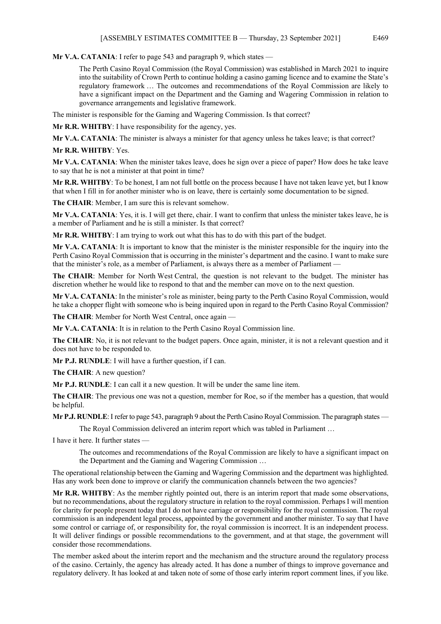**Mr V.A. CATANIA**: I refer to page 543 and paragraph 9, which states —

The Perth Casino Royal Commission (the Royal Commission) was established in March 2021 to inquire into the suitability of Crown Perth to continue holding a casino gaming licence and to examine the State's regulatory framework … The outcomes and recommendations of the Royal Commission are likely to have a significant impact on the Department and the Gaming and Wagering Commission in relation to governance arrangements and legislative framework.

The minister is responsible for the Gaming and Wagering Commission. Is that correct?

**Mr R.R. WHITBY**: I have responsibility for the agency, yes.

**Mr V.A. CATANIA**: The minister is always a minister for that agency unless he takes leave; is that correct?

**Mr R.R. WHITBY**: Yes.

**Mr V.A. CATANIA**: When the minister takes leave, does he sign over a piece of paper? How does he take leave to say that he is not a minister at that point in time?

**Mr R.R. WHITBY**: To be honest, I am not full bottle on the process because I have not taken leave yet, but I know that when I fill in for another minister who is on leave, there is certainly some documentation to be signed.

**The CHAIR**: Member, I am sure this is relevant somehow.

**Mr V.A. CATANIA**: Yes, it is. I will get there, chair. I want to confirm that unless the minister takes leave, he is a member of Parliament and he is still a minister. Is that correct?

**Mr R.R. WHITBY**: I am trying to work out what this has to do with this part of the budget.

**Mr V.A. CATANIA**: It is important to know that the minister is the minister responsible for the inquiry into the Perth Casino Royal Commission that is occurring in the minister's department and the casino. I want to make sure that the minister's role, as a member of Parliament, is always there as a member of Parliament —

**The CHAIR**: Member for North West Central, the question is not relevant to the budget. The minister has discretion whether he would like to respond to that and the member can move on to the next question.

**Mr V.A. CATANIA**: In the minister's role as minister, being party to the Perth Casino Royal Commission, would he take a chopper flight with someone who is being inquired upon in regard to the Perth Casino Royal Commission?

**The CHAIR**: Member for North West Central, once again —

**Mr V.A. CATANIA**: It is in relation to the Perth Casino Royal Commission line.

**The CHAIR**: No, it is not relevant to the budget papers. Once again, minister, it is not a relevant question and it does not have to be responded to.

**Mr P.J. RUNDLE**: I will have a further question, if I can.

**The CHAIR**: A new question?

**Mr P.J. RUNDLE**: I can call it a new question. It will be under the same line item.

**The CHAIR**: The previous one was not a question, member for Roe, so if the member has a question, that would be helpful.

**Mr P.J. RUNDLE**: I refer to page 543, paragraph 9 about the Perth Casino Royal Commission. The paragraph states —

The Royal Commission delivered an interim report which was tabled in Parliament …

I have it here. It further states —

The outcomes and recommendations of the Royal Commission are likely to have a significant impact on the Department and the Gaming and Wagering Commission …

The operational relationship between the Gaming and Wagering Commission and the department was highlighted. Has any work been done to improve or clarify the communication channels between the two agencies?

**Mr R.R. WHITBY**: As the member rightly pointed out, there is an interim report that made some observations, but no recommendations, about the regulatory structure in relation to the royal commission. Perhaps I will mention for clarity for people present today that I do not have carriage or responsibility for the royal commission. The royal commission is an independent legal process, appointed by the government and another minister. To say that I have some control or carriage of, or responsibility for, the royal commission is incorrect. It is an independent process. It will deliver findings or possible recommendations to the government, and at that stage, the government will consider those recommendations.

The member asked about the interim report and the mechanism and the structure around the regulatory process of the casino. Certainly, the agency has already acted. It has done a number of things to improve governance and regulatory delivery. It has looked at and taken note of some of those early interim report comment lines, if you like.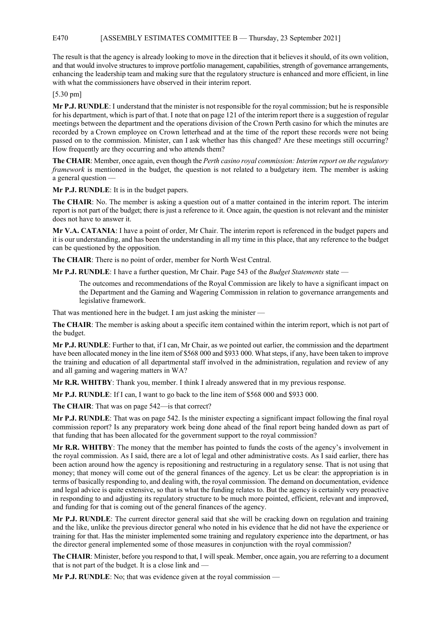## E470 [ASSEMBLY ESTIMATES COMMITTEE B — Thursday, 23 September 2021]

The result is that the agency is already looking to move in the direction that it believes it should, of its own volition, and that would involve structures to improve portfolio management, capabilities, strength of governance arrangements, enhancing the leadership team and making sure that the regulatory structure is enhanced and more efficient, in line with what the commissioners have observed in their interim report.

[5.30 pm]

**Mr P.J. RUNDLE**: I understand that the minister is not responsible for the royal commission; but he is responsible for his department, which is part of that. I note that on page 121 of the interim report there is a suggestion of regular meetings between the department and the operations division of the Crown Perth casino for which the minutes are recorded by a Crown employee on Crown letterhead and at the time of the report these records were not being passed on to the commission. Minister, can I ask whether has this changed? Are these meetings still occurring? How frequently are they occurring and who attends them?

**The CHAIR**: Member, once again, even though the *Perth casino royal commission: Interim report on the regulatory framework* is mentioned in the budget, the question is not related to a budgetary item. The member is asking a general question —

**Mr P.J. RUNDLE**: It is in the budget papers.

**The CHAIR**: No. The member is asking a question out of a matter contained in the interim report. The interim report is not part of the budget; there is just a reference to it. Once again, the question is not relevant and the minister does not have to answer it.

**Mr V.A. CATANIA**: I have a point of order, Mr Chair. The interim report is referenced in the budget papers and it is our understanding, and has been the understanding in all my time in this place, that any reference to the budget can be questioned by the opposition.

**The CHAIR**: There is no point of order, member for North West Central.

**Mr P.J. RUNDLE**: I have a further question, Mr Chair. Page 543 of the *Budget Statements* state —

The outcomes and recommendations of the Royal Commission are likely to have a significant impact on the Department and the Gaming and Wagering Commission in relation to governance arrangements and legislative framework.

That was mentioned here in the budget. I am just asking the minister —

**The CHAIR**: The member is asking about a specific item contained within the interim report, which is not part of the budget.

**Mr P.J. RUNDLE**: Further to that, if I can, Mr Chair, as we pointed out earlier, the commission and the department have been allocated money in the line item of \$568 000 and \$933 000. What steps, if any, have been taken to improve the training and education of all departmental staff involved in the administration, regulation and review of any and all gaming and wagering matters in WA?

**Mr R.R. WHITBY**: Thank you, member. I think I already answered that in my previous response.

**Mr P.J. RUNDLE**: If I can, I want to go back to the line item of \$568 000 and \$933 000.

The CHAIR: That was on page 542—is that correct?

**Mr P.J. RUNDLE**: That was on page 542. Is the minister expecting a significant impact following the final royal commission report? Is any preparatory work being done ahead of the final report being handed down as part of that funding that has been allocated for the government support to the royal commission?

**Mr R.R. WHITBY**: The money that the member has pointed to funds the costs of the agency's involvement in the royal commission. As I said, there are a lot of legal and other administrative costs. As I said earlier, there has been action around how the agency is repositioning and restructuring in a regulatory sense. That is not using that money; that money will come out of the general finances of the agency. Let us be clear: the appropriation is in terms of basically responding to, and dealing with, the royal commission. The demand on documentation, evidence and legal advice is quite extensive, so that is what the funding relates to. But the agency is certainly very proactive in responding to and adjusting its regulatory structure to be much more pointed, efficient, relevant and improved, and funding for that is coming out of the general finances of the agency.

**Mr P.J. RUNDLE**: The current director general said that she will be cracking down on regulation and training and the like, unlike the previous director general who noted in his evidence that he did not have the experience or training for that. Has the minister implemented some training and regulatory experience into the department, or has the director general implemented some of those measures in conjunction with the royal commission?

**The CHAIR**: Minister, before you respond to that, I will speak. Member, once again, you are referring to a document that is not part of the budget. It is a close link and -

**Mr P.J. RUNDLE**: No; that was evidence given at the royal commission —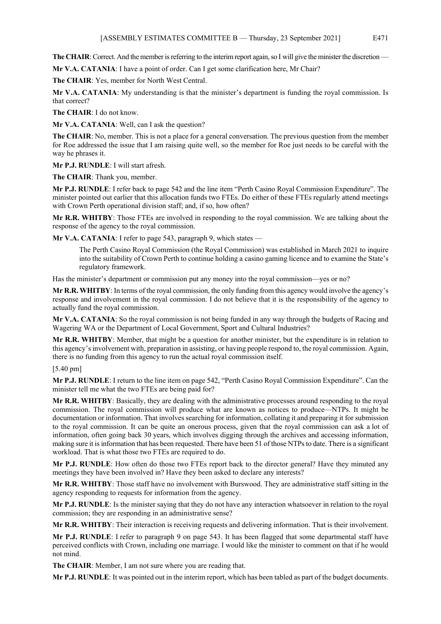**The CHAIR:** Correct. And the member is referring to the interim report again, so I will give the minister the discretion —

**Mr V.A. CATANIA**: I have a point of order. Can I get some clarification here, Mr Chair?

**The CHAIR**: Yes, member for North West Central.

**Mr V.A. CATANIA**: My understanding is that the minister's department is funding the royal commission. Is that correct?

**The CHAIR**: I do not know.

**Mr V.A. CATANIA**: Well, can I ask the question?

**The CHAIR**: No, member. This is not a place for a general conversation. The previous question from the member for Roe addressed the issue that I am raising quite well, so the member for Roe just needs to be careful with the way he phrases it.

**Mr P.J. RUNDLE**: I will start afresh.

**The CHAIR**: Thank you, member.

**Mr P.J. RUNDLE**: I refer back to page 542 and the line item "Perth Casino Royal Commission Expenditure". The minister pointed out earlier that this allocation funds two FTEs. Do either of these FTEs regularly attend meetings with Crown Perth operational division staff; and, if so, how often?

**Mr R.R. WHITBY**: Those FTEs are involved in responding to the royal commission. We are talking about the response of the agency to the royal commission.

**Mr V.A. CATANIA**: I refer to page 543, paragraph 9, which states —

The Perth Casino Royal Commission (the Royal Commission) was established in March 2021 to inquire into the suitability of Crown Perth to continue holding a casino gaming licence and to examine the State's regulatory framework.

Has the minister's department or commission put any money into the royal commission—yes or no?

**Mr R.R. WHITBY**: In terms of the royal commission, the only funding from this agency would involve the agency's response and involvement in the royal commission. I do not believe that it is the responsibility of the agency to actually fund the royal commission.

**Mr V.A. CATANIA**: So the royal commission is not being funded in any way through the budgets of Racing and Wagering WA or the Department of Local Government, Sport and Cultural Industries?

**Mr R.R. WHITBY**: Member, that might be a question for another minister, but the expenditure is in relation to this agency's involvement with, preparation in assisting, or having people respond to, the royal commission. Again, there is no funding from this agency to run the actual royal commission itself.

[5.40 pm]

**Mr P.J. RUNDLE**: I return to the line item on page 542, "Perth Casino Royal Commission Expenditure". Can the minister tell me what the two FTEs are being paid for?

**Mr R.R. WHITBY**: Basically, they are dealing with the administrative processes around responding to the royal commission. The royal commission will produce what are known as notices to produce—NTPs. It might be documentation or information. That involves searching for information, collating it and preparing it for submission to the royal commission. It can be quite an onerous process, given that the royal commission can ask a lot of information, often going back 30 years, which involves digging through the archives and accessing information, making sure it is information that has been requested. There have been 51 of those NTPs to date. There is a significant workload. That is what those two FTEs are required to do.

**Mr P.J. RUNDLE**: How often do those two FTEs report back to the director general? Have they minuted any meetings they have been involved in? Have they been asked to declare any interests?

**Mr R.R. WHITBY**: Those staff have no involvement with Burswood. They are administrative staff sitting in the agency responding to requests for information from the agency.

**Mr P.J. RUNDLE**: Is the minister saying that they do not have any interaction whatsoever in relation to the royal commission; they are responding in an administrative sense?

**Mr R.R. WHITBY**: Their interaction is receiving requests and delivering information. That is their involvement.

**Mr P.J. RUNDLE**: I refer to paragraph 9 on page 543. It has been flagged that some departmental staff have perceived conflicts with Crown, including one marriage. I would like the minister to comment on that if he would not mind.

**The CHAIR**: Member, I am not sure where you are reading that.

**Mr P.J. RUNDLE**: It was pointed out in the interim report, which has been tabled as part of the budget documents.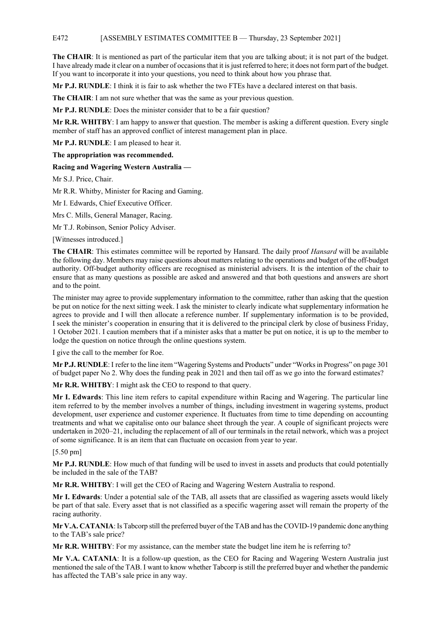## E472 [ASSEMBLY ESTIMATES COMMITTEE B — Thursday, 23 September 2021]

**The CHAIR**: It is mentioned as part of the particular item that you are talking about; it is not part of the budget. I have already made it clear on a number of occasions that it is just referred to here; it does not form part of the budget. If you want to incorporate it into your questions, you need to think about how you phrase that.

**Mr P.J. RUNDLE**: I think it is fair to ask whether the two FTEs have a declared interest on that basis.

**The CHAIR**: I am not sure whether that was the same as your previous question.

**Mr P.J. RUNDLE**: Does the minister consider that to be a fair question?

**Mr R.R. WHITBY**: I am happy to answer that question. The member is asking a different question. Every single member of staff has an approved conflict of interest management plan in place.

**Mr P.J. RUNDLE**: I am pleased to hear it.

**The appropriation was recommended.**

**Racing and Wagering Western Australia —**

Mr S.J. Price, Chair.

Mr R.R. Whitby, Minister for Racing and Gaming.

Mr I. Edwards, Chief Executive Officer.

Mrs C. Mills, General Manager, Racing.

Mr T.J. Robinson, Senior Policy Adviser.

[Witnesses introduced.]

**The CHAIR**: This estimates committee will be reported by Hansard. The daily proof *Hansard* will be available the following day. Members may raise questions about matters relating to the operations and budget of the off-budget authority. Off-budget authority officers are recognised as ministerial advisers. It is the intention of the chair to ensure that as many questions as possible are asked and answered and that both questions and answers are short and to the point.

The minister may agree to provide supplementary information to the committee, rather than asking that the question be put on notice for the next sitting week. I ask the minister to clearly indicate what supplementary information he agrees to provide and I will then allocate a reference number. If supplementary information is to be provided, I seek the minister's cooperation in ensuring that it is delivered to the principal clerk by close of business Friday, 1 October 2021. I caution members that if a minister asks that a matter be put on notice, it is up to the member to lodge the question on notice through the online questions system.

I give the call to the member for Roe.

**Mr P.J. RUNDLE**: I refer to the line item "Wagering Systems and Products" under "Works in Progress" on page 301 of budget paper No 2. Why does the funding peak in 2021 and then tail off as we go into the forward estimates?

**Mr R.R. WHITBY**: I might ask the CEO to respond to that query.

**Mr I. Edwards**: This line item refers to capital expenditure within Racing and Wagering. The particular line item referred to by the member involves a number of things, including investment in wagering systems, product development, user experience and customer experience. It fluctuates from time to time depending on accounting treatments and what we capitalise onto our balance sheet through the year. A couple of significant projects were undertaken in 2020–21, including the replacement of all of our terminals in the retail network, which was a project of some significance. It is an item that can fluctuate on occasion from year to year.

#### [5.50 pm]

**Mr P.J. RUNDLE**: How much of that funding will be used to invest in assets and products that could potentially be included in the sale of the TAB?

**Mr R.R. WHITBY**: I will get the CEO of Racing and Wagering Western Australia to respond.

**Mr I. Edwards**: Under a potential sale of the TAB, all assets that are classified as wagering assets would likely be part of that sale. Every asset that is not classified as a specific wagering asset will remain the property of the racing authority.

**Mr V.A. CATANIA**: Is Tabcorp still the preferred buyer of the TAB and has the COVID-19 pandemic done anything to the TAB's sale price?

**Mr R.R. WHITBY**: For my assistance, can the member state the budget line item he is referring to?

**Mr V.A. CATANIA**: It is a follow-up question, as the CEO for Racing and Wagering Western Australia just mentioned the sale of the TAB. I want to know whether Tabcorp is still the preferred buyer and whether the pandemic has affected the TAB's sale price in any way.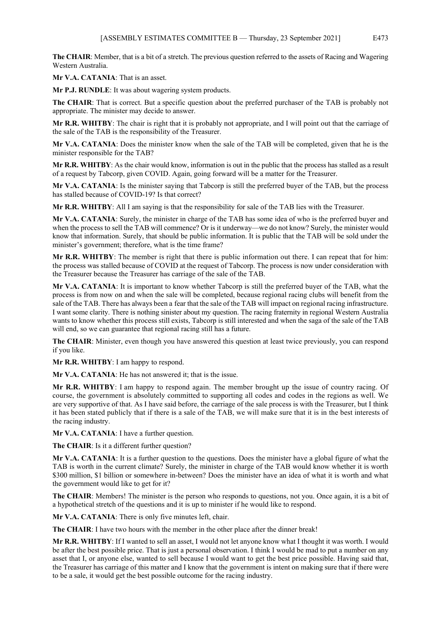**The CHAIR**: Member, that is a bit of a stretch. The previous question referred to the assets of Racing and Wagering Western Australia.

**Mr V.A. CATANIA**: That is an asset.

**Mr P.J. RUNDLE**: It was about wagering system products.

**The CHAIR**: That is correct. But a specific question about the preferred purchaser of the TAB is probably not appropriate. The minister may decide to answer.

**Mr R.R. WHITBY**: The chair is right that it is probably not appropriate, and I will point out that the carriage of the sale of the TAB is the responsibility of the Treasurer.

**Mr V.A. CATANIA**: Does the minister know when the sale of the TAB will be completed, given that he is the minister responsible for the TAB?

**Mr R.R. WHITBY**: As the chair would know, information is out in the public that the process has stalled as a result of a request by Tabcorp, given COVID. Again, going forward will be a matter for the Treasurer.

**Mr V.A. CATANIA**: Is the minister saying that Tabcorp is still the preferred buyer of the TAB, but the process has stalled because of COVID-19? Is that correct?

**Mr R.R. WHITBY**: All I am saying is that the responsibility for sale of the TAB lies with the Treasurer.

**Mr V.A. CATANIA**: Surely, the minister in charge of the TAB has some idea of who is the preferred buyer and when the process to sell the TAB will commence? Or is it underway—we do not know? Surely, the minister would know that information. Surely, that should be public information. It is public that the TAB will be sold under the minister's government; therefore, what is the time frame?

**Mr R.R. WHITBY**: The member is right that there is public information out there. I can repeat that for him: the process was stalled because of COVID at the request of Tabcorp. The process is now under consideration with the Treasurer because the Treasurer has carriage of the sale of the TAB.

**Mr V.A. CATANIA**: It is important to know whether Tabcorp is still the preferred buyer of the TAB, what the process is from now on and when the sale will be completed, because regional racing clubs will benefit from the sale of the TAB. There has always been a fear that the sale of the TAB will impact on regional racing infrastructure. I want some clarity. There is nothing sinister about my question. The racing fraternity in regional Western Australia wants to know whether this process still exists, Tabcorp is still interested and when the saga of the sale of the TAB will end, so we can guarantee that regional racing still has a future.

**The CHAIR**: Minister, even though you have answered this question at least twice previously, you can respond if you like.

**Mr R.R. WHITBY**: I am happy to respond.

**Mr V.A. CATANIA**: He has not answered it; that is the issue.

**Mr R.R. WHITBY**: I am happy to respond again. The member brought up the issue of country racing. Of course, the government is absolutely committed to supporting all codes and codes in the regions as well. We are very supportive of that. As I have said before, the carriage of the sale process is with the Treasurer, but I think it has been stated publicly that if there is a sale of the TAB, we will make sure that it is in the best interests of the racing industry.

**Mr V.A. CATANIA**: I have a further question.

**The CHAIR**: Is it a different further question?

**Mr V.A. CATANIA**: It is a further question to the questions. Does the minister have a global figure of what the TAB is worth in the current climate? Surely, the minister in charge of the TAB would know whether it is worth \$300 million, \$1 billion or somewhere in-between? Does the minister have an idea of what it is worth and what the government would like to get for it?

**The CHAIR**: Members! The minister is the person who responds to questions, not you. Once again, it is a bit of a hypothetical stretch of the questions and it is up to minister if he would like to respond.

**Mr V.A. CATANIA**: There is only five minutes left, chair.

**The CHAIR**: I have two hours with the member in the other place after the dinner break!

**Mr R.R. WHITBY**: If I wanted to sell an asset, I would not let anyone know what I thought it was worth. I would be after the best possible price. That is just a personal observation. I think I would be mad to put a number on any asset that I, or anyone else, wanted to sell because I would want to get the best price possible. Having said that, the Treasurer has carriage of this matter and I know that the government is intent on making sure that if there were to be a sale, it would get the best possible outcome for the racing industry.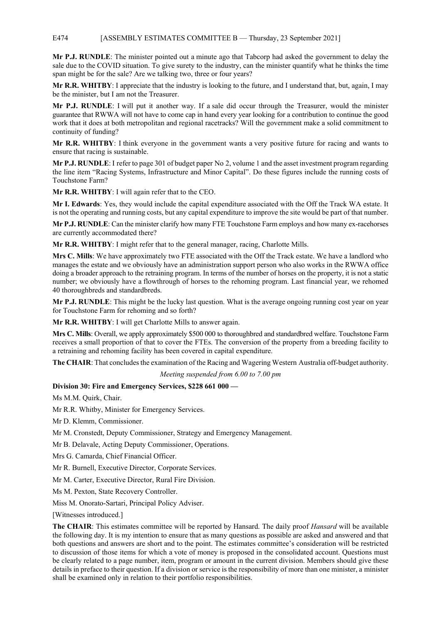### E474 [ASSEMBLY ESTIMATES COMMITTEE B — Thursday, 23 September 2021]

**Mr P.J. RUNDLE**: The minister pointed out a minute ago that Tabcorp had asked the government to delay the sale due to the COVID situation. To give surety to the industry, can the minister quantify what he thinks the time span might be for the sale? Are we talking two, three or four years?

**Mr R.R. WHITBY**: I appreciate that the industry is looking to the future, and I understand that, but, again, I may be the minister, but I am not the Treasurer.

**Mr P.J. RUNDLE**: I will put it another way. If a sale did occur through the Treasurer, would the minister guarantee that RWWA will not have to come cap in hand every year looking for a contribution to continue the good work that it does at both metropolitan and regional racetracks? Will the government make a solid commitment to continuity of funding?

**Mr R.R. WHITBY**: I think everyone in the government wants a very positive future for racing and wants to ensure that racing is sustainable.

**Mr P.J. RUNDLE**: I refer to page 301 of budget paper No 2, volume 1 and the asset investment program regarding the line item "Racing Systems, Infrastructure and Minor Capital". Do these figures include the running costs of Touchstone Farm?

**Mr R.R. WHITBY**: I will again refer that to the CEO.

**Mr I. Edwards**: Yes, they would include the capital expenditure associated with the Off the Track WA estate. It is not the operating and running costs, but any capital expenditure to improve the site would be part of that number.

**Mr P.J. RUNDLE**: Can the minister clarify how many FTE Touchstone Farm employs and how many ex-racehorses are currently accommodated there?

**Mr R.R. WHITBY**: I might refer that to the general manager, racing, Charlotte Mills.

**Mrs C. Mills**: We have approximately two FTE associated with the Off the Track estate. We have a landlord who manages the estate and we obviously have an administration support person who also works in the RWWA office doing a broader approach to the retraining program. In terms of the number of horses on the property, it is not a static number; we obviously have a flowthrough of horses to the rehoming program. Last financial year, we rehomed 40 thoroughbreds and standardbreds.

**Mr P.J. RUNDLE**: This might be the lucky last question. What is the average ongoing running cost year on year for Touchstone Farm for rehoming and so forth?

**Mr R.R. WHITBY**: I will get Charlotte Mills to answer again.

**Mrs C. Mills**: Overall, we apply approximately \$500 000 to thoroughbred and standardbred welfare. Touchstone Farm receives a small proportion of that to cover the FTEs. The conversion of the property from a breeding facility to a retraining and rehoming facility has been covered in capital expenditure.

**The CHAIR**: That concludes the examination of the Racing and Wagering Western Australia off-budget authority.

*Meeting suspended from 6.00 to 7.00 pm*

## **Division 30: Fire and Emergency Services, \$228 661 000 —**

Ms M.M. Quirk, Chair.

Mr R.R. Whitby, Minister for Emergency Services.

Mr D. Klemm, Commissioner.

Mr M. Cronstedt, Deputy Commissioner, Strategy and Emergency Management.

Mr B. Delavale, Acting Deputy Commissioner, Operations.

Mrs G. Camarda, Chief Financial Officer.

Mr R. Burnell, Executive Director, Corporate Services.

Mr M. Carter, Executive Director, Rural Fire Division.

Ms M. Pexton, State Recovery Controller.

Miss M. Onorato-Sartari, Principal Policy Adviser.

[Witnesses introduced.]

**The CHAIR**: This estimates committee will be reported by Hansard. The daily proof *Hansard* will be available the following day. It is my intention to ensure that as many questions as possible are asked and answered and that both questions and answers are short and to the point. The estimates committee's consideration will be restricted to discussion of those items for which a vote of money is proposed in the consolidated account. Questions must be clearly related to a page number, item, program or amount in the current division. Members should give these details in preface to their question. If a division or service is the responsibility of more than one minister, a minister shall be examined only in relation to their portfolio responsibilities.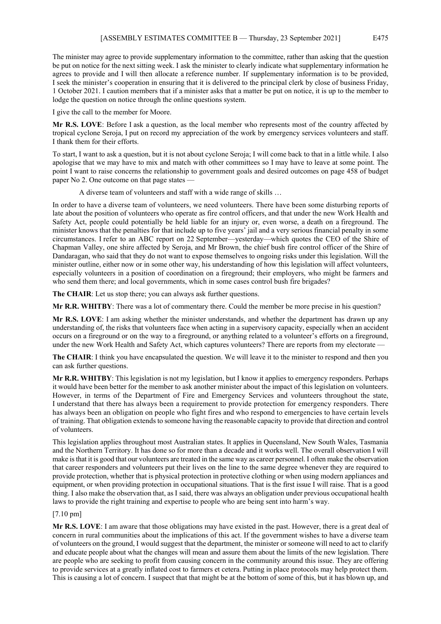The minister may agree to provide supplementary information to the committee, rather than asking that the question be put on notice for the next sitting week. I ask the minister to clearly indicate what supplementary information he agrees to provide and I will then allocate a reference number. If supplementary information is to be provided, I seek the minister's cooperation in ensuring that it is delivered to the principal clerk by close of business Friday, 1 October 2021. I caution members that if a minister asks that a matter be put on notice, it is up to the member to lodge the question on notice through the online questions system.

I give the call to the member for Moore.

**Mr R.S. LOVE**: Before I ask a question, as the local member who represents most of the country affected by tropical cyclone Seroja, I put on record my appreciation of the work by emergency services volunteers and staff. I thank them for their efforts.

To start, I want to ask a question, but it is not about cyclone Seroja; I will come back to that in a little while. I also apologise that we may have to mix and match with other committees so I may have to leave at some point. The point I want to raise concerns the relationship to government goals and desired outcomes on page 458 of budget paper No 2. One outcome on that page states —

A diverse team of volunteers and staff with a wide range of skills …

In order to have a diverse team of volunteers, we need volunteers. There have been some disturbing reports of late about the position of volunteers who operate as fire control officers, and that under the new Work Health and Safety Act, people could potentially be held liable for an injury or, even worse, a death on a fireground. The minister knows that the penalties for that include up to five years' jail and a very serious financial penalty in some circumstances. I refer to an ABC report on 22 September—yesterday—which quotes the CEO of the Shire of Chapman Valley, one shire affected by Seroja, and Mr Brown, the chief bush fire control officer of the Shire of Dandaragan, who said that they do not want to expose themselves to ongoing risks under this legislation. Will the minister outline, either now or in some other way, his understanding of how this legislation will affect volunteers, especially volunteers in a position of coordination on a fireground; their employers, who might be farmers and who send them there; and local governments, which in some cases control bush fire brigades?

**The CHAIR**: Let us stop there; you can always ask further questions.

**Mr R.R. WHITBY**: There was a lot of commentary there. Could the member be more precise in his question?

**Mr R.S. LOVE**: I am asking whether the minister understands, and whether the department has drawn up any understanding of, the risks that volunteers face when acting in a supervisory capacity, especially when an accident occurs on a fireground or on the way to a fireground, or anything related to a volunteer's efforts on a fireground, under the new Work Health and Safety Act, which captures volunteers? There are reports from my electorate —

**The CHAIR**: I think you have encapsulated the question. We will leave it to the minister to respond and then you can ask further questions.

**Mr R.R. WHITBY**: This legislation is not my legislation, but I know it applies to emergency responders. Perhaps it would have been better for the member to ask another minister about the impact of this legislation on volunteers. However, in terms of the Department of Fire and Emergency Services and volunteers throughout the state, I understand that there has always been a requirement to provide protection for emergency responders. There has always been an obligation on people who fight fires and who respond to emergencies to have certain levels of training. That obligation extends to someone having the reasonable capacity to provide that direction and control of volunteers.

This legislation applies throughout most Australian states. It applies in Queensland, New South Wales, Tasmania and the Northern Territory. It has done so for more than a decade and it works well. The overall observation I will make is that it is good that our volunteers are treated in the same way as career personnel. I often make the observation that career responders and volunteers put their lives on the line to the same degree whenever they are required to provide protection, whether that is physical protection in protective clothing or when using modern appliances and equipment, or when providing protection in occupational situations. That is the first issue I will raise. That is a good thing. I also make the observation that, as I said, there was always an obligation under previous occupational health laws to provide the right training and expertise to people who are being sent into harm's way.

## [7.10 pm]

**Mr R.S. LOVE**: I am aware that those obligations may have existed in the past. However, there is a great deal of concern in rural communities about the implications of this act. If the government wishes to have a diverse team of volunteers on the ground, I would suggest that the department, the minister or someone will need to act to clarify and educate people about what the changes will mean and assure them about the limits of the new legislation. There are people who are seeking to profit from causing concern in the community around this issue. They are offering to provide services at a greatly inflated cost to farmers et cetera. Putting in place protocols may help protect them. This is causing a lot of concern. I suspect that that might be at the bottom of some of this, but it has blown up, and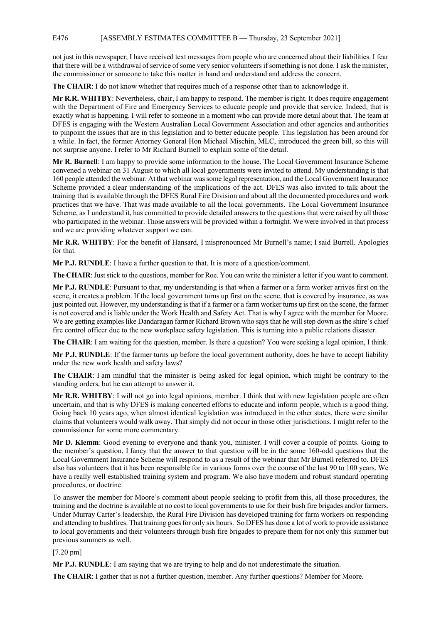## E476 [ASSEMBLY ESTIMATES COMMITTEE B — Thursday, 23 September 2021]

not just in this newspaper; I have received text messages from people who are concerned about their liabilities. I fear that there will be a withdrawal of service of some very senior volunteers if something is not done. I ask the minister, the commissioner or someone to take this matter in hand and understand and address the concern.

**The CHAIR**: I do not know whether that requires much of a response other than to acknowledge it.

**Mr R.R. WHITBY**: Nevertheless, chair, I am happy to respond. The member is right. It does require engagement with the Department of Fire and Emergency Services to educate people and provide that service. Indeed, that is exactly what is happening. I will refer to someone in a moment who can provide more detail about that. The team at DFES is engaging with the Western Australian Local Government Association and other agencies and authorities to pinpoint the issues that are in this legislation and to better educate people. This legislation has been around for a while. In fact, the former Attorney General Hon Michael Mischin, MLC, introduced the green bill, so this will not surprise anyone. I refer to Mr Richard Burnell to explain some of the detail.

**Mr R. Burnell**: I am happy to provide some information to the house. The Local Government Insurance Scheme convened a webinar on 31 August to which all local governments were invited to attend. My understanding is that 160 people attended the webinar. At that webinar was some legal representation, and the Local Government Insurance Scheme provided a clear understanding of the implications of the act. DFES was also invited to talk about the training that is available through the DFES Rural Fire Division and about all the documented procedures and work practices that we have. That was made available to all the local governments. The Local Government Insurance Scheme, as I understand it, has committed to provide detailed answers to the questions that were raised by all those who participated in the webinar. Those answers will be provided within a fortnight. We were involved in that process and we are providing whatever support we can.

**Mr R.R. WHITBY**: For the benefit of Hansard, I mispronounced Mr Burnell's name; I said Burrell. Apologies for that.

**Mr P.J. RUNDLE**: I have a further question to that. It is more of a question/comment.

**The CHAIR**: Just stick to the questions, member for Roe. You can write the minister a letter if you want to comment.

**Mr P.J. RUNDLE**: Pursuant to that, my understanding is that when a farmer or a farm worker arrives first on the scene, it creates a problem. If the local government turns up first on the scene, that is covered by insurance, as was just pointed out. However, my understanding is that if a farmer or a farm worker turns up first on the scene, the farmer is not covered and is liable under the Work Health and Safety Act. That is why I agree with the member for Moore. We are getting examples like Dandaragan farmer Richard Brown who says that he will step down as the shire's chief fire control officer due to the new workplace safety legislation. This is turning into a public relations disaster.

**The CHAIR**: I am waiting for the question, member. Is there a question? You were seeking a legal opinion, I think.

**Mr P.J. RUNDLE**: If the farmer turns up before the local government authority, does he have to accept liability under the new work health and safety laws?

**The CHAIR**: I am mindful that the minister is being asked for legal opinion, which might be contrary to the standing orders, but he can attempt to answer it.

**Mr R.R. WHITBY**: I will not go into legal opinions, member. I think that with new legislation people are often uncertain, and that is why DFES is making concerted efforts to educate and inform people, which is a good thing. Going back 10 years ago, when almost identical legislation was introduced in the other states, there were similar claims that volunteers would walk away. That simply did not occur in those other jurisdictions. I might refer to the commissioner for some more commentary.

**Mr D. Klemm**: Good evening to everyone and thank you, minister. I will cover a couple of points. Going to the member's question, I fancy that the answer to that question will be in the some 160-odd questions that the Local Government Insurance Scheme will respond to as a result of the webinar that Mr Burnell referred to. DFES also has volunteers that it has been responsible for in various forms over the course of the last 90 to 100 years. We have a really well established training system and program. We also have modern and robust standard operating procedures, or doctrine.

To answer the member for Moore's comment about people seeking to profit from this, all those procedures, the training and the doctrine is available at no cost to local governments to use for their bush fire brigades and/or farmers. Under Murray Carter's leadership, the Rural Fire Division has developed training for farm workers on responding and attending to bushfires. That training goes for only six hours. So DFES has done a lot of work to provide assistance to local governments and their volunteers through bush fire brigades to prepare them for not only this summer but previous summers as well.

[7.20 pm]

**Mr P.J. RUNDLE**: I am saying that we are trying to help and do not underestimate the situation.

**The CHAIR**: I gather that is not a further question, member. Any further questions? Member for Moore.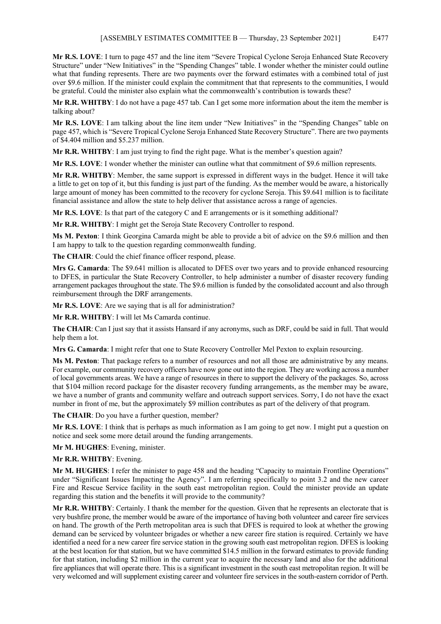**Mr R.S. LOVE**: I turn to page 457 and the line item "Severe Tropical Cyclone Seroja Enhanced State Recovery Structure" under "New Initiatives" in the "Spending Changes" table. I wonder whether the minister could outline what that funding represents. There are two payments over the forward estimates with a combined total of just over \$9.6 million. If the minister could explain the commitment that that represents to the communities, I would be grateful. Could the minister also explain what the commonwealth's contribution is towards these?

**Mr R.R. WHITBY**: I do not have a page 457 tab. Can I get some more information about the item the member is talking about?

**Mr R.S. LOVE**: I am talking about the line item under "New Initiatives" in the "Spending Changes" table on page 457, which is "Severe Tropical Cyclone Seroja Enhanced State Recovery Structure". There are two payments of \$4.404 million and \$5.237 million.

**Mr R.R. WHITBY**: I am just trying to find the right page. What is the member's question again?

**Mr R.S. LOVE**: I wonder whether the minister can outline what that commitment of \$9.6 million represents.

**Mr R.R. WHITBY**: Member, the same support is expressed in different ways in the budget. Hence it will take a little to get on top of it, but this funding is just part of the funding. As the member would be aware, a historically large amount of money has been committed to the recovery for cyclone Seroja. This \$9.641 million is to facilitate financial assistance and allow the state to help deliver that assistance across a range of agencies.

**Mr R.S. LOVE**: Is that part of the category C and E arrangements or is it something additional?

**Mr R.R. WHITBY**: I might get the Seroja State Recovery Controller to respond.

**Ms M. Pexton**: I think Georgina Camarda might be able to provide a bit of advice on the \$9.6 million and then I am happy to talk to the question regarding commonwealth funding.

**The CHAIR**: Could the chief finance officer respond, please.

**Mrs G. Camarda**: The \$9.641 million is allocated to DFES over two years and to provide enhanced resourcing to DFES, in particular the State Recovery Controller, to help administer a number of disaster recovery funding arrangement packages throughout the state. The \$9.6 million is funded by the consolidated account and also through reimbursement through the DRF arrangements.

**Mr R.S. LOVE**: Are we saying that is all for administration?

**Mr R.R. WHITBY**: I will let Ms Camarda continue.

**The CHAIR**: Can I just say that it assists Hansard if any acronyms, such as DRF, could be said in full. That would help them a lot.

**Mrs G. Camarda**: I might refer that one to State Recovery Controller Mel Pexton to explain resourcing.

**Ms M. Pexton**: That package refers to a number of resources and not all those are administrative by any means. For example, our community recovery officers have now gone out into the region. They are working across a number of local governments areas. We have a range of resources in there to support the delivery of the packages. So, across that \$104 million record package for the disaster recovery funding arrangements, as the member may be aware, we have a number of grants and community welfare and outreach support services. Sorry, I do not have the exact number in front of me, but the approximately \$9 million contributes as part of the delivery of that program.

**The CHAIR**: Do you have a further question, member?

**Mr R.S. LOVE**: I think that is perhaps as much information as I am going to get now. I might put a question on notice and seek some more detail around the funding arrangements.

**Mr M. HUGHES**: Evening, minister.

**Mr R.R. WHITBY**: Evening.

**Mr M. HUGHES**: I refer the minister to page 458 and the heading "Capacity to maintain Frontline Operations" under "Significant Issues Impacting the Agency". I am referring specifically to point 3.2 and the new career Fire and Rescue Service facility in the south east metropolitan region. Could the minister provide an update regarding this station and the benefits it will provide to the community?

**Mr R.R. WHITBY**: Certainly. I thank the member for the question. Given that he represents an electorate that is very bushfire prone, the member would be aware of the importance of having both volunteer and career fire services on hand. The growth of the Perth metropolitan area is such that DFES is required to look at whether the growing demand can be serviced by volunteer brigades or whether a new career fire station is required. Certainly we have identified a need for a new career fire service station in the growing south east metropolitan region. DFES is looking at the best location for that station, but we have committed \$14.5 million in the forward estimates to provide funding for that station, including \$2 million in the current year to acquire the necessary land and also for the additional fire appliances that will operate there. This is a significant investment in the south east metropolitan region. It will be very welcomed and will supplement existing career and volunteer fire services in the south-eastern corridor of Perth.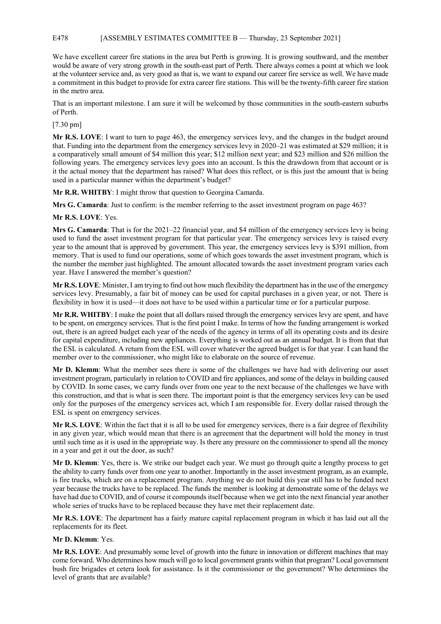## E478 [ASSEMBLY ESTIMATES COMMITTEE B — Thursday, 23 September 2021]

We have excellent career fire stations in the area but Perth is growing. It is growing southward, and the member would be aware of very strong growth in the south-east part of Perth. There always comes a point at which we look at the volunteer service and, as very good as that is, we want to expand our career fire service as well. We have made a commitment in this budget to provide for extra career fire stations. This will be the twenty-fifth career fire station in the metro area.

That is an important milestone. I am sure it will be welcomed by those communities in the south-eastern suburbs of Perth.

## [7.30 pm]

**Mr R.S. LOVE**: I want to turn to page 463, the emergency services levy, and the changes in the budget around that. Funding into the department from the emergency services levy in 2020–21 was estimated at \$29 million; it is a comparatively small amount of \$4 million this year; \$12 million next year; and \$23 million and \$26 million the following years. The emergency services levy goes into an account. Is this the drawdown from that account or is it the actual money that the department has raised? What does this reflect, or is this just the amount that is being used in a particular manner within the department's budget?

**Mr R.R. WHITBY**: I might throw that question to Georgina Camarda.

**Mrs G. Camarda**: Just to confirm: is the member referring to the asset investment program on page 463?

## **Mr R.S. LOVE**: Yes.

**Mrs G. Camarda**: That is for the 2021–22 financial year, and \$4 million of the emergency services levy is being used to fund the asset investment program for that particular year. The emergency services levy is raised every year to the amount that is approved by government. This year, the emergency services levy is \$391 million, from memory. That is used to fund our operations, some of which goes towards the asset investment program, which is the number the member just highlighted. The amount allocated towards the asset investment program varies each year. Have I answered the member's question?

**Mr R.S. LOVE**: Minister, I am trying to find out how much flexibility the department has in the use of the emergency services levy. Presumably, a fair bit of money can be used for capital purchases in a given year, or not. There is flexibility in how it is used—it does not have to be used within a particular time or for a particular purpose.

**Mr R.R. WHITBY**: I make the point that all dollars raised through the emergency services levy are spent, and have to be spent, on emergency services. That is the first point I make. In terms of how the funding arrangement is worked out, there is an agreed budget each year of the needs of the agency in terms of all its operating costs and its desire for capital expenditure, including new appliances. Everything is worked out as an annual budget. It is from that that the ESL is calculated. A return from the ESL will cover whatever the agreed budget is for that year. I can hand the member over to the commissioner, who might like to elaborate on the source of revenue.

**Mr D. Klemm**: What the member sees there is some of the challenges we have had with delivering our asset investment program, particularly in relation to COVID and fire appliances, and some of the delays in building caused by COVID. In some cases, we carry funds over from one year to the next because of the challenges we have with this construction, and that is what is seen there. The important point is that the emergency services levy can be used only for the purposes of the emergency services act, which I am responsible for. Every dollar raised through the ESL is spent on emergency services.

**Mr R.S. LOVE**: Within the fact that it is all to be used for emergency services, there is a fair degree of flexibility in any given year, which would mean that there is an agreement that the department will hold the money in trust until such time as it is used in the appropriate way. Is there any pressure on the commissioner to spend all the money in a year and get it out the door, as such?

**Mr D. Klemm**: Yes, there is. We strike our budget each year. We must go through quite a lengthy process to get the ability to carry funds over from one year to another. Importantly in the asset investment program, as an example, is fire trucks, which are on a replacement program. Anything we do not build this year still has to be funded next year because the trucks have to be replaced. The funds the member is looking at demonstrate some of the delays we have had due to COVID, and of course it compounds itself because when we get into the next financial year another whole series of trucks have to be replaced because they have met their replacement date.

**Mr R.S. LOVE**: The department has a fairly mature capital replacement program in which it has laid out all the replacements for its fleet.

## **Mr D. Klemm**: Yes.

**Mr R.S. LOVE**: And presumably some level of growth into the future in innovation or different machines that may come forward. Who determines how much will go to local government grants within that program? Local government bush fire brigades et cetera look for assistance. Is it the commissioner or the government? Who determines the level of grants that are available?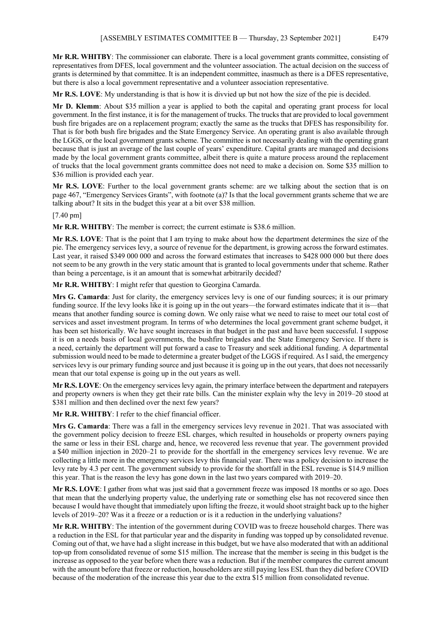**Mr R.R. WHITBY**: The commissioner can elaborate. There is a local government grants committee, consisting of representatives from DFES, local government and the volunteer association. The actual decision on the success of grants is determined by that committee. It is an independent committee, inasmuch as there is a DFES representative, but there is also a local government representative and a volunteer association representative.

**Mr R.S. LOVE**: My understanding is that is how it is divvied up but not how the size of the pie is decided.

**Mr D. Klemm**: About \$35 million a year is applied to both the capital and operating grant process for local government. In the first instance, it is for the management of trucks. The trucks that are provided to local government bush fire brigades are on a replacement program; exactly the same as the trucks that DFES has responsibility for. That is for both bush fire brigades and the State Emergency Service. An operating grant is also available through the LGGS, or the local government grants scheme. The committee is not necessarily dealing with the operating grant because that is just an average of the last couple of years' expenditure. Capital grants are managed and decisions made by the local government grants committee, albeit there is quite a mature process around the replacement of trucks that the local government grants committee does not need to make a decision on. Some \$35 million to \$36 million is provided each year.

**Mr R.S. LOVE**: Further to the local government grants scheme: are we talking about the section that is on page 467, "Emergency Services Grants", with footnote (a)? Is that the local government grants scheme that we are talking about? It sits in the budget this year at a bit over \$38 million.

# [7.40 pm]

**Mr R.R. WHITBY**: The member is correct; the current estimate is \$38.6 million.

**Mr R.S. LOVE**: That is the point that I am trying to make about how the department determines the size of the pie. The emergency services levy, a source of revenue for the department, is growing across the forward estimates. Last year, it raised \$349 000 000 and across the forward estimates that increases to \$428 000 000 but there does not seem to be any growth in the very static amount that is granted to local governments under that scheme. Rather than being a percentage, is it an amount that is somewhat arbitrarily decided?

**Mr R.R. WHITBY**: I might refer that question to Georgina Camarda.

**Mrs G. Camarda**: Just for clarity, the emergency services levy is one of our funding sources; it is our primary funding source. If the levy looks like it is going up in the out years—the forward estimates indicate that it is—that means that another funding source is coming down. We only raise what we need to raise to meet our total cost of services and asset investment program. In terms of who determines the local government grant scheme budget, it has been set historically. We have sought increases in that budget in the past and have been successful. I suppose it is on a needs basis of local governments, the bushfire brigades and the State Emergency Service. If there is a need, certainly the department will put forward a case to Treasury and seek additional funding. A departmental submission would need to be made to determine a greater budget of the LGGS if required. As I said, the emergency services levy is our primary funding source and just because it is going up in the out years, that does not necessarily mean that our total expense is going up in the out years as well.

**Mr R.S. LOVE**: On the emergency services levy again, the primary interface between the department and ratepayers and property owners is when they get their rate bills. Can the minister explain why the levy in 2019–20 stood at \$381 million and then declined over the next few years?

**Mr R.R. WHITBY**: I refer to the chief financial officer.

**Mrs G. Camarda**: There was a fall in the emergency services levy revenue in 2021. That was associated with the government policy decision to freeze ESL charges, which resulted in households or property owners paying the same or less in their ESL charge and, hence, we recovered less revenue that year. The government provided a \$40 million injection in 2020–21 to provide for the shortfall in the emergency services levy revenue. We are collecting a little more in the emergency services levy this financial year. There was a policy decision to increase the levy rate by 4.3 per cent. The government subsidy to provide for the shortfall in the ESL revenue is \$14.9 million this year. That is the reason the levy has gone down in the last two years compared with 2019–20.

**Mr R.S. LOVE**: I gather from what was just said that a government freeze was imposed 18 months or so ago. Does that mean that the underlying property value, the underlying rate or something else has not recovered since then because I would have thought that immediately upon lifting the freeze, it would shoot straight back up to the higher levels of 2019–20? Was it a freeze or a reduction or is it a reduction in the underlying valuations?

**Mr R.R. WHITBY**: The intention of the government during COVID was to freeze household charges. There was a reduction in the ESL for that particular year and the disparity in funding was topped up by consolidated revenue. Coming out of that, we have had a slight increase in this budget, but we have also moderated that with an additional top-up from consolidated revenue of some \$15 million. The increase that the member is seeing in this budget is the increase as opposed to the year before when there was a reduction. But if the member compares the current amount with the amount before that freeze or reduction, householders are still paying less ESL than they did before COVID because of the moderation of the increase this year due to the extra \$15 million from consolidated revenue.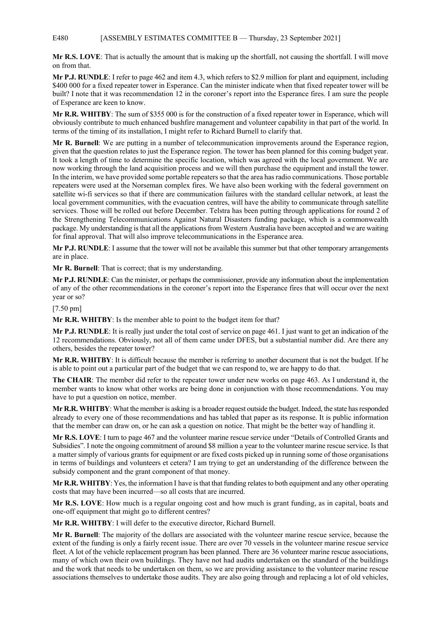## E480 [ASSEMBLY ESTIMATES COMMITTEE B — Thursday, 23 September 2021]

**Mr R.S. LOVE**: That is actually the amount that is making up the shortfall, not causing the shortfall. I will move on from that.

**Mr P.J. RUNDLE**: I refer to page 462 and item 4.3, which refers to \$2.9 million for plant and equipment, including \$400 000 for a fixed repeater tower in Esperance. Can the minister indicate when that fixed repeater tower will be built? I note that it was recommendation 12 in the coroner's report into the Esperance fires. I am sure the people of Esperance are keen to know.

**Mr R.R. WHITBY**: The sum of \$355 000 is for the construction of a fixed repeater tower in Esperance, which will obviously contribute to much enhanced bushfire management and volunteer capability in that part of the world. In terms of the timing of its installation, I might refer to Richard Burnell to clarify that.

**Mr R. Burnell**: We are putting in a number of telecommunication improvements around the Esperance region, given that the question relates to just the Esperance region. The tower has been planned for this coming budget year. It took a length of time to determine the specific location, which was agreed with the local government. We are now working through the land acquisition process and we will then purchase the equipment and install the tower. In the interim, we have provided some portable repeaters so that the area has radio communications. Those portable repeaters were used at the Norseman complex fires. We have also been working with the federal government on satellite wi-fi services so that if there are communication failures with the standard cellular network, at least the local government communities, with the evacuation centres, will have the ability to communicate through satellite services. Those will be rolled out before December. Telstra has been putting through applications for round 2 of the Strengthening Telecommunications Against Natural Disasters funding package, which is a commonwealth package. My understanding is that all the applications from Western Australia have been accepted and we are waiting for final approval. That will also improve telecommunications in the Esperance area.

**Mr P.J. RUNDLE**: I assume that the tower will not be available this summer but that other temporary arrangements are in place.

**Mr R. Burnell**: That is correct; that is my understanding.

**Mr P.J. RUNDLE**: Can the minister, or perhaps the commissioner, provide any information about the implementation of any of the other recommendations in the coroner's report into the Esperance fires that will occur over the next year or so?

[7.50 pm]

**Mr R.R. WHITBY**: Is the member able to point to the budget item for that?

**Mr P.J. RUNDLE**: It is really just under the total cost of service on page 461. I just want to get an indication of the 12 recommendations. Obviously, not all of them came under DFES, but a substantial number did. Are there any others, besides the repeater tower?

**Mr R.R. WHITBY**: It is difficult because the member is referring to another document that is not the budget. If he is able to point out a particular part of the budget that we can respond to, we are happy to do that.

**The CHAIR**: The member did refer to the repeater tower under new works on page 463. As I understand it, the member wants to know what other works are being done in conjunction with those recommendations. You may have to put a question on notice, member.

**Mr R.R. WHITBY**: What the member is asking is a broader request outside the budget. Indeed, the state has responded already to every one of those recommendations and has tabled that paper as its response. It is public information that the member can draw on, or he can ask a question on notice. That might be the better way of handling it.

**Mr R.S. LOVE**: I turn to page 467 and the volunteer marine rescue service under "Details of Controlled Grants and Subsidies". I note the ongoing commitment of around \$8 million a year to the volunteer marine rescue service. Is that a matter simply of various grants for equipment or are fixed costs picked up in running some of those organisations in terms of buildings and volunteers et cetera? I am trying to get an understanding of the difference between the subsidy component and the grant component of that money.

**Mr R.R. WHITBY**: Yes, the information I have is that that funding relates to both equipment and any other operating costs that may have been incurred—so all costs that are incurred.

**Mr R.S. LOVE**: How much is a regular ongoing cost and how much is grant funding, as in capital, boats and one-off equipment that might go to different centres?

**Mr R.R. WHITBY**: I will defer to the executive director, Richard Burnell.

**Mr R. Burnell**: The majority of the dollars are associated with the volunteer marine rescue service, because the extent of the funding is only a fairly recent issue. There are over 70 vessels in the volunteer marine rescue service fleet. A lot of the vehicle replacement program has been planned. There are 36 volunteer marine rescue associations, many of which own their own buildings. They have not had audits undertaken on the standard of the buildings and the work that needs to be undertaken on them, so we are providing assistance to the volunteer marine rescue associations themselves to undertake those audits. They are also going through and replacing a lot of old vehicles,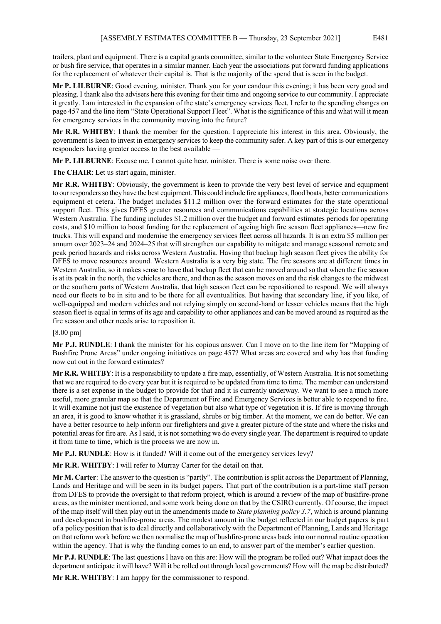trailers, plant and equipment. There is a capital grants committee, similar to the volunteer State Emergency Service or bush fire service, that operates in a similar manner. Each year the associations put forward funding applications for the replacement of whatever their capital is. That is the majority of the spend that is seen in the budget.

**Mr P. LILBURNE**: Good evening, minister. Thank you for your candour this evening; it has been very good and pleasing. I thank also the advisers here this evening for their time and ongoing service to our community. I appreciate it greatly. I am interested in the expansion of the state's emergency services fleet. I refer to the spending changes on page 457 and the line item "State Operational Support Fleet". What is the significance of this and what will it mean for emergency services in the community moving into the future?

**Mr R.R. WHITBY**: I thank the member for the question. I appreciate his interest in this area. Obviously, the government is keen to invest in emergency services to keep the community safer. A key part of this is our emergency responders having greater access to the best available —

**Mr P. LILBURNE**: Excuse me, I cannot quite hear, minister. There is some noise over there.

**The CHAIR**: Let us start again, minister.

**Mr R.R. WHITBY**: Obviously, the government is keen to provide the very best level of service and equipment to our responders so they have the best equipment. This could include fire appliances, flood boats, better communications equipment et cetera. The budget includes \$11.2 million over the forward estimates for the state operational support fleet. This gives DFES greater resources and communications capabilities at strategic locations across Western Australia. The funding includes \$1.2 million over the budget and forward estimates periods for operating costs, and \$10 million to boost funding for the replacement of ageing high fire season fleet appliances—new fire trucks. This will expand and modernise the emergency services fleet across all hazards. It is an extra \$5 million per annum over 2023–24 and 2024–25 that will strengthen our capability to mitigate and manage seasonal remote and peak period hazards and risks across Western Australia. Having that backup high season fleet gives the ability for DFES to move resources around. Western Australia is a very big state. The fire seasons are at different times in Western Australia, so it makes sense to have that backup fleet that can be moved around so that when the fire season is at its peak in the north, the vehicles are there, and then as the season moves on and the risk changes to the midwest or the southern parts of Western Australia, that high season fleet can be repositioned to respond. We will always need our fleets to be in situ and to be there for all eventualities. But having that secondary line, if you like, of well-equipped and modern vehicles and not relying simply on second-hand or lesser vehicles means that the high season fleet is equal in terms of its age and capability to other appliances and can be moved around as required as the fire season and other needs arise to reposition it.

### [8.00 pm]

**Mr P.J. RUNDLE**: I thank the minister for his copious answer. Can I move on to the line item for "Mapping of Bushfire Prone Areas" under ongoing initiatives on page 457? What areas are covered and why has that funding now cut out in the forward estimates?

**Mr R.R. WHITBY**: It is a responsibility to update a fire map, essentially, of Western Australia. It is not something that we are required to do every year but it is required to be updated from time to time. The member can understand there is a set expense in the budget to provide for that and it is currently underway. We want to see a much more useful, more granular map so that the Department of Fire and Emergency Services is better able to respond to fire. It will examine not just the existence of vegetation but also what type of vegetation it is. If fire is moving through an area, it is good to know whether it is grassland, shrubs or big timber. At the moment, we can do better. We can have a better resource to help inform our firefighters and give a greater picture of the state and where the risks and potential areas for fire are. As I said, it is not something we do every single year. The department is required to update it from time to time, which is the process we are now in.

**Mr P.J. RUNDLE**: How is it funded? Will it come out of the emergency services levy?

**Mr R.R. WHITBY**: I will refer to Murray Carter for the detail on that.

**Mr M. Carter**: The answer to the question is "partly". The contribution is split across the Department of Planning, Lands and Heritage and will be seen in its budget papers. That part of the contribution is a part-time staff person from DFES to provide the oversight to that reform project, which is around a review of the map of bushfire-prone areas, as the minister mentioned, and some work being done on that by the CSIRO currently. Of course, the impact of the map itself will then play out in the amendments made to *State planning policy 3.7*, which is around planning and development in bushfire-prone areas. The modest amount in the budget reflected in our budget papers is part of a policy position that is to deal directly and collaboratively with the Department of Planning, Lands and Heritage on that reform work before we then normalise the map of bushfire-prone areas back into our normal routine operation within the agency. That is why the funding comes to an end, to answer part of the member's earlier question.

**Mr P.J. RUNDLE**: The last questions I have on this are: How will the program be rolled out? What impact does the department anticipate it will have? Will it be rolled out through local governments? How will the map be distributed?

**Mr R.R. WHITBY**: I am happy for the commissioner to respond.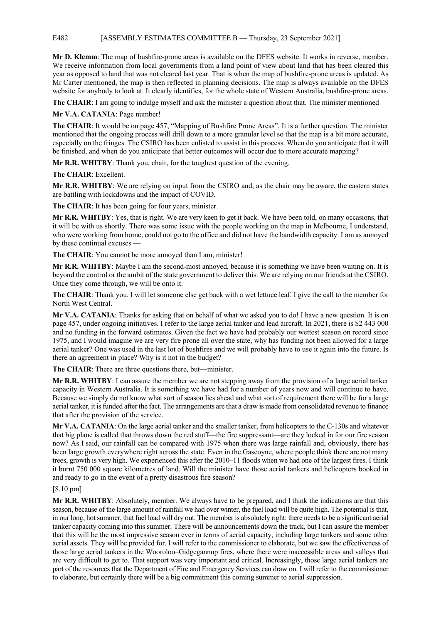# E482 [ASSEMBLY ESTIMATES COMMITTEE B — Thursday, 23 September 2021]

**Mr D. Klemm**: The map of bushfire-prone areas is available on the DFES website. It works in reverse, member. We receive information from local governments from a land point of view about land that has been cleared this year as opposed to land that was not cleared last year. That is when the map of bushfire-prone areas is updated. As Mr Carter mentioned, the map is then reflected in planning decisions. The map is always available on the DFES website for anybody to look at. It clearly identifies, for the whole state of Western Australia, bushfire-prone areas.

**The CHAIR**: I am going to indulge myself and ask the minister a question about that. The minister mentioned —

**Mr V.A. CATANIA**: Page number!

**The CHAIR**: It would be on page 457, "Mapping of Bushfire Prone Areas". It is a further question. The minister mentioned that the ongoing process will drill down to a more granular level so that the map is a bit more accurate, especially on the fringes. The CSIRO has been enlisted to assist in this process. When do you anticipate that it will be finished, and when do you anticipate that better outcomes will occur due to more accurate mapping?

**Mr R.R. WHITBY**: Thank you, chair, for the toughest question of the evening.

**The CHAIR**: Excellent.

**Mr R.R. WHITBY**: We are relying on input from the CSIRO and, as the chair may be aware, the eastern states are battling with lockdowns and the impact of COVID.

**The CHAIR**: It has been going for four years, minister.

**Mr R.R. WHITBY**: Yes, that is right. We are very keen to get it back. We have been told, on many occasions, that it will be with us shortly. There was some issue with the people working on the map in Melbourne, I understand, who were working from home, could not go to the office and did not have the bandwidth capacity. I am as annoyed by these continual excuses —

**The CHAIR**: You cannot be more annoyed than I am, minister!

**Mr R.R. WHITBY**: Maybe I am the second-most annoyed, because it is something we have been waiting on. It is beyond the control or the ambit of the state government to deliver this. We are relying on our friends at the CSIRO. Once they come through, we will be onto it.

**The CHAIR**: Thank you. I will let someone else get back with a wet lettuce leaf. I give the call to the member for North West Central.

**Mr V.A. CATANIA**: Thanks for asking that on behalf of what we asked you to do! I have a new question. It is on page 457, under ongoing initiatives. I refer to the large aerial tanker and lead aircraft. In 2021, there is \$2 443 000 and no funding in the forward estimates. Given the fact we have had probably our wettest season on record since 1975, and I would imagine we are very fire prone all over the state, why has funding not been allowed for a large aerial tanker? One was used in the last lot of bushfires and we will probably have to use it again into the future. Is there an agreement in place? Why is it not in the budget?

**The CHAIR**: There are three questions there, but—minister.

**Mr R.R. WHITBY**: I can assure the member we are not stepping away from the provision of a large aerial tanker capacity in Western Australia. It is something we have had for a number of years now and will continue to have. Because we simply do not know what sort of season lies ahead and what sort of requirement there will be for a large aerial tanker, it is funded after the fact. The arrangements are that a draw is made from consolidated revenue to finance that after the provision of the service.

**Mr V.A. CATANIA**: On the large aerial tanker and the smaller tanker, from helicopters to the C-130s and whatever that big plane is called that throws down the red stuff—the fire suppressant—are they locked in for our fire season now? As I said, our rainfall can be compared with 1975 when there was large rainfall and, obviously, there has been large growth everywhere right across the state. Even in the Gascoyne, where people think there are not many trees, growth is very high. We experienced this after the 2010–11 floods when we had one of the largest fires. I think it burnt 750 000 square kilometres of land. Will the minister have those aerial tankers and helicopters booked in and ready to go in the event of a pretty disastrous fire season?

### [8.10 pm]

**Mr R.R. WHITBY**: Absolutely, member. We always have to be prepared, and I think the indications are that this season, because of the large amount of rainfall we had over winter, the fuel load will be quite high. The potential is that, in our long, hot summer, that fuel load will dry out. The member is absolutely right: there needs to be a significant aerial tanker capacity coming into this summer. There will be announcements down the track, but I can assure the member that this will be the most impressive season ever in terms of aerial capacity, including large tankers and some other aerial assets. They will be provided for. I will refer to the commissioner to elaborate, but we saw the effectiveness of those large aerial tankers in the Wooroloo–Gidgegannup fires, where there were inaccessible areas and valleys that are very difficult to get to. That support was very important and critical. Increasingly, those large aerial tankers are part of the resources that the Department of Fire and Emergency Services can draw on. I will refer to the commissioner to elaborate, but certainly there will be a big commitment this coming summer to aerial suppression.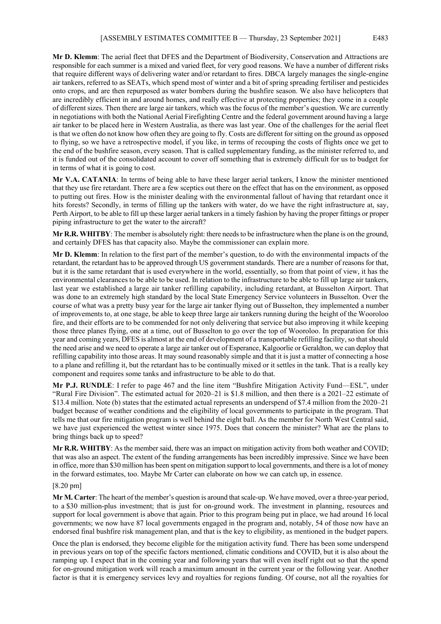**Mr D. Klemm**: The aerial fleet that DFES and the Department of Biodiversity, Conservation and Attractions are responsible for each summer is a mixed and varied fleet, for very good reasons. We have a number of different risks that require different ways of delivering water and/or retardant to fires. DBCA largely manages the single-engine air tankers, referred to as SEATs, which spend most of winter and a bit of spring spreading fertiliser and pesticides onto crops, and are then repurposed as water bombers during the bushfire season. We also have helicopters that are incredibly efficient in and around homes, and really effective at protecting properties; they come in a couple of different sizes. Then there are large air tankers, which was the focus of the member's question. We are currently in negotiations with both the National Aerial Firefighting Centre and the federal government around having a large air tanker to be placed here in Western Australia, as there was last year. One of the challenges for the aerial fleet is that we often do not know how often they are going to fly. Costs are different for sitting on the ground as opposed to flying, so we have a retrospective model, if you like, in terms of recouping the costs of flights once we get to the end of the bushfire season, every season. That is called supplementary funding, as the minister referred to, and it is funded out of the consolidated account to cover off something that is extremely difficult for us to budget for in terms of what it is going to cost.

**Mr V.A. CATANIA**: In terms of being able to have these larger aerial tankers, I know the minister mentioned that they use fire retardant. There are a few sceptics out there on the effect that has on the environment, as opposed to putting out fires. How is the minister dealing with the environmental fallout of having that retardant once it hits forests? Secondly, in terms of filling up the tankers with water, do we have the right infrastructure at, say, Perth Airport, to be able to fill up these larger aerial tankers in a timely fashion by having the proper fittings or proper piping infrastructure to get the water to the aircraft?

**Mr R.R. WHITBY**: The member is absolutely right: there needs to be infrastructure when the plane is on the ground, and certainly DFES has that capacity also. Maybe the commissioner can explain more.

**Mr D. Klemm**: In relation to the first part of the member's question, to do with the environmental impacts of the retardant, the retardant has to be approved through US government standards. There are a number of reasons for that, but it is the same retardant that is used everywhere in the world, essentially, so from that point of view, it has the environmental clearances to be able to be used. In relation to the infrastructure to be able to fill up large air tankers, last year we established a large air tanker refilling capability, including retardant, at Busselton Airport. That was done to an extremely high standard by the local State Emergency Service volunteers in Busselton. Over the course of what was a pretty busy year for the large air tanker flying out of Busselton, they implemented a number of improvements to, at one stage, be able to keep three large air tankers running during the height of the Wooroloo fire, and their efforts are to be commended for not only delivering that service but also improving it while keeping those three planes flying, one at a time, out of Busselton to go over the top of Wooroloo. In preparation for this year and coming years, DFES is almost at the end of development of a transportable refilling facility, so that should the need arise and we need to operate a large air tanker out of Esperance, Kalgoorlie or Geraldton, we can deploy that refilling capability into those areas. It may sound reasonably simple and that it is just a matter of connecting a hose to a plane and refilling it, but the retardant has to be continually mixed or it settles in the tank. That is a really key component and requires some tanks and infrastructure to be able to do that.

**Mr P.J. RUNDLE**: I refer to page 467 and the line item "Bushfire Mitigation Activity Fund—ESL", under "Rural Fire Division". The estimated actual for 2020–21 is \$1.8 million, and then there is a 2021–22 estimate of \$13.4 million. Note (b) states that the estimated actual represents an underspend of \$7.4 million from the 2020–21 budget because of weather conditions and the eligibility of local governments to participate in the program. That tells me that our fire mitigation program is well behind the eight ball. As the member for North West Central said, we have just experienced the wettest winter since 1975. Does that concern the minister? What are the plans to bring things back up to speed?

**Mr R.R. WHITBY**: As the member said, there was an impact on mitigation activity from both weather and COVID; that was also an aspect. The extent of the funding arrangements has been incredibly impressive. Since we have been in office, more than \$30 million has been spent on mitigation support to local governments, and there is a lot of money in the forward estimates, too. Maybe Mr Carter can elaborate on how we can catch up, in essence.

#### [8.20 pm]

**Mr M. Carter**: The heart of the member's question is around that scale-up. We have moved, over a three-year period, to a \$30 million-plus investment; that is just for on-ground work. The investment in planning, resources and support for local government is above that again. Prior to this program being put in place, we had around 16 local governments; we now have 87 local governments engaged in the program and, notably, 54 of those now have an endorsed final bushfire risk management plan, and that is the key to eligibility, as mentioned in the budget papers.

Once the plan is endorsed, they become eligible for the mitigation activity fund. There has been some underspend in previous years on top of the specific factors mentioned, climatic conditions and COVID, but it is also about the ramping up. I expect that in the coming year and following years that will even itself right out so that the spend for on-ground mitigation work will reach a maximum amount in the current year or the following year. Another factor is that it is emergency services levy and royalties for regions funding. Of course, not all the royalties for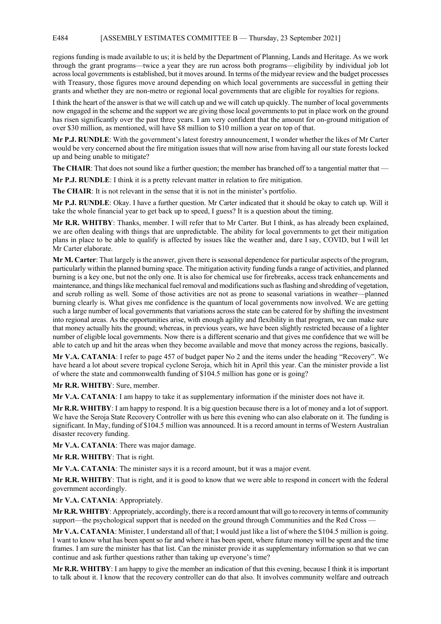### E484 [ASSEMBLY ESTIMATES COMMITTEE B — Thursday, 23 September 2021]

regions funding is made available to us; it is held by the Department of Planning, Lands and Heritage. As we work through the grant programs—twice a year they are run across both programs—eligibility by individual job lot across local governments is established, but it moves around. In terms of the midyear review and the budget processes with Treasury, those figures move around depending on which local governments are successful in getting their grants and whether they are non-metro or regional local governments that are eligible for royalties for regions.

I think the heart of the answer is that we will catch up and we will catch up quickly. The number of local governments now engaged in the scheme and the support we are giving those local governments to put in place work on the ground has risen significantly over the past three years. I am very confident that the amount for on-ground mitigation of over \$30 million, as mentioned, will have \$8 million to \$10 million a year on top of that.

**Mr P.J. RUNDLE**: With the government's latest forestry announcement, I wonder whether the likes of Mr Carter would be very concerned about the fire mitigation issues that will now arise from having all our state forests locked up and being unable to mitigate?

**The CHAIR:** That does not sound like a further question; the member has branched off to a tangential matter that —

**Mr P.J. RUNDLE**: I think it is a pretty relevant matter in relation to fire mitigation.

**The CHAIR:** It is not relevant in the sense that it is not in the minister's portfolio.

**Mr P.J. RUNDLE**: Okay. I have a further question. Mr Carter indicated that it should be okay to catch up. Will it take the whole financial year to get back up to speed, I guess? It is a question about the timing.

**Mr R.R. WHITBY**: Thanks, member. I will refer that to Mr Carter. But I think, as has already been explained, we are often dealing with things that are unpredictable. The ability for local governments to get their mitigation plans in place to be able to qualify is affected by issues like the weather and, dare I say, COVID, but I will let Mr Carter elaborate.

**Mr M. Carter**: That largely is the answer, given there is seasonal dependence for particular aspects of the program, particularly within the planned burning space. The mitigation activity funding funds a range of activities, and planned burning is a key one, but not the only one. It is also for chemical use for firebreaks, access track enhancements and maintenance, and things like mechanical fuel removal and modifications such as flashing and shredding of vegetation, and scrub rolling as well. Some of those activities are not as prone to seasonal variations in weather—planned burning clearly is. What gives me confidence is the quantum of local governments now involved. We are getting such a large number of local governments that variations across the state can be catered for by shifting the investment into regional areas. As the opportunities arise, with enough agility and flexibility in that program, we can make sure that money actually hits the ground; whereas, in previous years, we have been slightly restricted because of a lighter number of eligible local governments. Now there is a different scenario and that gives me confidence that we will be able to catch up and hit the areas when they become available and move that money across the regions, basically.

**Mr V.A. CATANIA**: I refer to page 457 of budget paper No 2 and the items under the heading "Recovery". We have heard a lot about severe tropical cyclone Seroja, which hit in April this year. Can the minister provide a list of where the state and commonwealth funding of \$104.5 million has gone or is going?

**Mr R.R. WHITBY**: Sure, member.

**Mr V.A. CATANIA**: I am happy to take it as supplementary information if the minister does not have it.

**Mr R.R. WHITBY**: I am happy to respond. It is a big question because there is a lot of money and a lot of support. We have the Seroja State Recovery Controller with us here this evening who can also elaborate on it. The funding is significant. In May, funding of \$104.5 million was announced. It is a record amount in terms of Western Australian disaster recovery funding.

**Mr V.A. CATANIA**: There was major damage.

**Mr R.R. WHITBY**: That is right.

**Mr V.A. CATANIA**: The minister says it is a record amount, but it was a major event.

**Mr R.R. WHITBY**: That is right, and it is good to know that we were able to respond in concert with the federal government accordingly.

**Mr V.A. CATANIA**: Appropriately.

**Mr R.R. WHITBY**: Appropriately, accordingly, there is a record amount that will go to recovery in terms of community support—the psychological support that is needed on the ground through Communities and the Red Cross —

**Mr V.A. CATANIA**: Minister, I understand all of that; I would just like a list of where the \$104.5 million is going. I want to know what has been spent so far and where it has been spent, where future money will be spent and the time frames. I am sure the minister has that list. Can the minister provide it as supplementary information so that we can continue and ask further questions rather than taking up everyone's time?

**Mr R.R. WHITBY**: I am happy to give the member an indication of that this evening, because I think it is important to talk about it. I know that the recovery controller can do that also. It involves community welfare and outreach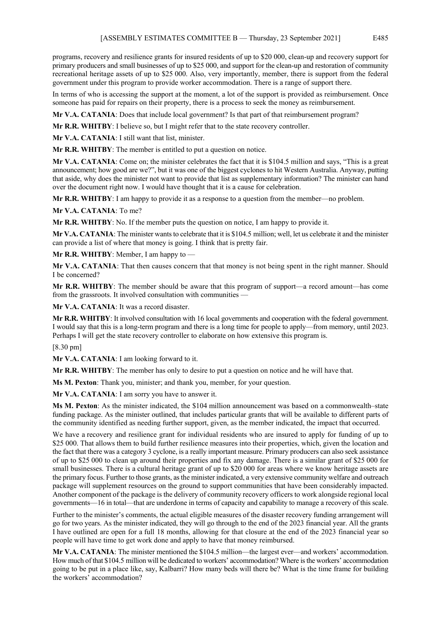programs, recovery and resilience grants for insured residents of up to \$20 000, clean-up and recovery support for primary producers and small businesses of up to \$25 000, and support for the clean-up and restoration of community recreational heritage assets of up to \$25 000. Also, very importantly, member, there is support from the federal government under this program to provide worker accommodation. There is a range of support there.

In terms of who is accessing the support at the moment, a lot of the support is provided as reimbursement. Once someone has paid for repairs on their property, there is a process to seek the money as reimbursement.

**Mr V.A. CATANIA**: Does that include local government? Is that part of that reimbursement program?

**Mr R.R. WHITBY**: I believe so, but I might refer that to the state recovery controller.

**Mr V.A. CATANIA**: I still want that list, minister.

**Mr R.R. WHITBY**: The member is entitled to put a question on notice.

**Mr V.A. CATANIA**: Come on; the minister celebrates the fact that it is \$104.5 million and says, "This is a great announcement; how good are we?", but it was one of the biggest cyclones to hit Western Australia. Anyway, putting that aside, why does the minister not want to provide that list as supplementary information? The minister can hand over the document right now. I would have thought that it is a cause for celebration.

**Mr R.R. WHITBY**: I am happy to provide it as a response to a question from the member—no problem.

**Mr V.A. CATANIA**: To me?

**Mr R.R. WHITBY**: No. If the member puts the question on notice, I am happy to provide it.

**Mr V.A. CATANIA**: The minister wants to celebrate that it is \$104.5 million; well, let us celebrate it and the minister can provide a list of where that money is going. I think that is pretty fair.

**Mr R.R. WHITBY**: Member, I am happy to —

**Mr V.A. CATANIA**: That then causes concern that that money is not being spent in the right manner. Should I be concerned?

**Mr R.R. WHITBY**: The member should be aware that this program of support—a record amount—has come from the grassroots. It involved consultation with communities —

**Mr V.A. CATANIA**: It was a record disaster.

**Mr R.R. WHITBY**: It involved consultation with 16 local governments and cooperation with the federal government. I would say that this is a long-term program and there is a long time for people to apply—from memory, until 2023. Perhaps I will get the state recovery controller to elaborate on how extensive this program is.

[8.30 pm]

**Mr V.A. CATANIA**: I am looking forward to it.

**Mr R.R. WHITBY**: The member has only to desire to put a question on notice and he will have that.

**Ms M. Pexton**: Thank you, minister; and thank you, member, for your question.

**Mr V.A. CATANIA**: I am sorry you have to answer it.

**Ms M. Pexton**: As the minister indicated, the \$104 million announcement was based on a commonwealth–state funding package. As the minister outlined, that includes particular grants that will be available to different parts of the community identified as needing further support, given, as the member indicated, the impact that occurred.

We have a recovery and resilience grant for individual residents who are insured to apply for funding of up to \$25 000. That allows them to build further resilience measures into their properties, which, given the location and the fact that there was a category 3 cyclone, is a really important measure. Primary producers can also seek assistance of up to \$25 000 to clean up around their properties and fix any damage. There is a similar grant of \$25 000 for small businesses. There is a cultural heritage grant of up to \$20 000 for areas where we know heritage assets are the primary focus. Further to those grants, as the minister indicated, a very extensive community welfare and outreach package will supplement resources on the ground to support communities that have been considerably impacted. Another component of the package is the delivery of community recovery officers to work alongside regional local governments—16 in total—that are underdone in terms of capacity and capability to manage a recovery of this scale.

Further to the minister's comments, the actual eligible measures of the disaster recovery funding arrangement will go for two years. As the minister indicated, they will go through to the end of the 2023 financial year. All the grants I have outlined are open for a full 18 months, allowing for that closure at the end of the 2023 financial year so people will have time to get work done and apply to have that money reimbursed.

**Mr V.A. CATANIA**: The minister mentioned the \$104.5 million—the largest ever—and workers' accommodation. How much of that \$104.5 million will be dedicated to workers' accommodation? Where is the workers' accommodation going to be put in a place like, say, Kalbarri? How many beds will there be? What is the time frame for building the workers' accommodation?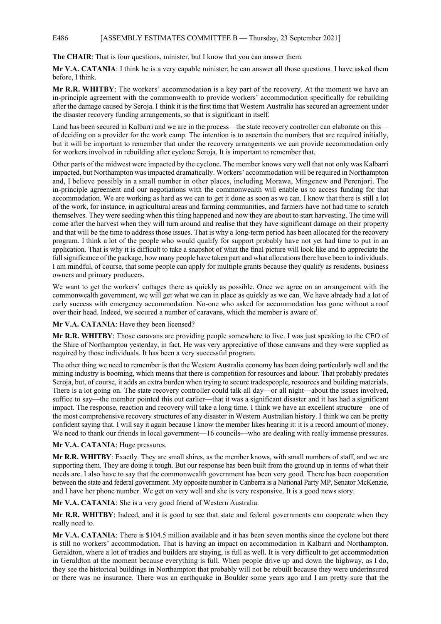### E486 [ASSEMBLY ESTIMATES COMMITTEE B — Thursday, 23 September 2021]

**The CHAIR**: That is four questions, minister, but I know that you can answer them.

**Mr V.A. CATANIA**: I think he is a very capable minister; he can answer all those questions. I have asked them before, I think.

**Mr R.R. WHITBY**: The workers' accommodation is a key part of the recovery. At the moment we have an in-principle agreement with the commonwealth to provide workers' accommodation specifically for rebuilding after the damage caused by Seroja. I think it is the first time that Western Australia has secured an agreement under the disaster recovery funding arrangements, so that is significant in itself.

Land has been secured in Kalbarri and we are in the process—the state recovery controller can elaborate on this of deciding on a provider for the work camp. The intention is to ascertain the numbers that are required initially, but it will be important to remember that under the recovery arrangements we can provide accommodation only for workers involved in rebuilding after cyclone Seroja. It is important to remember that.

Other parts of the midwest were impacted by the cyclone. The member knows very well that not only was Kalbarri impacted, but Northampton was impacted dramatically. Workers' accommodation will be required in Northampton and, I believe possibly in a small number in other places, including Morawa, Mingenew and Perenjori. The in-principle agreement and our negotiations with the commonwealth will enable us to access funding for that accommodation. We are working as hard as we can to get it done as soon as we can. I know that there is still a lot of the work, for instance, in agricultural areas and farming communities, and farmers have not had time to scratch themselves. They were seeding when this thing happened and now they are about to start harvesting. The time will come after the harvest when they will turn around and realise that they have significant damage on their property and that will be the time to address those issues. That is why a long-term period has been allocated for the recovery program. I think a lot of the people who would qualify for support probably have not yet had time to put in an application. That is why it is difficult to take a snapshot of what the final picture will look like and to appreciate the full significance of the package, how many people have taken part and what allocations there have been to individuals. I am mindful, of course, that some people can apply for multiple grants because they qualify as residents, business owners and primary producers.

We want to get the workers' cottages there as quickly as possible. Once we agree on an arrangement with the commonwealth government, we will get what we can in place as quickly as we can. We have already had a lot of early success with emergency accommodation. No-one who asked for accommodation has gone without a roof over their head. Indeed, we secured a number of caravans, which the member is aware of.

# **Mr V.A. CATANIA**: Have they been licensed?

**Mr R.R. WHITBY**: Those caravans are providing people somewhere to live. I was just speaking to the CEO of the Shire of Northampton yesterday, in fact. He was very appreciative of those caravans and they were supplied as required by those individuals. It has been a very successful program.

The other thing we need to remember is that the Western Australia economy has been doing particularly well and the mining industry is booming, which means that there is competition for resources and labour. That probably predates Seroja, but, of course, it adds an extra burden when trying to secure tradespeople, resources and building materials. There is a lot going on. The state recovery controller could talk all day—or all night—about the issues involved, suffice to say—the member pointed this out earlier—that it was a significant disaster and it has had a significant impact. The response, reaction and recovery will take a long time. I think we have an excellent structure—one of the most comprehensive recovery structures of any disaster in Western Australian history. I think we can be pretty confident saying that. I will say it again because I know the member likes hearing it: it is a record amount of money. We need to thank our friends in local government—16 councils—who are dealing with really immense pressures.

### **Mr V.A. CATANIA**: Huge pressures.

**Mr R.R. WHITBY**: Exactly. They are small shires, as the member knows, with small numbers of staff, and we are supporting them. They are doing it tough. But our response has been built from the ground up in terms of what their needs are. I also have to say that the commonwealth government has been very good. There has been cooperation between the state and federal government. My opposite number in Canberra is a National Party MP, Senator McKenzie, and I have her phone number. We get on very well and she is very responsive. It is a good news story.

**Mr V.A. CATANIA**: She is a very good friend of Western Australia.

**Mr R.R. WHITBY**: Indeed, and it is good to see that state and federal governments can cooperate when they really need to.

**Mr V.A. CATANIA**: There is \$104.5 million available and it has been seven months since the cyclone but there is still no workers' accommodation. That is having an impact on accommodation in Kalbarri and Northampton. Geraldton, where a lot of tradies and builders are staying, is full as well. It is very difficult to get accommodation in Geraldton at the moment because everything is full. When people drive up and down the highway, as I do, they see the historical buildings in Northampton that probably will not be rebuilt because they were underinsured or there was no insurance. There was an earthquake in Boulder some years ago and I am pretty sure that the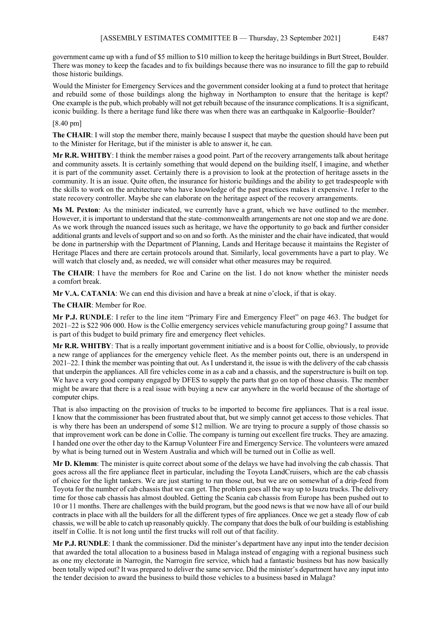government came up with a fund of \$5 million to \$10 million to keep the heritage buildings in Burt Street, Boulder. There was money to keep the facades and to fix buildings because there was no insurance to fill the gap to rebuild those historic buildings.

Would the Minister for Emergency Services and the government consider looking at a fund to protect that heritage and rebuild some of those buildings along the highway in Northampton to ensure that the heritage is kept? One example is the pub, which probably will not get rebuilt because of the insurance complications. It is a significant, iconic building. Is there a heritage fund like there was when there was an earthquake in Kalgoorlie–Boulder?

## [8.40 pm]

**The CHAIR**: I will stop the member there, mainly because I suspect that maybe the question should have been put to the Minister for Heritage, but if the minister is able to answer it, he can.

**Mr R.R. WHITBY**: I think the member raises a good point. Part of the recovery arrangements talk about heritage and community assets. It is certainly something that would depend on the building itself, I imagine, and whether it is part of the community asset. Certainly there is a provision to look at the protection of heritage assets in the community. It is an issue. Quite often, the insurance for historic buildings and the ability to get tradespeople with the skills to work on the architecture who have knowledge of the past practices makes it expensive. I refer to the state recovery controller. Maybe she can elaborate on the heritage aspect of the recovery arrangements.

**Ms M. Pexton**: As the minister indicated, we currently have a grant, which we have outlined to the member. However, it is important to understand that the state–commonwealth arrangements are not one stop and we are done. As we work through the nuanced issues such as heritage, we have the opportunity to go back and further consider additional grants and levels of support and so on and so forth. As the minister and the chair have indicated, that would be done in partnership with the Department of Planning, Lands and Heritage because it maintains the Register of Heritage Places and there are certain protocols around that. Similarly, local governments have a part to play. We will watch that closely and, as needed, we will consider what other measures may be required.

**The CHAIR**: I have the members for Roe and Carine on the list. I do not know whether the minister needs a comfort break.

**Mr V.A. CATANIA**: We can end this division and have a break at nine o'clock, if that is okay.

**The CHAIR**: Member for Roe.

**Mr P.J. RUNDLE**: I refer to the line item "Primary Fire and Emergency Fleet" on page 463. The budget for 2021–22 is \$22 906 000. How is the Collie emergency services vehicle manufacturing group going? I assume that is part of this budget to build primary fire and emergency fleet vehicles.

**Mr R.R. WHITBY**: That is a really important government initiative and is a boost for Collie, obviously, to provide a new range of appliances for the emergency vehicle fleet. As the member points out, there is an underspend in 2021–22. I think the member was pointing that out. As I understand it, the issue is with the delivery of the cab chassis that underpin the appliances. All fire vehicles come in as a cab and a chassis, and the superstructure is built on top. We have a very good company engaged by DFES to supply the parts that go on top of those chassis. The member might be aware that there is a real issue with buying a new car anywhere in the world because of the shortage of computer chips.

That is also impacting on the provision of trucks to be imported to become fire appliances. That is a real issue. I know that the commissioner has been frustrated about that, but we simply cannot get access to those vehicles. That is why there has been an underspend of some \$12 million. We are trying to procure a supply of those chassis so that improvement work can be done in Collie. The company is turning out excellent fire trucks. They are amazing. I handed one over the other day to the Karnup Volunteer Fire and Emergency Service. The volunteers were amazed by what is being turned out in Western Australia and which will be turned out in Collie as well.

**Mr D. Klemm**: The minister is quite correct about some of the delays we have had involving the cab chassis. That goes across all the fire appliance fleet in particular, including the Toyota LandCruisers, which are the cab chassis of choice for the light tankers. We are just starting to run those out, but we are on somewhat of a drip-feed from Toyota for the number of cab chassis that we can get. The problem goes all the way up to Isuzu trucks. The delivery time for those cab chassis has almost doubled. Getting the Scania cab chassis from Europe has been pushed out to 10 or 11 months. There are challenges with the build program, but the good news is that we now have all of our build contracts in place with all the builders for all the different types of fire appliances. Once we get a steady flow of cab chassis, we will be able to catch up reasonably quickly. The company that does the bulk of our building is establishing itself in Collie. It is not long until the first trucks will roll out of that facility.

**Mr P.J. RUNDLE**: I thank the commissioner. Did the minister's department have any input into the tender decision that awarded the total allocation to a business based in Malaga instead of engaging with a regional business such as one my electorate in Narrogin, the Narrogin fire service, which had a fantastic business but has now basically been totally wiped out? It was prepared to deliver the same service. Did the minister's department have any input into the tender decision to award the business to build those vehicles to a business based in Malaga?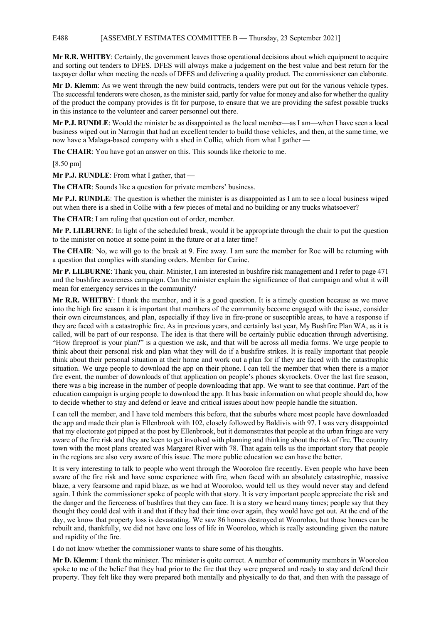### E488 [ASSEMBLY ESTIMATES COMMITTEE B — Thursday, 23 September 2021]

**Mr R.R. WHITBY**: Certainly, the government leaves those operational decisions about which equipment to acquire and sorting out tenders to DFES. DFES will always make a judgement on the best value and best return for the taxpayer dollar when meeting the needs of DFES and delivering a quality product. The commissioner can elaborate.

**Mr D. Klemm**: As we went through the new build contracts, tenders were put out for the various vehicle types. The successful tenderers were chosen, as the minister said, partly for value for money and also for whether the quality of the product the company provides is fit for purpose, to ensure that we are providing the safest possible trucks in this instance to the volunteer and career personnel out there.

**Mr P.J. RUNDLE**: Would the minister be as disappointed as the local member—as I am—when I have seen a local business wiped out in Narrogin that had an excellent tender to build those vehicles, and then, at the same time, we now have a Malaga-based company with a shed in Collie, which from what I gather

**The CHAIR**: You have got an answer on this. This sounds like rhetoric to me.

[8.50 pm]

**Mr P.J. RUNDLE**: From what I gather, that —

**The CHAIR**: Sounds like a question for private members' business.

**Mr P.J. RUNDLE**: The question is whether the minister is as disappointed as I am to see a local business wiped out when there is a shed in Collie with a few pieces of metal and no building or any trucks whatsoever?

**The CHAIR**: I am ruling that question out of order, member.

**Mr P. LILBURNE**: In light of the scheduled break, would it be appropriate through the chair to put the question to the minister on notice at some point in the future or at a later time?

**The CHAIR**: No, we will go to the break at 9. Fire away. I am sure the member for Roe will be returning with a question that complies with standing orders. Member for Carine.

**Mr P. LILBURNE**: Thank you, chair. Minister, I am interested in bushfire risk management and I refer to page 471 and the bushfire awareness campaign. Can the minister explain the significance of that campaign and what it will mean for emergency services in the community?

**Mr R.R. WHITBY**: I thank the member, and it is a good question. It is a timely question because as we move into the high fire season it is important that members of the community become engaged with the issue, consider their own circumstances, and plan, especially if they live in fire-prone or susceptible areas, to have a response if they are faced with a catastrophic fire. As in previous years, and certainly last year, My Bushfire Plan WA, as it is called, will be part of our response. The idea is that there will be certainly public education through advertising. "How fireproof is your plan?" is a question we ask, and that will be across all media forms. We urge people to think about their personal risk and plan what they will do if a bushfire strikes. It is really important that people think about their personal situation at their home and work out a plan for if they are faced with the catastrophic situation. We urge people to download the app on their phone. I can tell the member that when there is a major fire event, the number of downloads of that application on people's phones skyrockets. Over the last fire season, there was a big increase in the number of people downloading that app. We want to see that continue. Part of the education campaign is urging people to download the app. It has basic information on what people should do, how to decide whether to stay and defend or leave and critical issues about how people handle the situation.

I can tell the member, and I have told members this before, that the suburbs where most people have downloaded the app and made their plan is Ellenbrook with 102, closely followed by Baldivis with 97. I was very disappointed that my electorate got pipped at the post by Ellenbrook, but it demonstrates that people at the urban fringe are very aware of the fire risk and they are keen to get involved with planning and thinking about the risk of fire. The country town with the most plans created was Margaret River with 78. That again tells us the important story that people in the regions are also very aware of this issue. The more public education we can have the better.

It is very interesting to talk to people who went through the Wooroloo fire recently. Even people who have been aware of the fire risk and have some experience with fire, when faced with an absolutely catastrophic, massive blaze, a very fearsome and rapid blaze, as we had at Wooroloo, would tell us they would never stay and defend again. I think the commissioner spoke of people with that story. It is very important people appreciate the risk and the danger and the fierceness of bushfires that they can face. It is a story we heard many times; people say that they thought they could deal with it and that if they had their time over again, they would have got out. At the end of the day, we know that property loss is devastating. We saw 86 homes destroyed at Wooroloo, but those homes can be rebuilt and, thankfully, we did not have one loss of life in Wooroloo, which is really astounding given the nature and rapidity of the fire.

I do not know whether the commissioner wants to share some of his thoughts.

**Mr D. Klemm**: I thank the minister. The minister is quite correct. A number of community members in Wooroloo spoke to me of the belief that they had prior to the fire that they were prepared and ready to stay and defend their property. They felt like they were prepared both mentally and physically to do that, and then with the passage of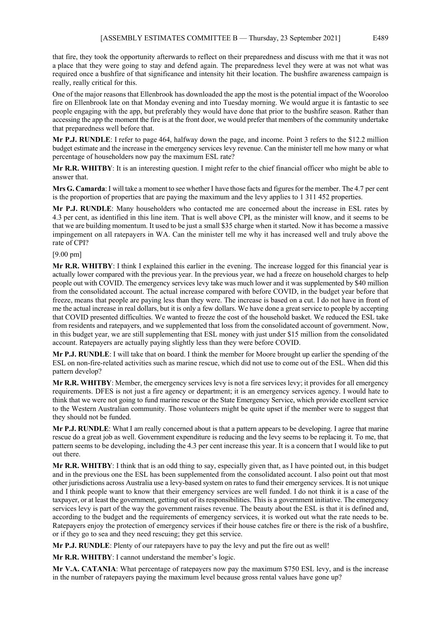that fire, they took the opportunity afterwards to reflect on their preparedness and discuss with me that it was not a place that they were going to stay and defend again. The preparedness level they were at was not what was required once a bushfire of that significance and intensity hit their location. The bushfire awareness campaign is really, really critical for this.

One of the major reasons that Ellenbrook has downloaded the app the most is the potential impact of the Wooroloo fire on Ellenbrook late on that Monday evening and into Tuesday morning. We would argue it is fantastic to see people engaging with the app, but preferably they would have done that prior to the bushfire season. Rather than accessing the app the moment the fire is at the front door, we would prefer that members of the community undertake that preparedness well before that.

**Mr P.J. RUNDLE**: I refer to page 464, halfway down the page, and income. Point 3 refers to the \$12.2 million budget estimate and the increase in the emergency services levy revenue. Can the minister tell me how many or what percentage of householders now pay the maximum ESL rate?

**Mr R.R. WHITBY**: It is an interesting question. I might refer to the chief financial officer who might be able to answer that.

**Mrs G. Camarda**:I will take a moment to see whether I have those facts and figures for the member. The 4.7 per cent is the proportion of properties that are paying the maximum and the levy applies to 1 311 452 properties.

**Mr P.J. RUNDLE**: Many householders who contacted me are concerned about the increase in ESL rates by 4.3 per cent, as identified in this line item. That is well above CPI, as the minister will know, and it seems to be that we are building momentum. It used to be just a small \$35 charge when it started. Now it has become a massive impingement on all ratepayers in WA. Can the minister tell me why it has increased well and truly above the rate of CPI?

### [9.00 pm]

**Mr R.R. WHITBY**: I think I explained this earlier in the evening. The increase logged for this financial year is actually lower compared with the previous year. In the previous year, we had a freeze on household charges to help people out with COVID. The emergency services levy take was much lower and it was supplemented by \$40 million from the consolidated account. The actual increase compared with before COVID, in the budget year before that freeze, means that people are paying less than they were. The increase is based on a cut. I do not have in front of me the actual increase in real dollars, but it is only a few dollars. We have done a great service to people by accepting that COVID presented difficulties. We wanted to freeze the cost of the household basket. We reduced the ESL take from residents and ratepayers, and we supplemented that loss from the consolidated account of government. Now, in this budget year, we are still supplementing that ESL money with just under \$15 million from the consolidated account. Ratepayers are actually paying slightly less than they were before COVID.

**Mr P.J. RUNDLE**: I will take that on board. I think the member for Moore brought up earlier the spending of the ESL on non-fire-related activities such as marine rescue, which did not use to come out of the ESL. When did this pattern develop?

**Mr R.R. WHITBY**: Member, the emergency services levy is not a fire services levy; it provides for all emergency requirements. DFES is not just a fire agency or department; it is an emergency services agency. I would hate to think that we were not going to fund marine rescue or the State Emergency Service, which provide excellent service to the Western Australian community. Those volunteers might be quite upset if the member were to suggest that they should not be funded.

**Mr P.J. RUNDLE**: What I am really concerned about is that a pattern appears to be developing. I agree that marine rescue do a great job as well. Government expenditure is reducing and the levy seems to be replacing it. To me, that pattern seems to be developing, including the 4.3 per cent increase this year. It is a concern that I would like to put out there.

**Mr R.R. WHITBY**: I think that is an odd thing to say, especially given that, as I have pointed out, in this budget and in the previous one the ESL has been supplemented from the consolidated account. I also point out that most other jurisdictions across Australia use a levy-based system on rates to fund their emergency services. It is not unique and I think people want to know that their emergency services are well funded. I do not think it is a case of the taxpayer, or at least the government, getting out of its responsibilities. This is a government initiative. The emergency services levy is part of the way the government raises revenue. The beauty about the ESL is that it is defined and, according to the budget and the requirements of emergency services, it is worked out what the rate needs to be. Ratepayers enjoy the protection of emergency services if their house catches fire or there is the risk of a bushfire, or if they go to sea and they need rescuing; they get this service.

**Mr P.J. RUNDLE**: Plenty of our ratepayers have to pay the levy and put the fire out as well!

**Mr R.R. WHITBY**: I cannot understand the member's logic.

**Mr V.A. CATANIA**: What percentage of ratepayers now pay the maximum \$750 ESL levy, and is the increase in the number of ratepayers paying the maximum level because gross rental values have gone up?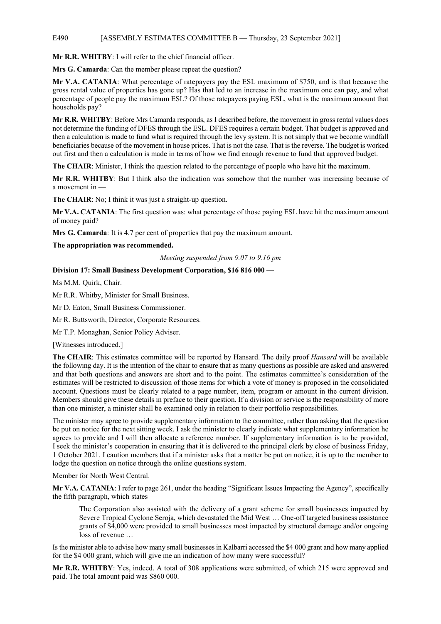## E490 [ASSEMBLY ESTIMATES COMMITTEE B — Thursday, 23 September 2021]

**Mr R.R. WHITBY**: I will refer to the chief financial officer.

**Mrs G. Camarda**: Can the member please repeat the question?

**Mr V.A. CATANIA**: What percentage of ratepayers pay the ESL maximum of \$750, and is that because the gross rental value of properties has gone up? Has that led to an increase in the maximum one can pay, and what percentage of people pay the maximum ESL? Of those ratepayers paying ESL, what is the maximum amount that households pay?

**Mr R.R. WHITBY**: Before Mrs Camarda responds, as I described before, the movement in gross rental values does not determine the funding of DFES through the ESL. DFES requires a certain budget. That budget is approved and then a calculation is made to fund what is required through the levy system. It is not simply that we become windfall beneficiaries because of the movement in house prices. That is not the case. That is the reverse. The budget is worked out first and then a calculation is made in terms of how we find enough revenue to fund that approved budget.

**The CHAIR**: Minister, I think the question related to the percentage of people who have hit the maximum.

**Mr R.R. WHITBY**: But I think also the indication was somehow that the number was increasing because of a movement in —

**The CHAIR**: No; I think it was just a straight-up question.

**Mr V.A. CATANIA**: The first question was: what percentage of those paying ESL have hit the maximum amount of money paid?

**Mrs G. Camarda**: It is 4.7 per cent of properties that pay the maximum amount.

**The appropriation was recommended.** 

*Meeting suspended from 9.07 to 9.16 pm*

# **Division 17: Small Business Development Corporation, \$16 816 000 —**

Ms M.M. Quirk, Chair.

Mr R.R. Whitby, Minister for Small Business.

Mr D. Eaton, Small Business Commissioner.

Mr R. Buttsworth, Director, Corporate Resources.

Mr T.P. Monaghan, Senior Policy Adviser.

[Witnesses introduced.]

**The CHAIR**: This estimates committee will be reported by Hansard. The daily proof *Hansard* will be available the following day. It is the intention of the chair to ensure that as many questions as possible are asked and answered and that both questions and answers are short and to the point. The estimates committee's consideration of the estimates will be restricted to discussion of those items for which a vote of money is proposed in the consolidated account. Questions must be clearly related to a page number, item, program or amount in the current division. Members should give these details in preface to their question. If a division or service is the responsibility of more than one minister, a minister shall be examined only in relation to their portfolio responsibilities.

The minister may agree to provide supplementary information to the committee, rather than asking that the question be put on notice for the next sitting week. I ask the minister to clearly indicate what supplementary information he agrees to provide and I will then allocate a reference number. If supplementary information is to be provided, I seek the minister's cooperation in ensuring that it is delivered to the principal clerk by close of business Friday, 1 October 2021. I caution members that if a minister asks that a matter be put on notice, it is up to the member to lodge the question on notice through the online questions system.

Member for North West Central.

**Mr V.A. CATANIA**: I refer to page 261, under the heading "Significant Issues Impacting the Agency", specifically the fifth paragraph, which states —

The Corporation also assisted with the delivery of a grant scheme for small businesses impacted by Severe Tropical Cyclone Seroja, which devastated the Mid West … One-off targeted business assistance grants of \$4,000 were provided to small businesses most impacted by structural damage and/or ongoing loss of revenue …

Is the minister able to advise how many small businesses in Kalbarri accessed the \$4 000 grant and how many applied for the \$4 000 grant, which will give me an indication of how many were successful?

**Mr R.R. WHITBY**: Yes, indeed. A total of 308 applications were submitted, of which 215 were approved and paid. The total amount paid was \$860 000.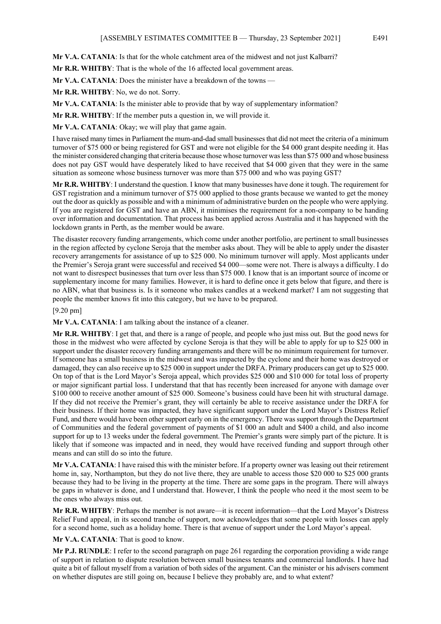**Mr V.A. CATANIA**: Is that for the whole catchment area of the midwest and not just Kalbarri?

**Mr R.R. WHITBY**: That is the whole of the 16 affected local government areas.

**Mr V.A. CATANIA**: Does the minister have a breakdown of the towns —

**Mr R.R. WHITBY**: No, we do not. Sorry.

**Mr V.A. CATANIA**: Is the minister able to provide that by way of supplementary information?

**Mr R.R. WHITBY**: If the member puts a question in, we will provide it.

**Mr V.A. CATANIA**: Okay; we will play that game again.

I have raised many times in Parliament the mum-and-dad small businesses that did not meet the criteria of a minimum turnover of \$75 000 or being registered for GST and were not eligible for the \$4 000 grant despite needing it. Has the minister considered changing that criteria because those whose turnover was less than \$75 000 and whose business does not pay GST would have desperately liked to have received that \$4 000 given that they were in the same situation as someone whose business turnover was more than \$75 000 and who was paying GST?

**Mr R.R. WHITBY**: I understand the question. I know that many businesses have done it tough. The requirement for GST registration and a minimum turnover of \$75 000 applied to those grants because we wanted to get the money out the door as quickly as possible and with a minimum of administrative burden on the people who were applying. If you are registered for GST and have an ABN, it minimises the requirement for a non-company to be handing over information and documentation. That process has been applied across Australia and it has happened with the lockdown grants in Perth, as the member would be aware.

The disaster recovery funding arrangements, which come under another portfolio, are pertinent to small businesses in the region affected by cyclone Seroja that the member asks about. They will be able to apply under the disaster recovery arrangements for assistance of up to \$25 000. No minimum turnover will apply. Most applicants under the Premier's Seroja grant were successful and received \$4 000—some were not. There is always a difficulty. I do not want to disrespect businesses that turn over less than \$75 000. I know that is an important source of income or supplementary income for many families. However, it is hard to define once it gets below that figure, and there is no ABN, what that business is. Is it someone who makes candles at a weekend market? I am not suggesting that people the member knows fit into this category, but we have to be prepared.

#### [9.20 pm]

**Mr V.A. CATANIA**: I am talking about the instance of a cleaner.

**Mr R.R. WHITBY**: I get that, and there is a range of people, and people who just miss out. But the good news for those in the midwest who were affected by cyclone Seroja is that they will be able to apply for up to \$25 000 in support under the disaster recovery funding arrangements and there will be no minimum requirement for turnover. If someone has a small business in the midwest and was impacted by the cyclone and their home was destroyed or damaged, they can also receive up to \$25 000 in support under the DRFA. Primary producers can get up to \$25 000. On top of that is the Lord Mayor's Seroja appeal, which provides \$25 000 and \$10 000 for total loss of property or major significant partial loss. I understand that that has recently been increased for anyone with damage over \$100 000 to receive another amount of \$25 000. Someone's business could have been hit with structural damage. If they did not receive the Premier's grant, they will certainly be able to receive assistance under the DRFA for their business. If their home was impacted, they have significant support under the Lord Mayor's Distress Relief Fund, and there would have been other support early on in the emergency. There was support through the Department of Communities and the federal government of payments of \$1 000 an adult and \$400 a child, and also income support for up to 13 weeks under the federal government. The Premier's grants were simply part of the picture. It is likely that if someone was impacted and in need, they would have received funding and support through other means and can still do so into the future.

**Mr V.A. CATANIA**: I have raised this with the minister before. If a property owner was leasing out their retirement home in, say, Northampton, but they do not live there, they are unable to access those \$20 000 to \$25 000 grants because they had to be living in the property at the time. There are some gaps in the program. There will always be gaps in whatever is done, and I understand that. However, I think the people who need it the most seem to be the ones who always miss out.

**Mr R.R. WHITBY**: Perhaps the member is not aware—it is recent information—that the Lord Mayor's Distress Relief Fund appeal, in its second tranche of support, now acknowledges that some people with losses can apply for a second home, such as a holiday home. There is that avenue of support under the Lord Mayor's appeal.

**Mr V.A. CATANIA**: That is good to know.

**Mr P.J. RUNDLE**: I refer to the second paragraph on page 261 regarding the corporation providing a wide range of support in relation to dispute resolution between small business tenants and commercial landlords. I have had quite a bit of fallout myself from a variation of both sides of the argument. Can the minister or his advisers comment on whether disputes are still going on, because I believe they probably are, and to what extent?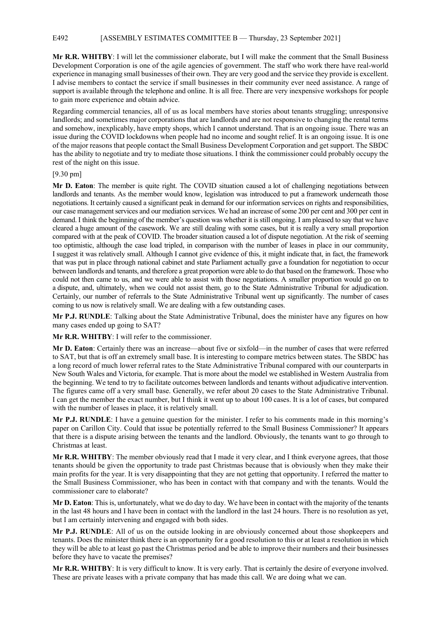# E492 [ASSEMBLY ESTIMATES COMMITTEE B — Thursday, 23 September 2021]

**Mr R.R. WHITBY**: I will let the commissioner elaborate, but I will make the comment that the Small Business Development Corporation is one of the agile agencies of government. The staff who work there have real-world experience in managing small businesses of their own. They are very good and the service they provide is excellent. I advise members to contact the service if small businesses in their community ever need assistance. A range of support is available through the telephone and online. It is all free. There are very inexpensive workshops for people to gain more experience and obtain advice.

Regarding commercial tenancies, all of us as local members have stories about tenants struggling; unresponsive landlords; and sometimes major corporations that are landlords and are not responsive to changing the rental terms and somehow, inexplicably, have empty shops, which I cannot understand. That is an ongoing issue. There was an issue during the COVID lockdowns when people had no income and sought relief. It is an ongoing issue. It is one of the major reasons that people contact the Small Business Development Corporation and get support. The SBDC has the ability to negotiate and try to mediate those situations. I think the commissioner could probably occupy the rest of the night on this issue.

### [9.30 pm]

**Mr D. Eaton**: The member is quite right. The COVID situation caused a lot of challenging negotiations between landlords and tenants. As the member would know, legislation was introduced to put a framework underneath those negotiations. It certainly caused a significant peak in demand for our information services on rights and responsibilities, our case management services and our mediation services. We had an increase of some 200 per cent and 300 per cent in demand. I think the beginning of the member's question was whether it is still ongoing. I am pleased to say that we have cleared a huge amount of the casework. We are still dealing with some cases, but it is really a very small proportion compared with at the peak of COVID. The broader situation caused a lot of dispute negotiation. At the risk of seeming too optimistic, although the case load tripled, in comparison with the number of leases in place in our community, I suggest it was relatively small. Although I cannot give evidence of this, it might indicate that, in fact, the framework that was put in place through national cabinet and state Parliament actually gave a foundation for negotiation to occur between landlords and tenants, and therefore a great proportion were able to do that based on the framework. Those who could not then came to us, and we were able to assist with those negotiations. A smaller proportion would go on to a dispute, and, ultimately, when we could not assist them, go to the State Administrative Tribunal for adjudication. Certainly, our number of referrals to the State Administrative Tribunal went up significantly. The number of cases coming to us now is relatively small. We are dealing with a few outstanding cases.

**Mr P.J. RUNDLE**: Talking about the State Administrative Tribunal, does the minister have any figures on how many cases ended up going to SAT?

**Mr R.R. WHITBY**: I will refer to the commissioner.

**Mr D. Eaton**: Certainly there was an increase—about five or sixfold—in the number of cases that were referred to SAT, but that is off an extremely small base. It is interesting to compare metrics between states. The SBDC has a long record of much lower referral rates to the State Administrative Tribunal compared with our counterparts in New South Wales and Victoria, for example. That is more about the model we established in Western Australia from the beginning. We tend to try to facilitate outcomes between landlords and tenants without adjudicative intervention. The figures came off a very small base. Generally, we refer about 20 cases to the State Administrative Tribunal. I can get the member the exact number, but I think it went up to about 100 cases. It is a lot of cases, but compared with the number of leases in place, it is relatively small.

**Mr P.J. RUNDLE**: I have a genuine question for the minister. I refer to his comments made in this morning's paper on Carillon City. Could that issue be potentially referred to the Small Business Commissioner? It appears that there is a dispute arising between the tenants and the landlord. Obviously, the tenants want to go through to Christmas at least.

**Mr R.R. WHITBY**: The member obviously read that I made it very clear, and I think everyone agrees, that those tenants should be given the opportunity to trade past Christmas because that is obviously when they make their main profits for the year. It is very disappointing that they are not getting that opportunity. I referred the matter to the Small Business Commissioner, who has been in contact with that company and with the tenants. Would the commissioner care to elaborate?

**Mr D. Eaton**: This is, unfortunately, what we do day to day. We have been in contact with the majority of the tenants in the last 48 hours and I have been in contact with the landlord in the last 24 hours. There is no resolution as yet, but I am certainly intervening and engaged with both sides.

**Mr P.J. RUNDLE**: All of us on the outside looking in are obviously concerned about those shopkeepers and tenants. Does the minister think there is an opportunity for a good resolution to this or at least a resolution in which they will be able to at least go past the Christmas period and be able to improve their numbers and their businesses before they have to vacate the premises?

**Mr R.R. WHITBY**: It is very difficult to know. It is very early. That is certainly the desire of everyone involved. These are private leases with a private company that has made this call. We are doing what we can.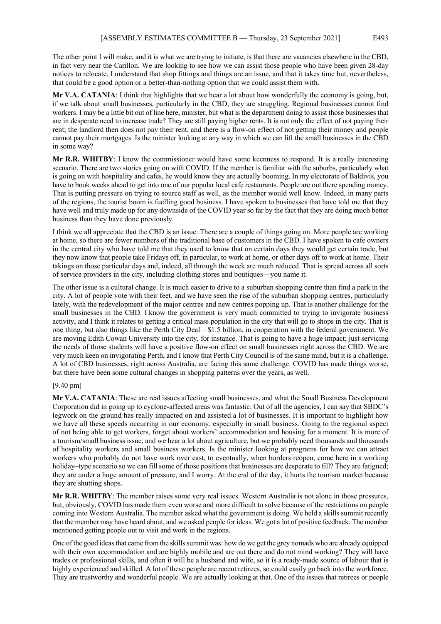The other point I will make, and it is what we are trying to initiate, is that there are vacancies elsewhere in the CBD, in fact very near the Carillon. We are looking to see how we can assist those people who have been given 28-day notices to relocate. I understand that shop fittings and things are an issue, and that it takes time but, nevertheless, that could be a good option or a better-than-nothing option that we could assist them with.

**Mr V.A. CATANIA**: I think that highlights that we hear a lot about how wonderfully the economy is going, but, if we talk about small businesses, particularly in the CBD, they are struggling. Regional businesses cannot find workers. I may be a little bit out of line here, minister, but what is the department doing to assist those businesses that are in desperate need to increase trade? They are still paying higher rents. It is not only the effect of not paying their rent; the landlord then does not pay their rent, and there is a flow-on effect of not getting their money and people cannot pay their mortgages. Is the minister looking at any way in which we can lift the small businesses in the CBD in some way?

**Mr R.R. WHITBY**: I know the commissioner would have some keenness to respond. It is a really interesting scenario. There are two stories going on with COVID. If the member is familiar with the suburbs, particularly what is going on with hospitality and cafes, he would know they are actually booming. In my electorate of Baldivis, you have to book weeks ahead to get into one of our popular local cafe restaurants. People are out there spending money. That is putting pressure on trying to source staff as well, as the member would well know. Indeed, in many parts of the regions, the tourist boom is fuelling good business. I have spoken to businesses that have told me that they have well and truly made up for any downside of the COVID year so far by the fact that they are doing much better business than they have done previously.

I think we all appreciate that the CBD is an issue. There are a couple of things going on. More people are working at home, so there are fewer numbers of the traditional base of customers in the CBD. I have spoken to cafe owners in the central city who have told me that they used to know that on certain days they would get certain trade, but they now know that people take Fridays off, in particular, to work at home, or other days off to work at home. Their takings on those particular days and, indeed, all through the week are much reduced. That is spread across all sorts of service providers in the city, including clothing stores and boutiques—you name it.

The other issue is a cultural change. It is much easier to drive to a suburban shopping centre than find a park in the city. A lot of people vote with their feet, and we have seen the rise of the suburban shopping centres, particularly lately, with the redevelopment of the major centres and new centres popping up. That is another challenge for the small businesses in the CBD. I know the government is very much committed to trying to invigorate business activity, and I think it relates to getting a critical mass population in the city that will go to shops in the city. That is one thing, but also things like the Perth City Deal—\$1.5 billion, in cooperation with the federal government. We are moving Edith Cowan University into the city, for instance. That is going to have a huge impact; just servicing the needs of those students will have a positive flow-on effect on small businesses right across the CBD. We are very much keen on invigorating Perth, and I know that Perth City Council is of the same mind, but it is a challenge. A lot of CBD businesses, right across Australia, are facing this same challenge. COVID has made things worse, but there have been some cultural changes in shopping patterns over the years, as well.

### [9.40 pm]

**Mr V.A. CATANIA**: These are real issues affecting small businesses, and what the Small Business Development Corporation did in going up to cyclone-affected areas was fantastic. Out of all the agencies, I can say that SBDC's legwork on the ground has really impacted on and assisted a lot of businesses. It is important to highlight how we have all these speeds occurring in our economy, especially in small business. Going to the regional aspect of not being able to get workers, forget about workers' accommodation and housing for a moment. It is more of a tourism/small business issue, and we hear a lot about agriculture, but we probably need thousands and thousands of hospitality workers and small business workers. Is the minister looking at programs for how we can attract workers who probably do not have work over east, to eventually, when borders reopen, come here in a working holiday–type scenario so we can fill some of those positions that businesses are desperate to fill? They are fatigued; they are under a huge amount of pressure, and I worry. At the end of the day, it hurts the tourism market because they are shutting shops.

**Mr R.R. WHITBY**: The member raises some very real issues. Western Australia is not alone in those pressures, but, obviously, COVID has made them even worse and more difficult to solve because of the restrictions on people coming into Western Australia. The member asked what the government is doing. We held a skills summit recently that the member may have heard about, and we asked people for ideas. We got a lot of positive feedback. The member mentioned getting people out to visit and work in the regions.

One of the good ideas that came from the skills summit was: how do we get the grey nomads who are already equipped with their own accommodation and are highly mobile and are out there and do not mind working? They will have trades or professional skills, and often it will be a husband and wife, so it is a ready-made source of labour that is highly experienced and skilled. A lot of these people are recent retirees, so could easily go back into the workforce. They are trustworthy and wonderful people. We are actually looking at that. One of the issues that retirees or people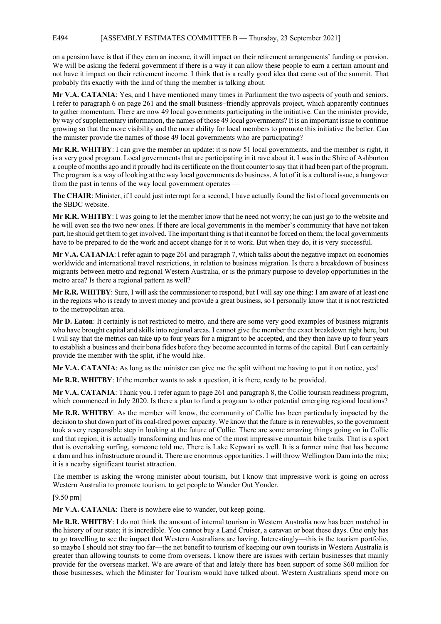## E494 [ASSEMBLY ESTIMATES COMMITTEE B — Thursday, 23 September 2021]

on a pension have is that if they earn an income, it will impact on their retirement arrangements' funding or pension. We will be asking the federal government if there is a way it can allow these people to earn a certain amount and not have it impact on their retirement income. I think that is a really good idea that came out of the summit. That probably fits exactly with the kind of thing the member is talking about.

**Mr V.A. CATANIA**: Yes, and I have mentioned many times in Parliament the two aspects of youth and seniors. I refer to paragraph 6 on page 261 and the small business–friendly approvals project, which apparently continues to gather momentum. There are now 49 local governments participating in the initiative. Can the minister provide, by way of supplementary information, the names of those 49 local governments? It is an important issue to continue growing so that the more visibility and the more ability for local members to promote this initiative the better. Can the minister provide the names of those 49 local governments who are participating?

**Mr R.R. WHITBY**: I can give the member an update: it is now 51 local governments, and the member is right, it is a very good program. Local governments that are participating in it rave about it. I was in the Shire of Ashburton a couple of months ago and it proudly had its certificate on the front counter to say that it had been part of the program. The program is a way of looking at the way local governments do business. A lot of it is a cultural issue, a hangover from the past in terms of the way local government operates —

**The CHAIR**: Minister, if I could just interrupt for a second, I have actually found the list of local governments on the SBDC website.

**Mr R.R. WHITBY**: I was going to let the member know that he need not worry; he can just go to the website and he will even see the two new ones. If there are local governments in the member's community that have not taken part, he should get them to get involved. The important thing is that it cannot be forced on them; the local governments have to be prepared to do the work and accept change for it to work. But when they do, it is very successful.

**Mr V.A. CATANIA**: I refer again to page 261 and paragraph 7, which talks about the negative impact on economies worldwide and international travel restrictions, in relation to business migration. Is there a breakdown of business migrants between metro and regional Western Australia, or is the primary purpose to develop opportunities in the metro area? Is there a regional pattern as well?

**Mr R.R. WHITBY**: Sure, I will ask the commissioner to respond, but I will say one thing: I am aware of at least one in the regions who is ready to invest money and provide a great business, so I personally know that it is not restricted to the metropolitan area.

**Mr D. Eaton**: It certainly is not restricted to metro, and there are some very good examples of business migrants who have brought capital and skills into regional areas. I cannot give the member the exact breakdown right here, but I will say that the metrics can take up to four years for a migrant to be accepted, and they then have up to four years to establish a business and their bona fides before they become accounted in terms of the capital. But I can certainly provide the member with the split, if he would like.

**Mr V.A. CATANIA**: As long as the minister can give me the split without me having to put it on notice, yes!

**Mr R.R. WHITBY**: If the member wants to ask a question, it is there, ready to be provided.

**Mr V.A. CATANIA**: Thank you. I refer again to page 261 and paragraph 8, the Collie tourism readiness program, which commenced in July 2020. Is there a plan to fund a program to other potential emerging regional locations?

**Mr R.R. WHITBY**: As the member will know, the community of Collie has been particularly impacted by the decision to shut down part of its coal-fired power capacity. We know that the future is in renewables, so the government took a very responsible step in looking at the future of Collie. There are some amazing things going on in Collie and that region; it is actually transforming and has one of the most impressive mountain bike trails. That is a sport that is overtaking surfing, someone told me. There is Lake Kepwari as well. It is a former mine that has become a dam and has infrastructure around it. There are enormous opportunities. I will throw Wellington Dam into the mix; it is a nearby significant tourist attraction.

The member is asking the wrong minister about tourism, but I know that impressive work is going on across Western Australia to promote tourism, to get people to Wander Out Yonder.

# [9.50 pm]

**Mr V.A. CATANIA**: There is nowhere else to wander, but keep going.

**Mr R.R. WHITBY**: I do not think the amount of internal tourism in Western Australia now has been matched in the history of our state; it is incredible. You cannot buy a Land Cruiser, a caravan or boat these days. One only has to go travelling to see the impact that Western Australians are having. Interestingly—this is the tourism portfolio, so maybe I should not stray too far—the net benefit to tourism of keeping our own tourists in Western Australia is greater than allowing tourists to come from overseas. I know there are issues with certain businesses that mainly provide for the overseas market. We are aware of that and lately there has been support of some \$60 million for those businesses, which the Minister for Tourism would have talked about. Western Australians spend more on